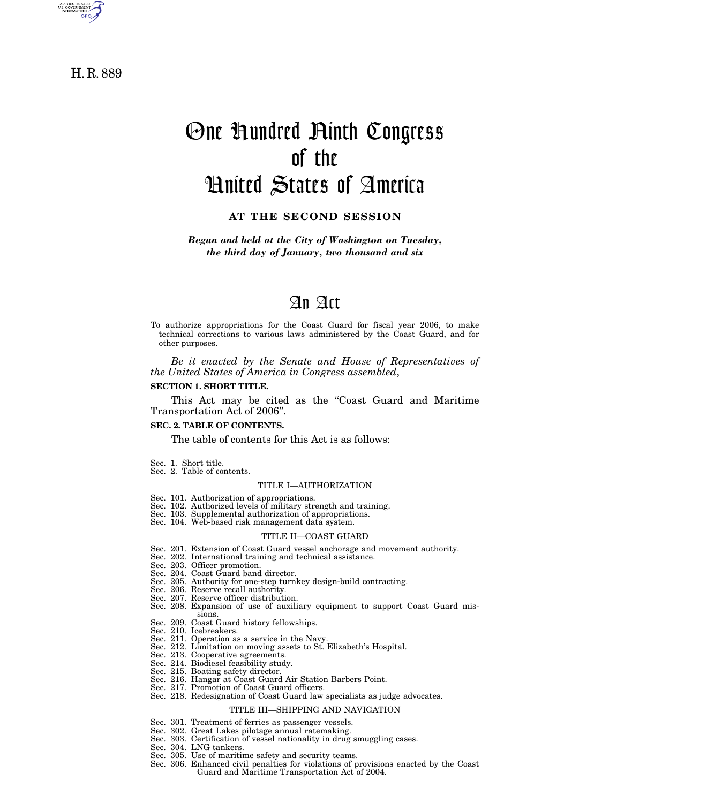

H. R. 889

# One Hundred Ninth Congress of the United States of America

# **AT THE SECOND SESSION**

*Begun and held at the City of Washington on Tuesday, the third day of January, two thousand and six* 

# An Act

To authorize appropriations for the Coast Guard for fiscal year 2006, to make technical corrections to various laws administered by the Coast Guard, and for other purposes.

*Be it enacted by the Senate and House of Representatives of the United States of America in Congress assembled*,

#### **SECTION 1. SHORT TITLE.**

This Act may be cited as the "Coast Guard and Maritime Transportation Act of 2006''.

#### **SEC. 2. TABLE OF CONTENTS.**

The table of contents for this Act is as follows:

- Sec. 1. Short title.
- Sec. 2. Table of contents.

#### TITLE I—AUTHORIZATION

- Sec. 101. Authorization of appropriations. Sec. 102. Authorized levels of military strength and training.
- 
- Sec. 103. Supplemental authorization of appropriations. Sec. 104. Web-based risk management data system.
- 

#### TITLE II—COAST GUARD

- Sec. 201. Extension of Coast Guard vessel anchorage and movement authority. Sec. 202. International training and technical assistance.
- 
- Sec. 203. Officer promotion. Sec. 204. Coast Guard band director.
- 
- Sec. 205. Authority for one-step turnkey design-build contracting.
- Sec. 206. Reserve recall authority.
- Sec. 207. Reserve officer distribution.
- Sec. 208. Expansion of use of auxiliary equipment to support Coast Guard missions.
- Sec. 209. Coast Guard history fellowships.
- Sec. 210. Icebreakers.
- Sec. 211. Operation as a service in the Navy.
- Sec. 212. Limitation on moving assets to St. Elizabeth's Hospital.
- Sec. 213. Cooperative agreements.
- Sec. 214. Biodiesel feasibility study.
- Sec. 215. Boating safety director.
- Sec. 216. Hangar at Coast Guard Air Station Barbers Point.
- Sec. 217. Promotion of Coast Guard officers.
- Sec. 218. Redesignation of Coast Guard law specialists as judge advocates.

# TITLE III—SHIPPING AND NAVIGATION

- Sec. 301. Treatment of ferries as passenger vessels.
- Sec. 302. Great Lakes pilotage annual ratemaking. Sec. 303. Certification of vessel nationality in drug smuggling cases.
- Sec. 304. LNG tankers.
- 
- Sec. 305. Use of maritime safety and security teams.
- Sec. 306. Enhanced civil penalties for violations of provisions enacted by the Coast Guard and Maritime Transportation Act of 2004.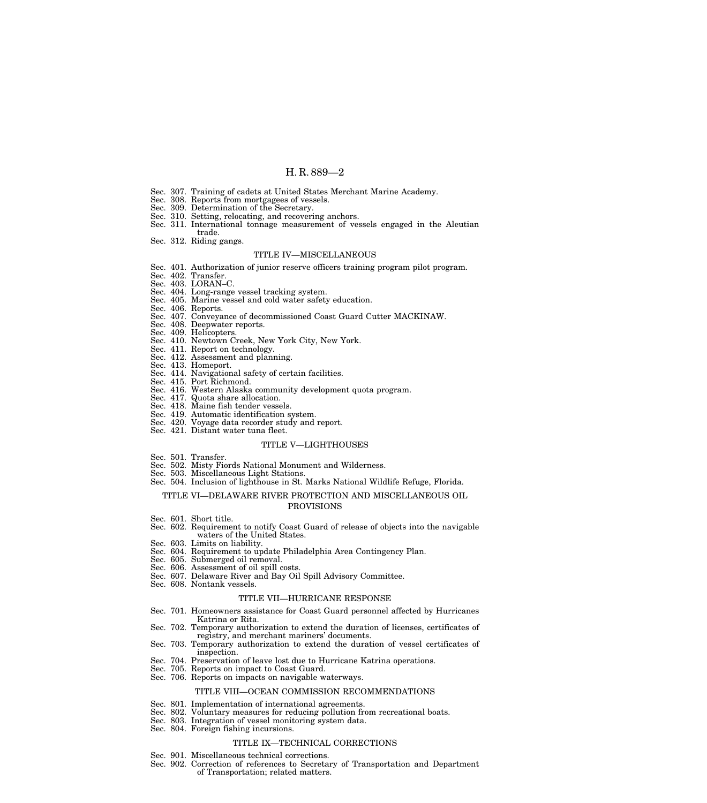- Sec. 307. Training of cadets at United States Merchant Marine Academy.
- Sec. 308. Reports from mortgagees of vessels. Sec. 309. Determination of the Secretary.
- 
- Sec. 310. Setting, relocating, and recovering anchors.
- Sec. 311. International tonnage measurement of vessels engaged in the Aleutian trade.
- Sec. 312. Riding gangs.

#### TITLE IV—MISCELLANEOUS

- Sec. 401. Authorization of junior reserve officers training program pilot program.
- Sec. 402. Transfer.
- Sec. 403. LORAN-C
- 
- Sec. 404. Long-range vessel tracking system. Sec. 405. Marine vessel and cold water safety education.
- Sec. 406. Reports.
- Sec. 407. Conveyance of decommissioned Coast Guard Cutter MACKINAW.
- Sec. 408. Deepwater reports.
- Sec. 409. Helicopters.
- Sec. 410. Newtown Creek, New York City, New York.
- Sec. 411. Report on technology.
- Sec. 412. Assessment and planning. Sec. 413. Homeport.
- 
- Sec. 414. Navigational safety of certain facilities. Sec. 415. Port Richmond.
- Sec. 416. Western Alaska community development quota program.
- Sec. 417. Quota share allocation.
- Sec. 418. Maine fish tender vessels.
- 
- Sec. 419. Automatic identification system. Sec. 420. Voyage data recorder study and report.
- Sec. 421. Distant water tuna fleet.

#### TITLE V—LIGHTHOUSES

- Sec. 501. Transfer.
- Sec. 502. Misty Fiords National Monument and Wilderness.
- Sec. 503. Miscellaneous Light Stations.
- Sec. 504. Inclusion of lighthouse in St. Marks National Wildlife Refuge, Florida.

#### TITLE VI—DELAWARE RIVER PROTECTION AND MISCELLANEOUS OIL

#### PROVISIONS

- Sec. 601. Short title.
- Sec. 602. Requirement to notify Coast Guard of release of objects into the navigable waters of the United States.
- Sec. 603. Limits on liability.
- Sec. 604. Requirement to update Philadelphia Area Contingency Plan.
- Sec. 605. Submerged oil removal.
- Sec. 606. Assessment of oil spill costs.
- Sec. 607. Delaware River and Bay Oil Spill Advisory Committee.
- Sec. 608. Nontank vessels.

### TITLE VII—HURRICANE RESPONSE

- Sec. 701. Homeowners assistance for Coast Guard personnel affected by Hurricanes Katrina or Rita.
- Sec. 702. Temporary authorization to extend the duration of licenses, certificates of registry, and merchant mariners' documents.
- Sec. 703. Temporary authorization to extend the duration of vessel certificates of inspection.
- Sec. 704. Preservation of leave lost due to Hurricane Katrina operations.
- Sec. 705. Reports on impact to Coast Guard.
- Sec. 706. Reports on impacts on navigable waterways.

### TITLE VIII—OCEAN COMMISSION RECOMMENDATIONS

- Sec. 801. Implementation of international agreements.
- Sec. 802. Voluntary measures for reducing pollution from recreational boats.
- Sec. 803. Integration of vessel monitoring system data.
- Sec. 804. Foreign fishing incursions.

#### TITLE IX—TECHNICAL CORRECTIONS

- Sec. 901. Miscellaneous technical corrections.
- Sec. 902. Correction of references to Secretary of Transportation and Department of Transportation; related matters.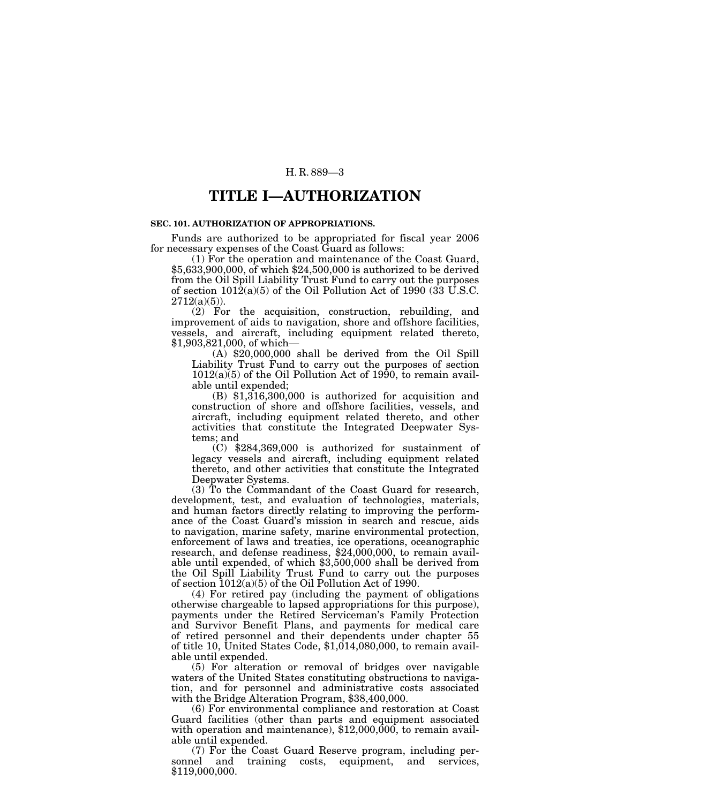# **TITLE I—AUTHORIZATION**

### **SEC. 101. AUTHORIZATION OF APPROPRIATIONS.**

Funds are authorized to be appropriated for fiscal year 2006 for necessary expenses of the Coast Guard as follows:

(1) For the operation and maintenance of the Coast Guard, \$5,633,900,000, of which \$24,500,000 is authorized to be derived from the Oil Spill Liability Trust Fund to carry out the purposes of section  $1012(a)(5)$  of the Oil Pollution Act of 1990 (33 U.S.C.  $2712(a)(5)$ ).

(2) For the acquisition, construction, rebuilding, and improvement of aids to navigation, shore and offshore facilities, vessels, and aircraft, including equipment related thereto, \$1,903,821,000, of which—

(A) \$20,000,000 shall be derived from the Oil Spill Liability Trust Fund to carry out the purposes of section  $1012(a)(5)$  of the Oil Pollution Act of 1990, to remain available until expended;

(B) \$1,316,300,000 is authorized for acquisition and construction of shore and offshore facilities, vessels, and aircraft, including equipment related thereto, and other activities that constitute the Integrated Deepwater Systems; and

(C) \$284,369,000 is authorized for sustainment of legacy vessels and aircraft, including equipment related thereto, and other activities that constitute the Integrated Deepwater Systems.

(3) To the Commandant of the Coast Guard for research, development, test, and evaluation of technologies, materials, and human factors directly relating to improving the performance of the Coast Guard's mission in search and rescue, aids to navigation, marine safety, marine environmental protection, enforcement of laws and treaties, ice operations, oceanographic research, and defense readiness, \$24,000,000, to remain available until expended, of which \$3,500,000 shall be derived from the Oil Spill Liability Trust Fund to carry out the purposes of section 1012(a)(5) of the Oil Pollution Act of 1990.

(4) For retired pay (including the payment of obligations otherwise chargeable to lapsed appropriations for this purpose), payments under the Retired Serviceman's Family Protection and Survivor Benefit Plans, and payments for medical care of retired personnel and their dependents under chapter 55 of title 10, United States Code, \$1,014,080,000, to remain available until expended.

(5) For alteration or removal of bridges over navigable waters of the United States constituting obstructions to navigation, and for personnel and administrative costs associated with the Bridge Alteration Program, \$38,400,000.

(6) For environmental compliance and restoration at Coast Guard facilities (other than parts and equipment associated with operation and maintenance),  $$12,000,000$ , to remain available until expended.

(7) For the Coast Guard Reserve program, including personnel and training costs, equipment, and services, \$119,000,000.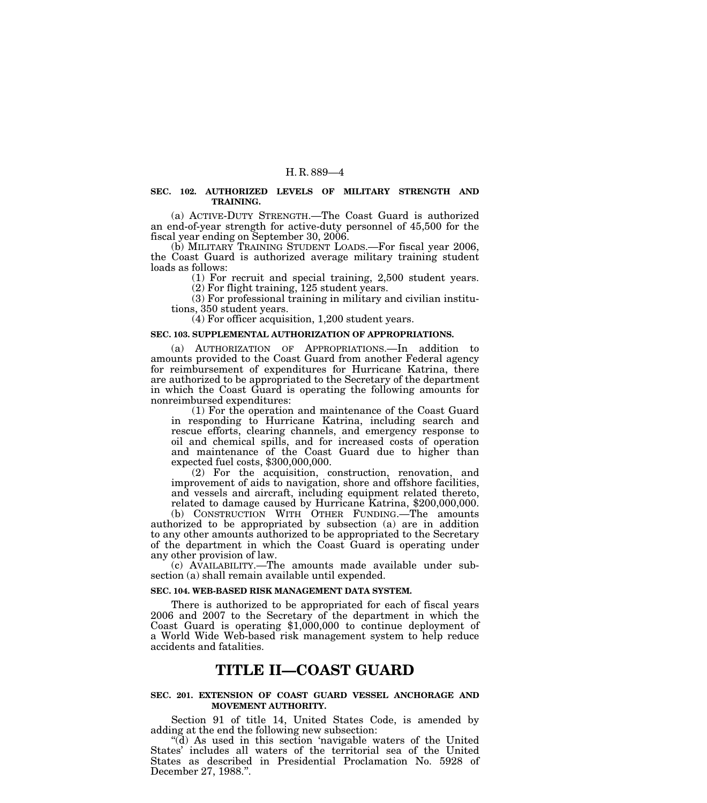## **SEC. 102. AUTHORIZED LEVELS OF MILITARY STRENGTH AND TRAINING.**

(a) ACTIVE-DUTY STRENGTH.—The Coast Guard is authorized an end-of-year strength for active-duty personnel of 45,500 for the fiscal year ending on September 30, 2006.

(b) MILITARY TRAINING STUDENT LOADS.—For fiscal year 2006, the Coast Guard is authorized average military training student loads as follows:

(1) For recruit and special training, 2,500 student years.

(2) For flight training, 125 student years.

(3) For professional training in military and civilian institutions, 350 student years.

(4) For officer acquisition, 1,200 student years.

### **SEC. 103. SUPPLEMENTAL AUTHORIZATION OF APPROPRIATIONS.**

(a) AUTHORIZATION OF APPROPRIATIONS.—In addition to amounts provided to the Coast Guard from another Federal agency for reimbursement of expenditures for Hurricane Katrina, there are authorized to be appropriated to the Secretary of the department in which the Coast Guard is operating the following amounts for nonreimbursed expenditures:

(1) For the operation and maintenance of the Coast Guard in responding to Hurricane Katrina, including search and rescue efforts, clearing channels, and emergency response to oil and chemical spills, and for increased costs of operation and maintenance of the Coast Guard due to higher than expected fuel costs, \$300,000,000.

(2) For the acquisition, construction, renovation, and improvement of aids to navigation, shore and offshore facilities, and vessels and aircraft, including equipment related thereto, related to damage caused by Hurricane Katrina, \$200,000,000.

(b) CONSTRUCTION WITH OTHER FUNDING.—The amounts authorized to be appropriated by subsection (a) are in addition to any other amounts authorized to be appropriated to the Secretary of the department in which the Coast Guard is operating under any other provision of law.

(c) AVAILABILITY.—The amounts made available under subsection (a) shall remain available until expended.

#### **SEC. 104. WEB-BASED RISK MANAGEMENT DATA SYSTEM.**

There is authorized to be appropriated for each of fiscal years 2006 and 2007 to the Secretary of the department in which the Coast Guard is operating \$1,000,000 to continue deployment of a World Wide Web-based risk management system to help reduce accidents and fatalities.

# **TITLE II—COAST GUARD**

#### **SEC. 201. EXTENSION OF COAST GUARD VESSEL ANCHORAGE AND MOVEMENT AUTHORITY.**

Section 91 of title 14, United States Code, is amended by adding at the end the following new subsection:

''(d) As used in this section 'navigable waters of the United States' includes all waters of the territorial sea of the United States as described in Presidential Proclamation No. 5928 of December 27, 1988.''.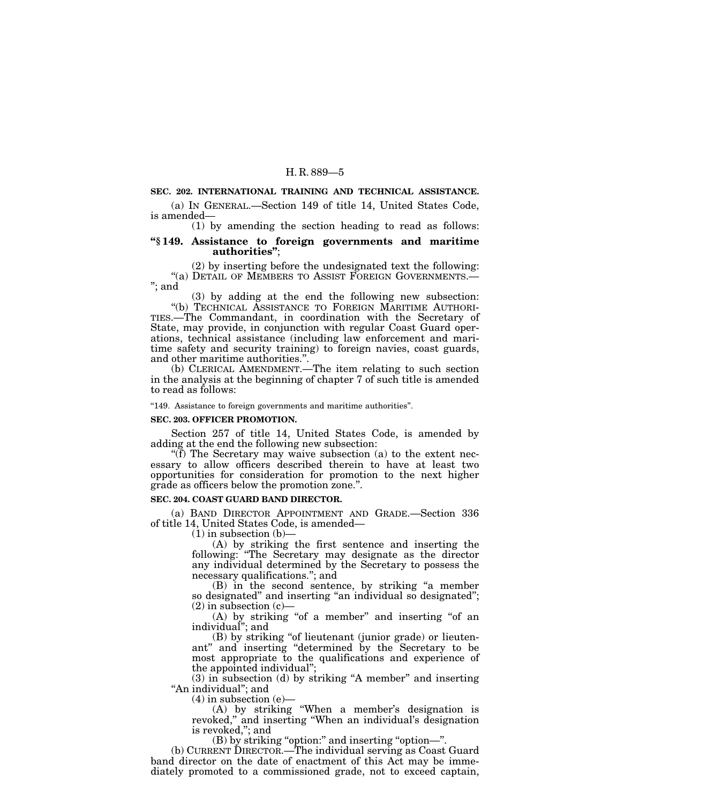# **SEC. 202. INTERNATIONAL TRAINING AND TECHNICAL ASSISTANCE.**

(a) IN GENERAL.—Section 149 of title 14, United States Code, is amended—

(1) by amending the section heading to read as follows:

#### **''§ 149. Assistance to foreign governments and maritime authorities''**;

(2) by inserting before the undesignated text the following: ''(a) DETAIL OF MEMBERS TO ASSIST FOREIGN GOVERNMENTS.— ''; and

(3) by adding at the end the following new subsection: ''(b) TECHNICAL ASSISTANCE TO FOREIGN MARITIME AUTHORI-TIES.—The Commandant, in coordination with the Secretary of State, may provide, in conjunction with regular Coast Guard operations, technical assistance (including law enforcement and maritime safety and security training) to foreign navies, coast guards, and other maritime authorities.''.

(b) CLERICAL AMENDMENT.—The item relating to such section in the analysis at the beginning of chapter 7 of such title is amended to read as follows:

"149. Assistance to foreign governments and maritime authorities".

#### **SEC. 203. OFFICER PROMOTION.**

Section 257 of title 14, United States Code, is amended by adding at the end the following new subsection:

"(f) The Secretary may waive subsection (a) to the extent necessary to allow officers described therein to have at least two opportunities for consideration for promotion to the next higher grade as officers below the promotion zone.''.

#### **SEC. 204. COAST GUARD BAND DIRECTOR.**

(a) BAND DIRECTOR APPOINTMENT AND GRADE.—Section 336 of title 14, United States Code, is amended—

 $(1)$  in subsection  $(b)$ 

(A) by striking the first sentence and inserting the following: ''The Secretary may designate as the director any individual determined by the Secretary to possess the necessary qualifications.''; and

(B) in the second sentence, by striking ''a member so designated" and inserting "an individual so designated";  $(2)$  in subsection  $(c)$ —

(A) by striking "of a member" and inserting "of an individual''; and

(B) by striking "of lieutenant (junior grade) or lieutenant'' and inserting ''determined by the Secretary to be most appropriate to the qualifications and experience of the appointed individual'';

(3) in subsection (d) by striking ''A member'' and inserting "An individual"; and

(4) in subsection (e)—

(A) by striking ''When a member's designation is revoked,'' and inserting ''When an individual's designation is revoked,''; and

(B) by striking ''option:'' and inserting ''option—''.

(b) CURRENT DIRECTOR.—The individual serving as Coast Guard band director on the date of enactment of this Act may be immediately promoted to a commissioned grade, not to exceed captain,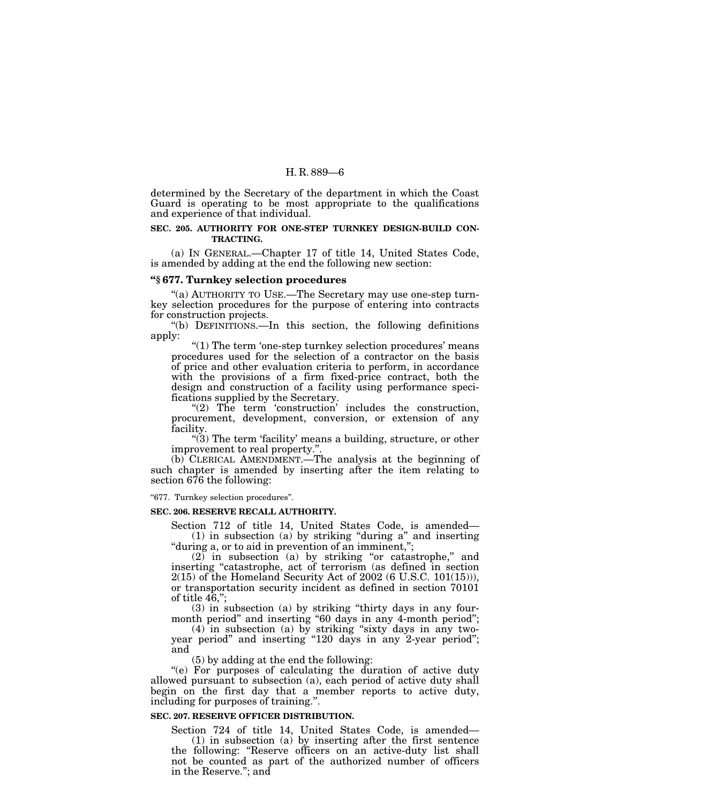determined by the Secretary of the department in which the Coast Guard is operating to be most appropriate to the qualifications and experience of that individual.

# **SEC. 205. AUTHORITY FOR ONE-STEP TURNKEY DESIGN-BUILD CON-TRACTING.**

(a) IN GENERAL.—Chapter 17 of title 14, United States Code, is amended by adding at the end the following new section:

#### **''§ 677. Turnkey selection procedures**

"(a) AUTHORITY TO USE.—The Secretary may use one-step turnkey selection procedures for the purpose of entering into contracts for construction projects.

''(b) DEFINITIONS.—In this section, the following definitions apply:

 $''(1)$  The term 'one-step turnkey selection procedures' means procedures used for the selection of a contractor on the basis of price and other evaluation criteria to perform, in accordance with the provisions of a firm fixed-price contract, both the design and construction of a facility using performance specifications supplied by the Secretary.

" $(2)$  The term 'construction' includes the construction, procurement, development, conversion, or extension of any facility.

" $(3)$  The term 'facility' means a building, structure, or other improvement to real property.''.

(b) CLERICAL AMENDMENT.—The analysis at the beginning of such chapter is amended by inserting after the item relating to section 676 the following:

"677. Turnkey selection procedures".

#### **SEC. 206. RESERVE RECALL AUTHORITY.**

Section 712 of title 14, United States Code, is amended—  $(1)$  in subsection  $(a)$  by striking "during a" and inserting ''during a, or to aid in prevention of an imminent,'';

(2) in subsection (a) by striking ''or catastrophe,'' and inserting "catastrophe, act of terrorism (as defined in section 2(15) of the Homeland Security Act of 2002 (6 U.S.C. 101(15))), or transportation security incident as defined in section 70101 of title  $4\overline{6}$ ,";

(3) in subsection (a) by striking ''thirty days in any fourmonth period" and inserting "60 days in any 4-month period";

(4) in subsection (a) by striking ''sixty days in any twoyear period" and inserting "120 days in any 2-year period"; and

(5) by adding at the end the following:

"(e) For purposes of calculating the duration of active duty allowed pursuant to subsection (a), each period of active duty shall begin on the first day that a member reports to active duty, including for purposes of training.''.

#### **SEC. 207. RESERVE OFFICER DISTRIBUTION.**

Section 724 of title 14, United States Code, is amended—

(1) in subsection (a) by inserting after the first sentence the following: "Reserve officers on an active-duty list shall not be counted as part of the authorized number of officers in the Reserve.''; and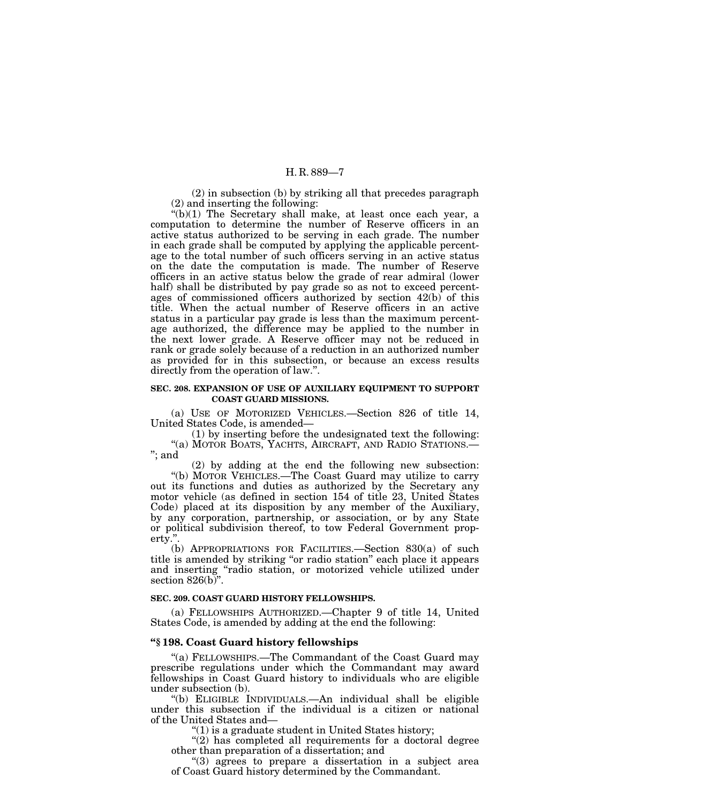(2) in subsection (b) by striking all that precedes paragraph (2) and inserting the following:

 $*(b)(1)$  The Secretary shall make, at least once each year, a computation to determine the number of Reserve officers in an active status authorized to be serving in each grade. The number in each grade shall be computed by applying the applicable percentage to the total number of such officers serving in an active status on the date the computation is made. The number of Reserve officers in an active status below the grade of rear admiral (lower half) shall be distributed by pay grade so as not to exceed percentages of commissioned officers authorized by section 42(b) of this title. When the actual number of Reserve officers in an active status in a particular pay grade is less than the maximum percentage authorized, the difference may be applied to the number in the next lower grade. A Reserve officer may not be reduced in rank or grade solely because of a reduction in an authorized number as provided for in this subsection, or because an excess results directly from the operation of law.''.

#### **SEC. 208. EXPANSION OF USE OF AUXILIARY EQUIPMENT TO SUPPORT COAST GUARD MISSIONS.**

(a) USE OF MOTORIZED VEHICLES.—Section 826 of title 14, United States Code, is amended—

(1) by inserting before the undesignated text the following: "(a) MOTOR BOATS, YACHTS, AIRCRAFT, AND RADIO STATIONS.-''; and

(2) by adding at the end the following new subsection:

''(b) MOTOR VEHICLES.—The Coast Guard may utilize to carry out its functions and duties as authorized by the Secretary any motor vehicle (as defined in section 154 of title 23, United States Code) placed at its disposition by any member of the Auxiliary, by any corporation, partnership, or association, or by any State or political subdivision thereof, to tow Federal Government property.''.

(b) APPROPRIATIONS FOR FACILITIES.—Section 830(a) of such title is amended by striking ''or radio station'' each place it appears and inserting ''radio station, or motorized vehicle utilized under section  $826(b)$ ".

#### **SEC. 209. COAST GUARD HISTORY FELLOWSHIPS.**

(a) FELLOWSHIPS AUTHORIZED.—Chapter 9 of title 14, United States Code, is amended by adding at the end the following:

#### **''§ 198. Coast Guard history fellowships**

''(a) FELLOWSHIPS.—The Commandant of the Coast Guard may prescribe regulations under which the Commandant may award fellowships in Coast Guard history to individuals who are eligible under subsection (b).

''(b) ELIGIBLE INDIVIDUALS.—An individual shall be eligible under this subsection if the individual is a citizen or national of the United States and—

 $''(1)$  is a graduate student in United States history;

" $(2)$  has completed all requirements for a doctoral degree other than preparation of a dissertation; and

''(3) agrees to prepare a dissertation in a subject area of Coast Guard history determined by the Commandant.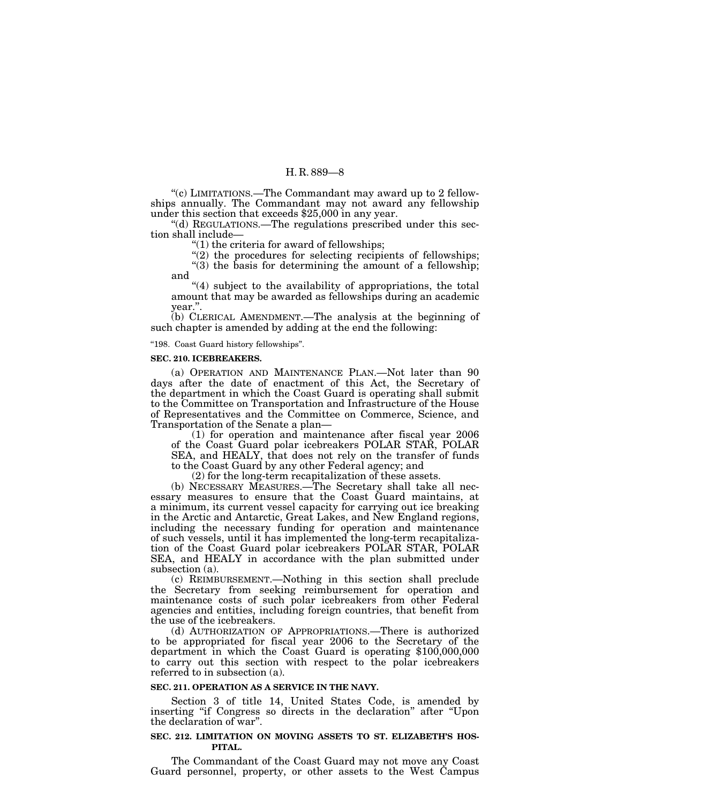''(c) LIMITATIONS.—The Commandant may award up to 2 fellowships annually. The Commandant may not award any fellowship under this section that exceeds \$25,000 in any year.

''(d) REGULATIONS.—The regulations prescribed under this section shall include—

"(1) the criteria for award of fellowships;

"(2) the procedures for selecting recipients of fellowships;

" $(3)$  the basis for determining the amount of a fellowship; and

"(4) subject to the availability of appropriations, the total amount that may be awarded as fellowships during an academic year.''.

(b) CLERICAL AMENDMENT.—The analysis at the beginning of such chapter is amended by adding at the end the following:

''198. Coast Guard history fellowships''.

#### **SEC. 210. ICEBREAKERS.**

(a) OPERATION AND MAINTENANCE PLAN.—Not later than 90 days after the date of enactment of this Act, the Secretary of the department in which the Coast Guard is operating shall submit to the Committee on Transportation and Infrastructure of the House of Representatives and the Committee on Commerce, Science, and Transportation of the Senate a plan—

(1) for operation and maintenance after fiscal year 2006 of the Coast Guard polar icebreakers POLAR STAR, POLAR SEA, and HEALY, that does not rely on the transfer of funds to the Coast Guard by any other Federal agency; and

(2) for the long-term recapitalization of these assets.

(b) NECESSARY MEASURES.—The Secretary shall take all necessary measures to ensure that the Coast Guard maintains, at a minimum, its current vessel capacity for carrying out ice breaking in the Arctic and Antarctic, Great Lakes, and New England regions, including the necessary funding for operation and maintenance of such vessels, until it has implemented the long-term recapitalization of the Coast Guard polar icebreakers POLAR STAR, POLAR SEA, and HEALY in accordance with the plan submitted under subsection (a).

(c) REIMBURSEMENT.—Nothing in this section shall preclude the Secretary from seeking reimbursement for operation and maintenance costs of such polar icebreakers from other Federal agencies and entities, including foreign countries, that benefit from the use of the icebreakers.

(d) AUTHORIZATION OF APPROPRIATIONS.—There is authorized to be appropriated for fiscal year 2006 to the Secretary of the department in which the Coast Guard is operating \$100,000,000 to carry out this section with respect to the polar icebreakers referred to in subsection (a).

#### **SEC. 211. OPERATION AS A SERVICE IN THE NAVY.**

Section 3 of title 14, United States Code, is amended by inserting ''if Congress so directs in the declaration'' after ''Upon the declaration of war''.

# **SEC. 212. LIMITATION ON MOVING ASSETS TO ST. ELIZABETH'S HOS-PITAL.**

The Commandant of the Coast Guard may not move any Coast Guard personnel, property, or other assets to the West Campus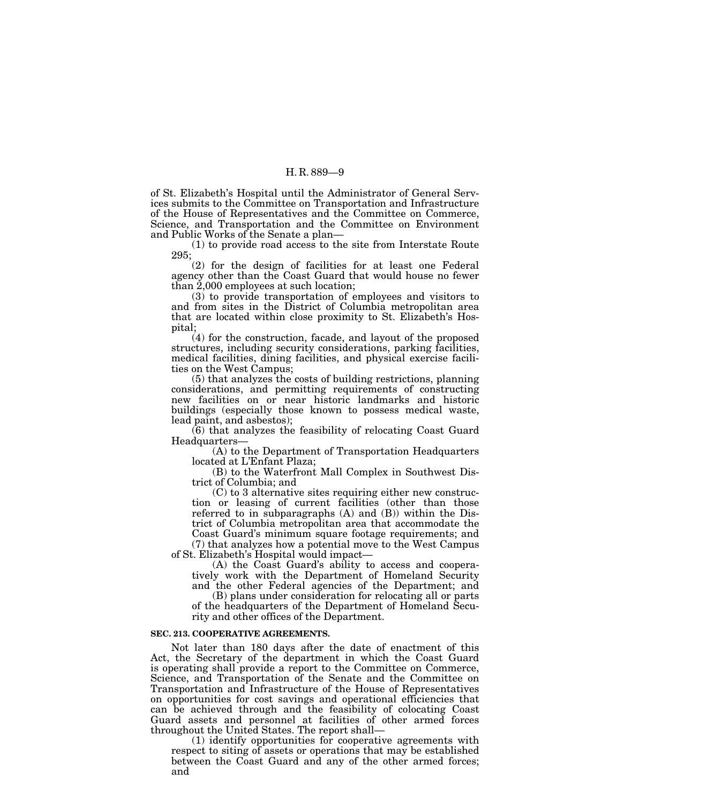of St. Elizabeth's Hospital until the Administrator of General Services submits to the Committee on Transportation and Infrastructure of the House of Representatives and the Committee on Commerce, Science, and Transportation and the Committee on Environment and Public Works of the Senate a plan—

(1) to provide road access to the site from Interstate Route 295;

(2) for the design of facilities for at least one Federal agency other than the Coast Guard that would house no fewer than 2,000 employees at such location;

(3) to provide transportation of employees and visitors to and from sites in the District of Columbia metropolitan area that are located within close proximity to St. Elizabeth's Hospital;

(4) for the construction, facade, and layout of the proposed structures, including security considerations, parking facilities, medical facilities, dining facilities, and physical exercise facilities on the West Campus;

(5) that analyzes the costs of building restrictions, planning considerations, and permitting requirements of constructing new facilities on or near historic landmarks and historic buildings (especially those known to possess medical waste, lead paint, and asbestos);

(6) that analyzes the feasibility of relocating Coast Guard Headquarters—

(A) to the Department of Transportation Headquarters located at L'Enfant Plaza;

(B) to the Waterfront Mall Complex in Southwest District of Columbia; and

(C) to 3 alternative sites requiring either new construction or leasing of current facilities (other than those referred to in subparagraphs (A) and (B)) within the District of Columbia metropolitan area that accommodate the Coast Guard's minimum square footage requirements; and

(7) that analyzes how a potential move to the West Campus of St. Elizabeth's Hospital would impact—

(A) the Coast Guard's ability to access and cooperatively work with the Department of Homeland Security and the other Federal agencies of the Department; and

(B) plans under consideration for relocating all or parts of the headquarters of the Department of Homeland Secu-

rity and other offices of the Department.

### **SEC. 213. COOPERATIVE AGREEMENTS.**

Not later than 180 days after the date of enactment of this Act, the Secretary of the department in which the Coast Guard is operating shall provide a report to the Committee on Commerce, Science, and Transportation of the Senate and the Committee on Transportation and Infrastructure of the House of Representatives on opportunities for cost savings and operational efficiencies that can be achieved through and the feasibility of colocating Coast Guard assets and personnel at facilities of other armed forces throughout the United States. The report shall—

(1) identify opportunities for cooperative agreements with respect to siting of assets or operations that may be established between the Coast Guard and any of the other armed forces; and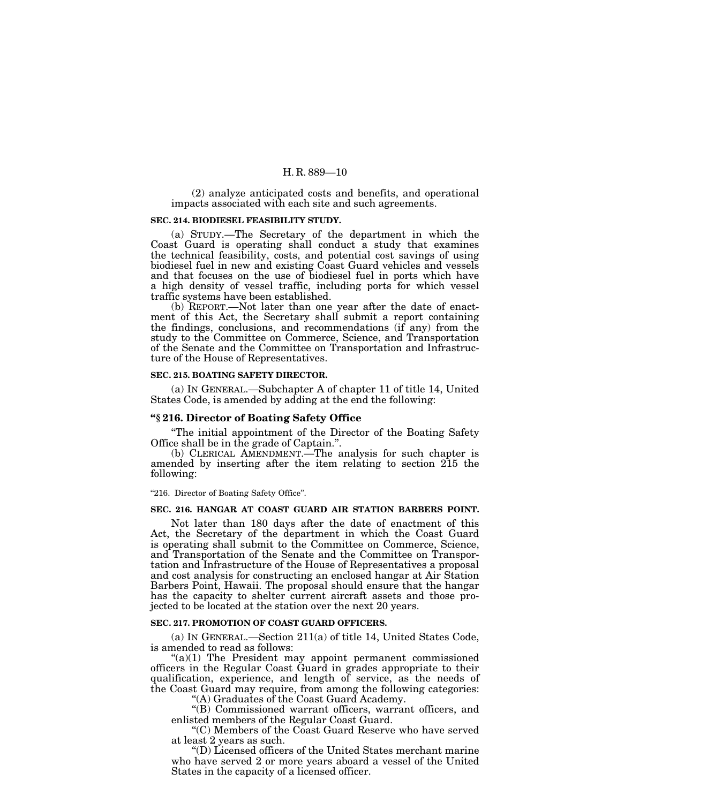(2) analyze anticipated costs and benefits, and operational impacts associated with each site and such agreements.

#### **SEC. 214. BIODIESEL FEASIBILITY STUDY.**

(a) STUDY.—The Secretary of the department in which the Coast Guard is operating shall conduct a study that examines the technical feasibility, costs, and potential cost savings of using biodiesel fuel in new and existing Coast Guard vehicles and vessels and that focuses on the use of biodiesel fuel in ports which have a high density of vessel traffic, including ports for which vessel traffic systems have been established.

(b) REPORT.—Not later than one year after the date of enactment of this Act, the Secretary shall submit a report containing the findings, conclusions, and recommendations (if any) from the study to the Committee on Commerce, Science, and Transportation of the Senate and the Committee on Transportation and Infrastructure of the House of Representatives.

#### **SEC. 215. BOATING SAFETY DIRECTOR.**

(a) IN GENERAL.—Subchapter A of chapter 11 of title 14, United States Code, is amended by adding at the end the following:

### **''§ 216. Director of Boating Safety Office**

''The initial appointment of the Director of the Boating Safety Office shall be in the grade of Captain.''.

(b) CLERICAL AMENDMENT.—The analysis for such chapter is amended by inserting after the item relating to section 215 the following:

"216. Director of Boating Safety Office".

### **SEC. 216. HANGAR AT COAST GUARD AIR STATION BARBERS POINT.**

Not later than 180 days after the date of enactment of this Act, the Secretary of the department in which the Coast Guard is operating shall submit to the Committee on Commerce, Science, and Transportation of the Senate and the Committee on Transportation and Infrastructure of the House of Representatives a proposal and cost analysis for constructing an enclosed hangar at Air Station Barbers Point, Hawaii. The proposal should ensure that the hangar has the capacity to shelter current aircraft assets and those projected to be located at the station over the next 20 years.

#### **SEC. 217. PROMOTION OF COAST GUARD OFFICERS.**

(a) IN GENERAL.—Section 211(a) of title 14, United States Code, is amended to read as follows:

 $((a)(1)$  The President may appoint permanent commissioned officers in the Regular Coast Guard in grades appropriate to their qualification, experience, and length of service, as the needs of the Coast Guard may require, from among the following categories:

''(A) Graduates of the Coast Guard Academy.

''(B) Commissioned warrant officers, warrant officers, and enlisted members of the Regular Coast Guard.

''(C) Members of the Coast Guard Reserve who have served at least 2 years as such.

''(D) Licensed officers of the United States merchant marine who have served 2 or more years aboard a vessel of the United States in the capacity of a licensed officer.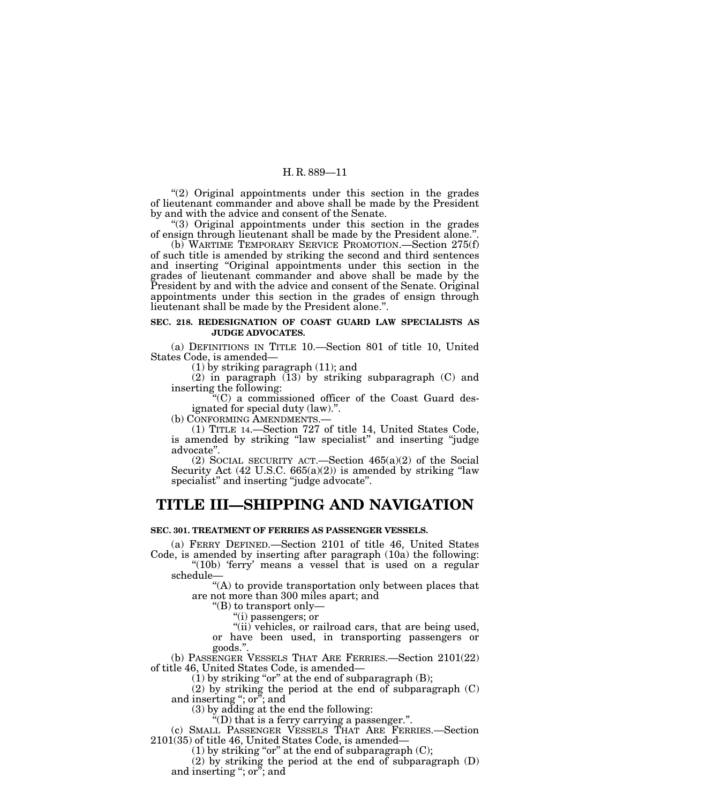''(2) Original appointments under this section in the grades of lieutenant commander and above shall be made by the President by and with the advice and consent of the Senate.

''(3) Original appointments under this section in the grades of ensign through lieutenant shall be made by the President alone.''.

(b) WARTIME TEMPORARY SERVICE PROMOTION.—Section 275(f) of such title is amended by striking the second and third sentences and inserting "Original appointments under this section in the grades of lieutenant commander and above shall be made by the President by and with the advice and consent of the Senate. Original appointments under this section in the grades of ensign through lieutenant shall be made by the President alone.''.

### **SEC. 218. REDESIGNATION OF COAST GUARD LAW SPECIALISTS AS JUDGE ADVOCATES.**

(a) DEFINITIONS IN TITLE 10.—Section 801 of title 10, United States Code, is amended—

(1) by striking paragraph (11); and

(2) in paragraph  $(13)$  by striking subparagraph  $(C)$  and inserting the following:

''(C) a commissioned officer of the Coast Guard designated for special duty (law).''.

(b) CONFORMING AMENDMENTS.—

(1) TITLE 14.—Section 727 of title 14, United States Code, is amended by striking "law specialist" and inserting "judge advocate''.

(2) SOCIAL SECURITY ACT.—Section 465(a)(2) of the Social Security Act (42 U.S.C. 665(a)(2)) is amended by striking "law specialist" and inserting "judge advocate".

# **TITLE III—SHIPPING AND NAVIGATION**

# **SEC. 301. TREATMENT OF FERRIES AS PASSENGER VESSELS.**

(a) FERRY DEFINED.—Section 2101 of title 46, United States Code, is amended by inserting after paragraph (10a) the following:

"(10b) 'ferry' means a vessel that is used on a regular schedule—

"(A) to provide transportation only between places that are not more than 300 miles apart; and

''(B) to transport only—

''(i) passengers; or

"(ii) vehicles, or railroad cars, that are being used, or have been used, in transporting passengers or goods.''.

(b) PASSENGER VESSELS THAT ARE FERRIES.—Section 2101(22) of title 46, United States Code, is amended—

 $(1)$  by striking "or" at the end of subparagraph  $(B)$ ;

(2) by striking the period at the end of subparagraph (C) and inserting ''; or''; and

(3) by adding at the end the following:

 $\mathrm{H}^{\prime\prime}(\mathrm{D})$  that is a ferry carrying a passenger.".

(c) SMALL PASSENGER VESSELS THAT ARE FERRIES.—Section 2101(35) of title 46, United States Code, is amended—

(1) by striking "or" at the end of subparagraph  $(C)$ ;

(2) by striking the period at the end of subparagraph (D) and inserting "; or"; and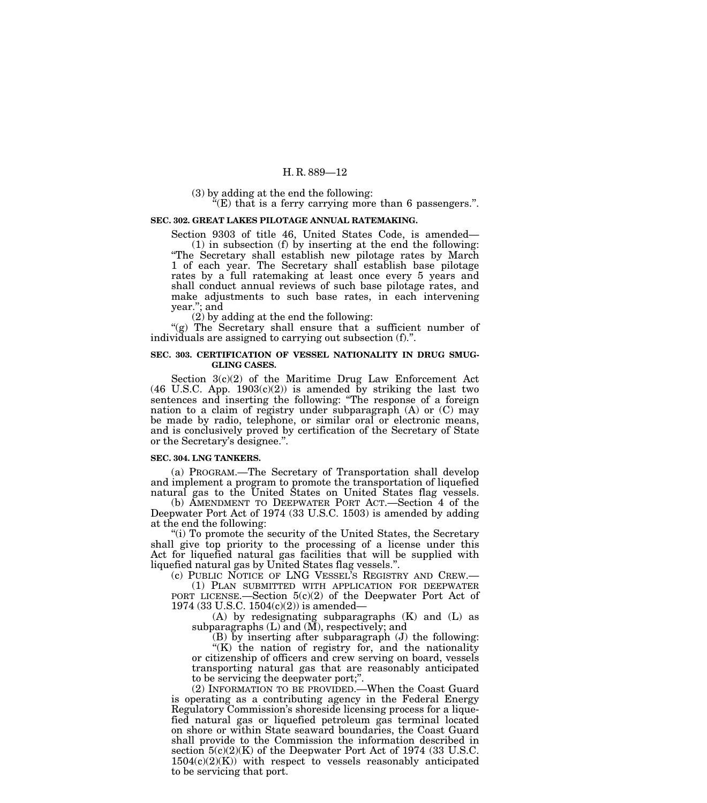(3) by adding at the end the following:

 $f(E)$  that is a ferry carrying more than 6 passengers.".

#### **SEC. 302. GREAT LAKES PILOTAGE ANNUAL RATEMAKING.**

Section 9303 of title 46, United States Code, is amended— (1) in subsection (f) by inserting at the end the following: ''The Secretary shall establish new pilotage rates by March 1 of each year. The Secretary shall establish base pilotage rates by a full ratemaking at least once every 5 years and shall conduct annual reviews of such base pilotage rates, and make adjustments to such base rates, in each intervening year.''; and

(2) by adding at the end the following:

"(g) The Secretary shall ensure that a sufficient number of individuals are assigned to carrying out subsection (f).''.

#### **SEC. 303. CERTIFICATION OF VESSEL NATIONALITY IN DRUG SMUG-GLING CASES.**

Section 3(c)(2) of the Maritime Drug Law Enforcement Act  $(46 \text{ U.S.C. App. } 1903(c)(2))$  is amended by striking the last two sentences and inserting the following: ''The response of a foreign nation to a claim of registry under subparagraph (A) or (C) may be made by radio, telephone, or similar oral or electronic means, and is conclusively proved by certification of the Secretary of State or the Secretary's designee.''.

#### **SEC. 304. LNG TANKERS.**

(a) PROGRAM.—The Secretary of Transportation shall develop and implement a program to promote the transportation of liquefied natural gas to the United States on United States flag vessels.

(b) AMENDMENT TO DEEPWATER PORT ACT.—Section 4 of the Deepwater Port Act of 1974 (33 U.S.C. 1503) is amended by adding at the end the following:

"(i) To promote the security of the United States, the Secretary shall give top priority to the processing of a license under this Act for liquefied natural gas facilities that will be supplied with liquefied natural gas by United States flag vessels.''.

(c) PUBLIC NOTICE OF LNG VESSEL'S REGISTRY AND CREW.— (1) PLAN SUBMITTED WITH APPLICATION FOR DEEPWATER

PORT LICENSE.—Section 5(c)(2) of the Deepwater Port Act of 1974 (33 U.S.C. 1504(c)(2)) is amended—

(A) by redesignating subparagraphs (K) and (L) as subparagraphs (L) and (M), respectively; and

 $(B)$  by inserting after subparagraph  $(J)$  the following:

''(K) the nation of registry for, and the nationality or citizenship of officers and crew serving on board, vessels transporting natural gas that are reasonably anticipated to be servicing the deepwater port;''.

(2) INFORMATION TO BE PROVIDED.—When the Coast Guard is operating as a contributing agency in the Federal Energy Regulatory Commission's shoreside licensing process for a liquefied natural gas or liquefied petroleum gas terminal located on shore or within State seaward boundaries, the Coast Guard shall provide to the Commission the information described in section 5(c)(2)(K) of the Deepwater Port Act of 1974 (33 U.S.C.  $1504(c)(2)(K)$  with respect to vessels reasonably anticipated to be servicing that port.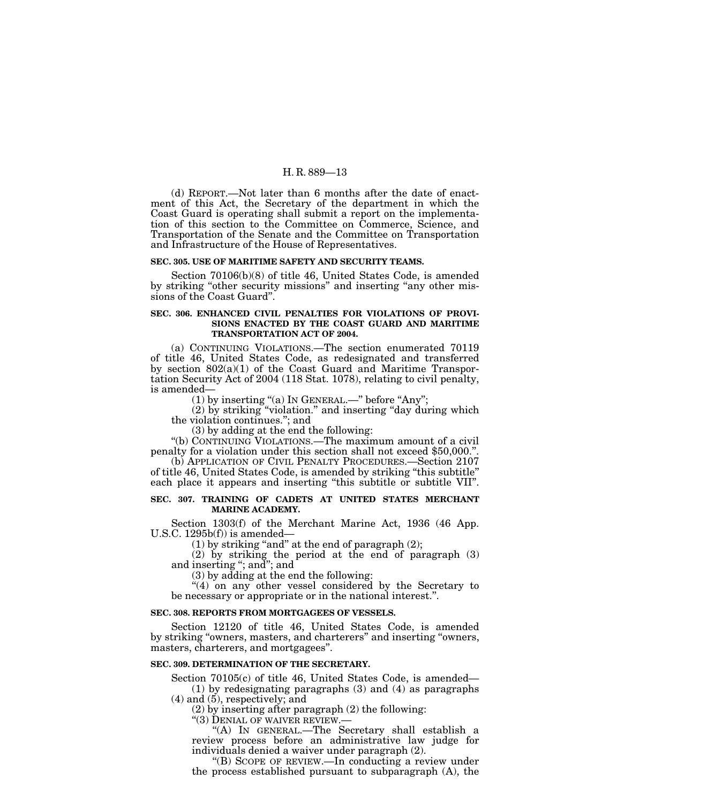(d) REPORT.—Not later than 6 months after the date of enactment of this Act, the Secretary of the department in which the Coast Guard is operating shall submit a report on the implementation of this section to the Committee on Commerce, Science, and Transportation of the Senate and the Committee on Transportation and Infrastructure of the House of Representatives.

#### **SEC. 305. USE OF MARITIME SAFETY AND SECURITY TEAMS.**

Section 70106(b)(8) of title 46, United States Code, is amended by striking "other security missions" and inserting "any other missions of the Coast Guard''.

#### **SEC. 306. ENHANCED CIVIL PENALTIES FOR VIOLATIONS OF PROVI-SIONS ENACTED BY THE COAST GUARD AND MARITIME TRANSPORTATION ACT OF 2004.**

(a) CONTINUING VIOLATIONS.—The section enumerated 70119 of title 46, United States Code, as redesignated and transferred by section 802(a)(1) of the Coast Guard and Maritime Transportation Security Act of 2004 (118 Stat. 1078), relating to civil penalty, is amended—

(1) by inserting "(a) In GENERAL.—" before "Any";

(2) by striking ''violation.'' and inserting ''day during which the violation continues.''; and

(3) by adding at the end the following:

''(b) CONTINUING VIOLATIONS.—The maximum amount of a civil penalty for a violation under this section shall not exceed \$50,000.''.

(b) APPLICATION OF CIVIL PENALTY PROCEDURES.—Section 2107 of title 46, United States Code, is amended by striking ''this subtitle'' each place it appears and inserting ''this subtitle or subtitle VII''.

#### **SEC. 307. TRAINING OF CADETS AT UNITED STATES MERCHANT MARINE ACADEMY.**

Section 1303(f) of the Merchant Marine Act, 1936 (46 App. U.S.C. 1295b(f)) is amended—

(1) by striking "and" at the end of paragraph  $(2)$ ;

(2) by striking the period at the end of paragraph (3) and inserting "; and"; and

(3) by adding at the end the following:

"(4) on any other vessel considered by the Secretary to be necessary or appropriate or in the national interest.''.

#### **SEC. 308. REPORTS FROM MORTGAGEES OF VESSELS.**

Section 12120 of title 46, United States Code, is amended by striking ''owners, masters, and charterers'' and inserting ''owners, masters, charterers, and mortgagees''.

# **SEC. 309. DETERMINATION OF THE SECRETARY.**

Section 70105(c) of title 46, United States Code, is amended— (1) by redesignating paragraphs (3) and (4) as paragraphs

 $(4)$  and  $(5)$ , respectively; and

(2) by inserting after paragraph (2) the following:

 $\cdot$  (3) DENIAL OF WAIVER REVIEW.

''(A) IN GENERAL.—The Secretary shall establish a review process before an administrative law judge for individuals denied a waiver under paragraph (2).

''(B) SCOPE OF REVIEW.—In conducting a review under the process established pursuant to subparagraph (A), the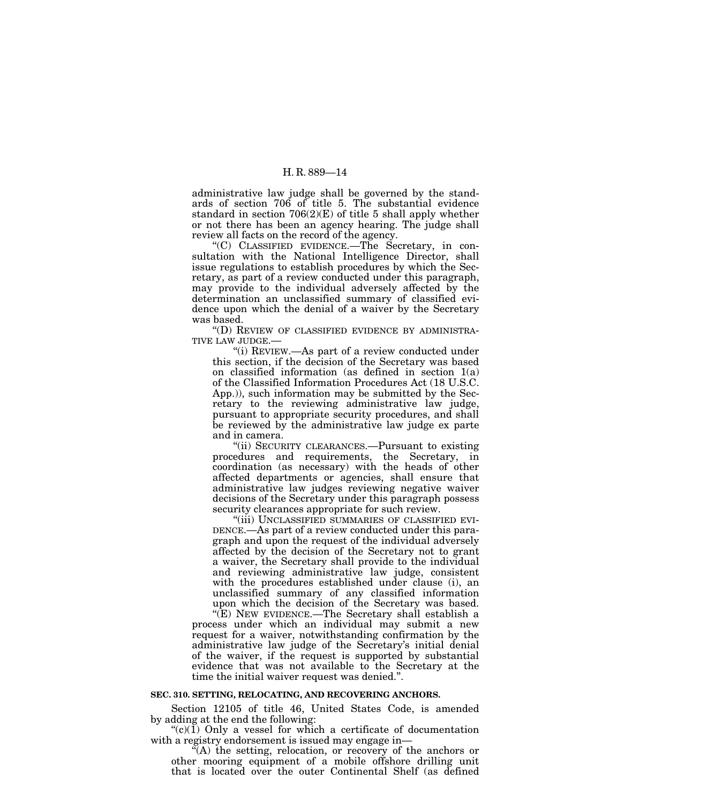administrative law judge shall be governed by the standards of section 706 of title 5. The substantial evidence standard in section  $706(2)(E)$  of title 5 shall apply whether or not there has been an agency hearing. The judge shall review all facts on the record of the agency.

''(C) CLASSIFIED EVIDENCE.—The Secretary, in consultation with the National Intelligence Director, shall issue regulations to establish procedures by which the Secretary, as part of a review conducted under this paragraph, may provide to the individual adversely affected by the determination an unclassified summary of classified evidence upon which the denial of a waiver by the Secretary was based.

''(D) REVIEW OF CLASSIFIED EVIDENCE BY ADMINISTRA-TIVE LAW JUDGE.—

''(i) REVIEW.—As part of a review conducted under this section, if the decision of the Secretary was based on classified information (as defined in section 1(a) of the Classified Information Procedures Act (18 U.S.C. App.)), such information may be submitted by the Secretary to the reviewing administrative law judge, pursuant to appropriate security procedures, and shall be reviewed by the administrative law judge ex parte and in camera.

"(ii) SECURITY CLEARANCES.—Pursuant to existing procedures and requirements, the Secretary, in coordination (as necessary) with the heads of other affected departments or agencies, shall ensure that administrative law judges reviewing negative waiver decisions of the Secretary under this paragraph possess security clearances appropriate for such review.

''(iii) UNCLASSIFIED SUMMARIES OF CLASSIFIED EVI-DENCE.—As part of a review conducted under this paragraph and upon the request of the individual adversely affected by the decision of the Secretary not to grant a waiver, the Secretary shall provide to the individual and reviewing administrative law judge, consistent with the procedures established under clause (i), an unclassified summary of any classified information upon which the decision of the Secretary was based.

''(E) NEW EVIDENCE.—The Secretary shall establish a process under which an individual may submit a new request for a waiver, notwithstanding confirmation by the administrative law judge of the Secretary's initial denial of the waiver, if the request is supported by substantial evidence that was not available to the Secretary at the time the initial waiver request was denied.''.

#### **SEC. 310. SETTING, RELOCATING, AND RECOVERING ANCHORS.**

Section 12105 of title 46, United States Code, is amended by adding at the end the following:

" $(c)(1)$  Only a vessel for which a certificate of documentation with a registry endorsement is issued may engage in—

"(A) the setting, relocation, or recovery of the anchors or other mooring equipment of a mobile offshore drilling unit that is located over the outer Continental Shelf (as defined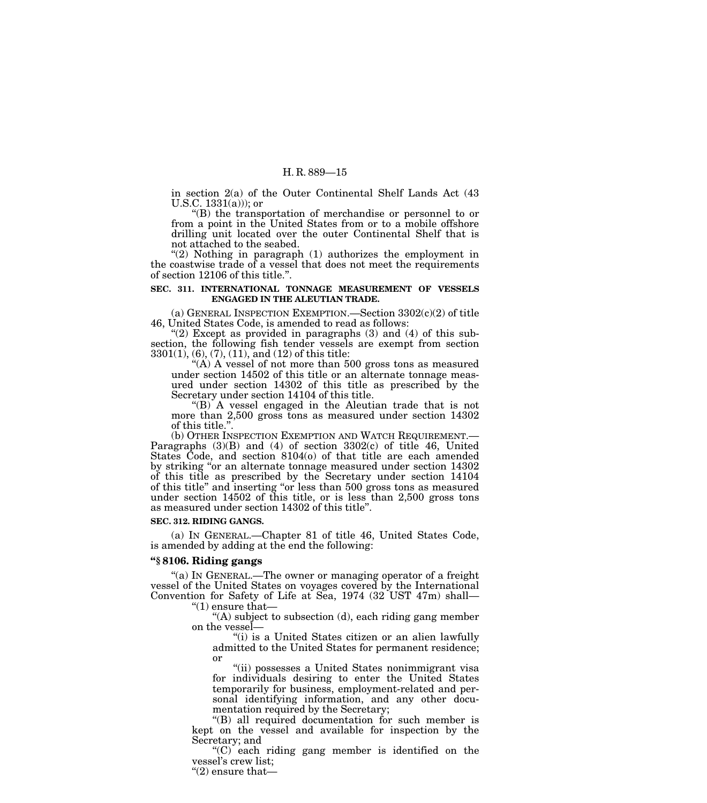in section 2(a) of the Outer Continental Shelf Lands Act (43 U.S.C.  $1331(a))$ ; or

''(B) the transportation of merchandise or personnel to or from a point in the United States from or to a mobile offshore drilling unit located over the outer Continental Shelf that is not attached to the seabed.

" $(2)$  Nothing in paragraph  $(1)$  authorizes the employment in the coastwise trade of a vessel that does not meet the requirements of section 12106 of this title.''.

#### **SEC. 311. INTERNATIONAL TONNAGE MEASUREMENT OF VESSELS ENGAGED IN THE ALEUTIAN TRADE.**

(a) GENERAL INSPECTION EXEMPTION.—Section 3302(c)(2) of title 46, United States Code, is amended to read as follows:

"(2) Except as provided in paragraphs  $(3)$  and  $(4)$  of this subsection, the following fish tender vessels are exempt from section 3301(1), (6), (7), (11), and (12) of this title:

 $(A)$  A vessel of not more than 500 gross tons as measured under section 14502 of this title or an alternate tonnage measured under section 14302 of this title as prescribed by the Secretary under section 14104 of this title.

"(B) A vessel engaged in the Aleutian trade that is not more than 2,500 gross tons as measured under section 14302 of this title.".<br>(b) OTHER INSPECTION EXEMPTION AND WATCH REQUIREMENT.—

Paragraphs  $(3)(B)$  and  $(4)$  of section  $3302(c)$  of title 46, United States Code, and section 8104(o) of that title are each amended by striking ''or an alternate tonnage measured under section 14302 of this title as prescribed by the Secretary under section 14104 of this title'' and inserting ''or less than 500 gross tons as measured under section 14502 of this title, or is less than 2,500 gross tons as measured under section 14302 of this title''.

#### **SEC. 312. RIDING GANGS.**

(a) IN GENERAL.—Chapter 81 of title 46, United States Code, is amended by adding at the end the following:

#### **''§ 8106. Riding gangs**

"(a) IN GENERAL.—The owner or managing operator of a freight vessel of the United States on voyages covered by the International Convention for Safety of Life at Sea, 1974 (32 UST 47m) shall— " $(1)$  ensure that—

> $(A)$  subject to subsection (d), each riding gang member on the vessel—

''(i) is a United States citizen or an alien lawfully admitted to the United States for permanent residence; or

''(ii) possesses a United States nonimmigrant visa for individuals desiring to enter the United States temporarily for business, employment-related and personal identifying information, and any other documentation required by the Secretary;

''(B) all required documentation for such member is kept on the vessel and available for inspection by the Secretary; and

 $(C)$  each riding gang member is identified on the vessel's crew list;

''(2) ensure that—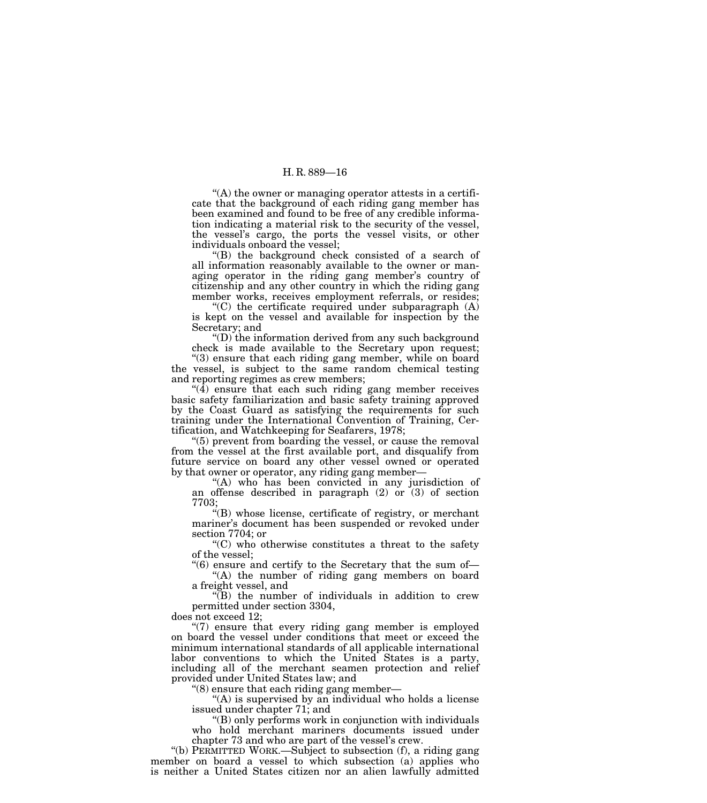$<sup>4</sup>(A)$  the owner or managing operator attests in a certifi-</sup> cate that the background of each riding gang member has been examined and found to be free of any credible information indicating a material risk to the security of the vessel, the vessel's cargo, the ports the vessel visits, or other individuals onboard the vessel;

''(B) the background check consisted of a search of all information reasonably available to the owner or managing operator in the riding gang member's country of citizenship and any other country in which the riding gang member works, receives employment referrals, or resides;

 $C$ ) the certificate required under subparagraph  $(A)$ is kept on the vessel and available for inspection by the Secretary; and

''(D) the information derived from any such background check is made available to the Secretary upon request;

"(3) ensure that each riding gang member, while on board the vessel, is subject to the same random chemical testing and reporting regimes as crew members;

 $\sqrt[4]{4}$  ensure that each such riding gang member receives basic safety familiarization and basic safety training approved by the Coast Guard as satisfying the requirements for such training under the International Convention of Training, Certification, and Watchkeeping for Seafarers, 1978;

''(5) prevent from boarding the vessel, or cause the removal from the vessel at the first available port, and disqualify from future service on board any other vessel owned or operated by that owner or operator, any riding gang member—

"(A) who has been convicted in any jurisdiction of an offense described in paragraph  $(2)$  or  $(3)$  of section 7703;

 $\mathcal{H}(B)$  whose license, certificate of registry, or merchant mariner's document has been suspended or revoked under section 7704; or

 $C$ ) who otherwise constitutes a threat to the safety of the vessel;

''(6) ensure and certify to the Secretary that the sum of— ''(A) the number of riding gang members on board a freight vessel, and

''(B) the number of individuals in addition to crew permitted under section 3304,

does not exceed 12;

"(7) ensure that every riding gang member is employed on board the vessel under conditions that meet or exceed the minimum international standards of all applicable international labor conventions to which the United States is a party, including all of the merchant seamen protection and relief provided under United States law; and

''(8) ensure that each riding gang member—

"(A) is supervised by an individual who holds a license issued under chapter 71; and

''(B) only performs work in conjunction with individuals who hold merchant mariners documents issued under chapter 73 and who are part of the vessel's crew.

''(b) PERMITTED WORK.—Subject to subsection (f), a riding gang member on board a vessel to which subsection (a) applies who is neither a United States citizen nor an alien lawfully admitted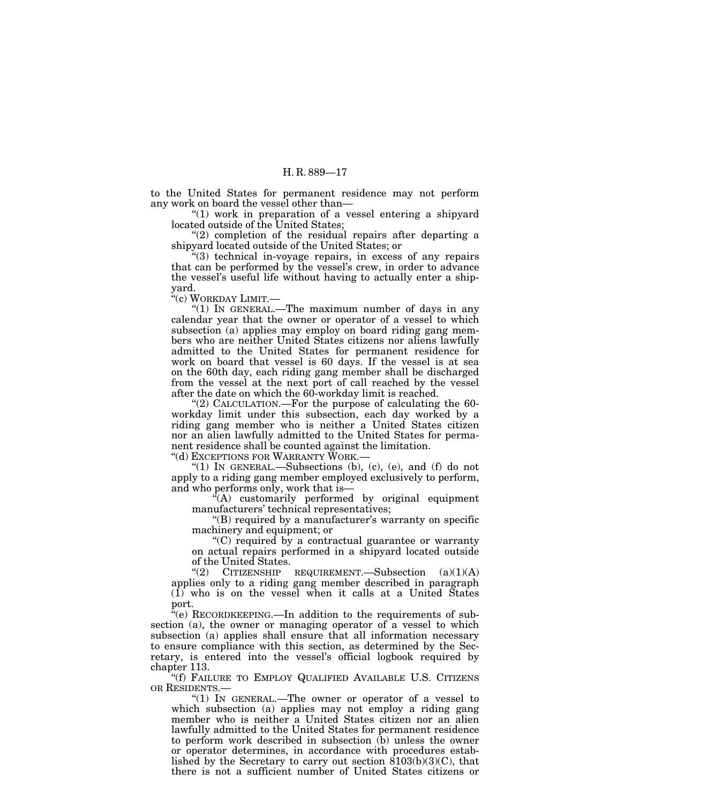to the United States for permanent residence may not perform any work on board the vessel other than—

"(1) work in preparation of a vessel entering a shipyard located outside of the United States;

 $(2)$  completion of the residual repairs after departing a shipyard located outside of the United States; or

''(3) technical in-voyage repairs, in excess of any repairs that can be performed by the vessel's crew, in order to advance the vessel's useful life without having to actually enter a shipyard.

''(c) WORKDAY LIMIT.—

''(1) IN GENERAL.—The maximum number of days in any calendar year that the owner or operator of a vessel to which subsection (a) applies may employ on board riding gang members who are neither United States citizens nor aliens lawfully admitted to the United States for permanent residence for work on board that vessel is 60 days. If the vessel is at sea on the 60th day, each riding gang member shall be discharged from the vessel at the next port of call reached by the vessel after the date on which the 60-workday limit is reached.

" $(2)$  CALCULATION.—For the purpose of calculating the 60workday limit under this subsection, each day worked by a riding gang member who is neither a United States citizen nor an alien lawfully admitted to the United States for permanent residence shall be counted against the limitation.

''(d) EXCEPTIONS FOR WARRANTY WORK.—

"(1) IN GENERAL.—Subsections  $(b)$ ,  $(c)$ ,  $(e)$ , and  $(f)$  do not apply to a riding gang member employed exclusively to perform, and who performs only, work that is—

 ${}^{\alpha}(A)$  customarily performed by original equipment manufacturers' technical representatives;

 $'(B)$  required by a manufacturer's warranty on specific machinery and equipment; or

 $C$ ) required by a contractual guarantee or warranty on actual repairs performed in a shipyard located outside of the United States.

" $(2)$  CITIZENSHIP REQUIREMENT.—Subsection  $(a)(1)(A)$ applies only to a riding gang member described in paragraph (1) who is on the vessel when it calls at a United States port.

 $\mathbf{F}^{\mathbf{r}}(\mathbf{e})$  RECORDKEEPING.—In addition to the requirements of subsection (a), the owner or managing operator of a vessel to which subsection (a) applies shall ensure that all information necessary to ensure compliance with this section, as determined by the Secretary, is entered into the vessel's official logbook required by chapter 113.

''(f) FAILURE TO EMPLOY QUALIFIED AVAILABLE U.S. CITIZENS OR RESIDENTS.—

"(1) IN GENERAL.—The owner or operator of a vessel to which subsection (a) applies may not employ a riding gang member who is neither a United States citizen nor an alien lawfully admitted to the United States for permanent residence to perform work described in subsection (b) unless the owner or operator determines, in accordance with procedures established by the Secretary to carry out section  $\overline{8103(b)(3)(C)}$ , that there is not a sufficient number of United States citizens or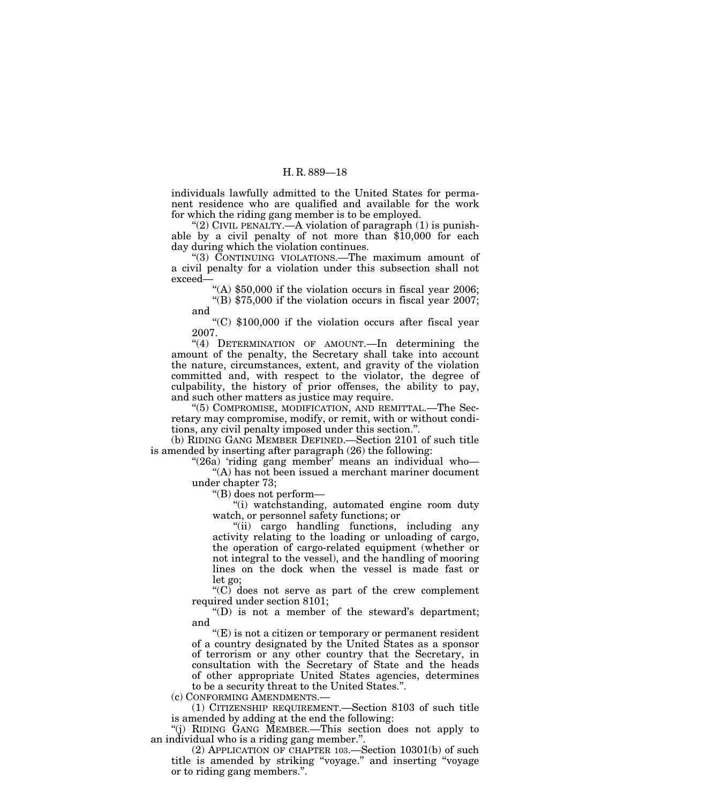individuals lawfully admitted to the United States for permanent residence who are qualified and available for the work for which the riding gang member is to be employed.

"(2) CIVIL PENALTY.—A violation of paragraph  $(1)$  is punishable by a civil penalty of not more than \$10,000 for each day during which the violation continues.

''(3) CONTINUING VIOLATIONS.—The maximum amount of a civil penalty for a violation under this subsection shall not exceed—

"(A)  $$50,000$  if the violation occurs in fiscal year 2006; ''(B) \$75,000 if the violation occurs in fiscal year 2007;

and

''(C) \$100,000 if the violation occurs after fiscal year 2007.

"(4) DETERMINATION OF AMOUNT.—In determining the amount of the penalty, the Secretary shall take into account the nature, circumstances, extent, and gravity of the violation committed and, with respect to the violator, the degree of culpability, the history of prior offenses, the ability to pay, and such other matters as justice may require.

''(5) COMPROMISE, MODIFICATION, AND REMITTAL.—The Secretary may compromise, modify, or remit, with or without conditions, any civil penalty imposed under this section.''.

(b) RIDING GANG MEMBER DEFINED.—Section 2101 of such title is amended by inserting after paragraph (26) the following:

"(26a) 'riding gang member' means an individual who-"(A) has not been issued a merchant mariner document under chapter 73;

''(B) does not perform—

''(i) watchstanding, automated engine room duty watch, or personnel safety functions; or

''(ii) cargo handling functions, including any activity relating to the loading or unloading of cargo, the operation of cargo-related equipment (whether or not integral to the vessel), and the handling of mooring lines on the dock when the vessel is made fast or let go;

" $(C)$  does not serve as part of the crew complement required under section 8101;

 $f(D)$  is not a member of the steward's department; and

 $E(E)$  is not a citizen or temporary or permanent resident of a country designated by the United States as a sponsor of terrorism or any other country that the Secretary, in consultation with the Secretary of State and the heads of other appropriate United States agencies, determines to be a security threat to the United States.''.

(c) CONFORMING AMENDMENTS.—

(1) CITIZENSHIP REQUIREMENT.—Section 8103 of such title is amended by adding at the end the following:

''(j) RIDING GANG MEMBER.—This section does not apply to an individual who is a riding gang member.''.

(2) APPLICATION OF CHAPTER 103.—Section 10301(b) of such title is amended by striking ''voyage.'' and inserting ''voyage or to riding gang members.''.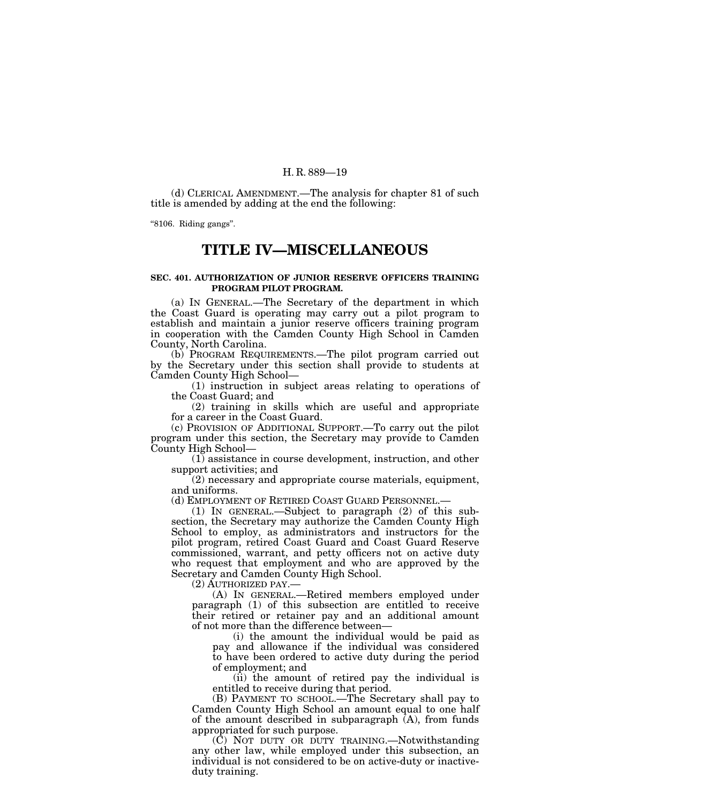(d) CLERICAL AMENDMENT.—The analysis for chapter 81 of such title is amended by adding at the end the following:

''8106. Riding gangs''.

# **TITLE IV—MISCELLANEOUS**

# **SEC. 401. AUTHORIZATION OF JUNIOR RESERVE OFFICERS TRAINING PROGRAM PILOT PROGRAM.**

(a) IN GENERAL.—The Secretary of the department in which the Coast Guard is operating may carry out a pilot program to establish and maintain a junior reserve officers training program in cooperation with the Camden County High School in Camden County, North Carolina.

(b) PROGRAM REQUIREMENTS.—The pilot program carried out by the Secretary under this section shall provide to students at Camden County High School—

(1) instruction in subject areas relating to operations of the Coast Guard; and

(2) training in skills which are useful and appropriate for a career in the Coast Guard.

(c) PROVISION OF ADDITIONAL SUPPORT.—To carry out the pilot program under this section, the Secretary may provide to Camden County High School—

(1) assistance in course development, instruction, and other support activities; and

(2) necessary and appropriate course materials, equipment, and uniforms.

(d) EMPLOYMENT OF RETIRED COAST GUARD PERSONNEL.—

(1) IN GENERAL.—Subject to paragraph (2) of this subsection, the Secretary may authorize the Camden County High School to employ, as administrators and instructors for the pilot program, retired Coast Guard and Coast Guard Reserve commissioned, warrant, and petty officers not on active duty who request that employment and who are approved by the Secretary and Camden County High School.

(2) AUTHORIZED PAY.—

(A) IN GENERAL.—Retired members employed under paragraph (1) of this subsection are entitled to receive their retired or retainer pay and an additional amount of not more than the difference between—

(i) the amount the individual would be paid as pay and allowance if the individual was considered to have been ordered to active duty during the period of employment; and

(ii) the amount of retired pay the individual is entitled to receive during that period.

(B) PAYMENT TO SCHOOL.—The Secretary shall pay to Camden County High School an amount equal to one half of the amount described in subparagraph  $(A)$ , from funds appropriated for such purpose.

(C) NOT DUTY OR DUTY TRAINING.—Notwithstanding any other law, while employed under this subsection, an individual is not considered to be on active-duty or inactiveduty training.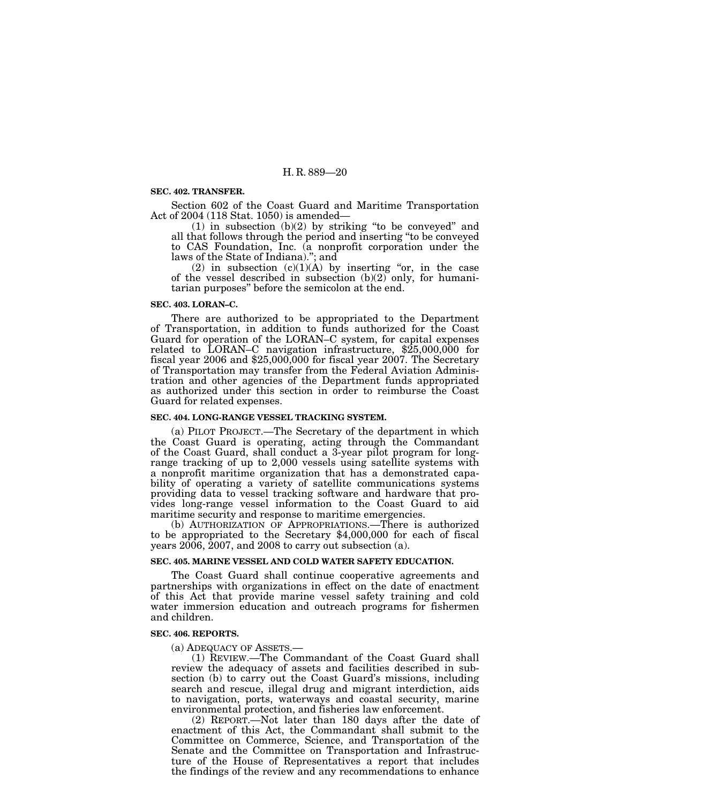# **SEC. 402. TRANSFER.**

Section 602 of the Coast Guard and Maritime Transportation Act of 2004 (118 Stat. 1050) is amended—

(1) in subsection (b)(2) by striking ''to be conveyed'' and all that follows through the period and inserting ''to be conveyed to CAS Foundation, Inc. (a nonprofit corporation under the laws of the State of Indiana).''; and

(2) in subsection  $(c)(1)(A)$  by inserting "or, in the case of the vessel described in subsection  $(b)(2)$  only, for humanitarian purposes'' before the semicolon at the end.

#### **SEC. 403. LORAN–C.**

There are authorized to be appropriated to the Department of Transportation, in addition to funds authorized for the Coast Guard for operation of the LORAN–C system, for capital expenses related to LORAN–C navigation infrastructure, \$25,000,000 for fiscal year 2006 and \$25,000,000 for fiscal year 2007. The Secretary of Transportation may transfer from the Federal Aviation Administration and other agencies of the Department funds appropriated as authorized under this section in order to reimburse the Coast Guard for related expenses.

#### **SEC. 404. LONG-RANGE VESSEL TRACKING SYSTEM.**

(a) PILOT PROJECT.—The Secretary of the department in which the Coast Guard is operating, acting through the Commandant of the Coast Guard, shall conduct a 3-year pilot program for longrange tracking of up to 2,000 vessels using satellite systems with a nonprofit maritime organization that has a demonstrated capability of operating a variety of satellite communications systems providing data to vessel tracking software and hardware that provides long-range vessel information to the Coast Guard to aid maritime security and response to maritime emergencies.

(b) AUTHORIZATION OF APPROPRIATIONS.—There is authorized to be appropriated to the Secretary \$4,000,000 for each of fiscal years 2006, 2007, and 2008 to carry out subsection (a).

#### **SEC. 405. MARINE VESSEL AND COLD WATER SAFETY EDUCATION.**

The Coast Guard shall continue cooperative agreements and partnerships with organizations in effect on the date of enactment of this Act that provide marine vessel safety training and cold water immersion education and outreach programs for fishermen and children.

#### **SEC. 406. REPORTS.**

(a) ADEQUACY OF ASSETS.— (1) REVIEW.—The Commandant of the Coast Guard shall review the adequacy of assets and facilities described in subsection (b) to carry out the Coast Guard's missions, including search and rescue, illegal drug and migrant interdiction, aids to navigation, ports, waterways and coastal security, marine environmental protection, and fisheries law enforcement.

(2) REPORT.—Not later than 180 days after the date of enactment of this Act, the Commandant shall submit to the Committee on Commerce, Science, and Transportation of the Senate and the Committee on Transportation and Infrastructure of the House of Representatives a report that includes the findings of the review and any recommendations to enhance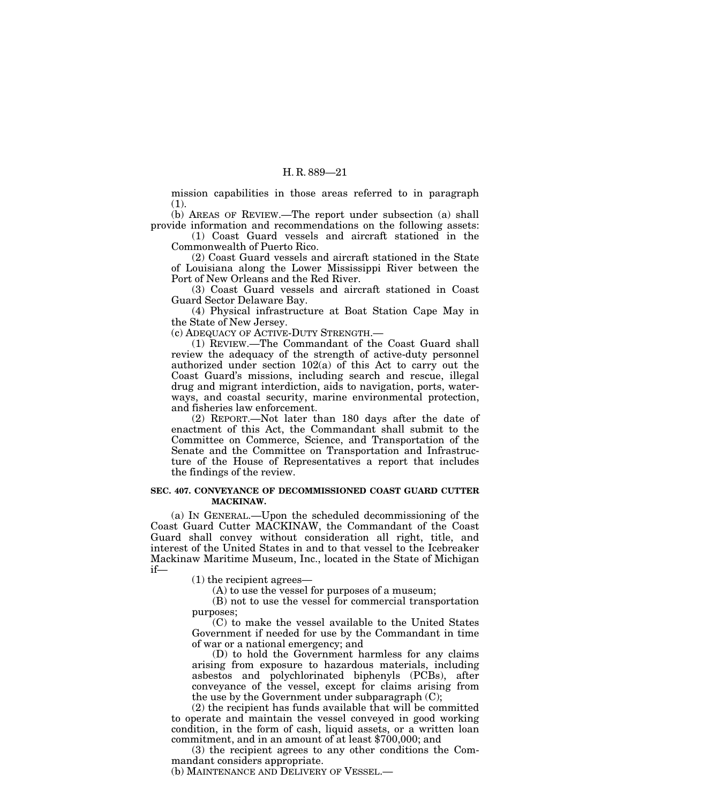mission capabilities in those areas referred to in paragraph (1).

(b) AREAS OF REVIEW.—The report under subsection (a) shall provide information and recommendations on the following assets:

(1) Coast Guard vessels and aircraft stationed in the Commonwealth of Puerto Rico.

(2) Coast Guard vessels and aircraft stationed in the State of Louisiana along the Lower Mississippi River between the Port of New Orleans and the Red River.

(3) Coast Guard vessels and aircraft stationed in Coast Guard Sector Delaware Bay.

(4) Physical infrastructure at Boat Station Cape May in the State of New Jersey.

(c) ADEQUACY OF ACTIVE-DUTY STRENGTH.—

(1) REVIEW.—The Commandant of the Coast Guard shall review the adequacy of the strength of active-duty personnel authorized under section 102(a) of this Act to carry out the Coast Guard's missions, including search and rescue, illegal drug and migrant interdiction, aids to navigation, ports, waterways, and coastal security, marine environmental protection, and fisheries law enforcement.

(2) REPORT.—Not later than 180 days after the date of enactment of this Act, the Commandant shall submit to the Committee on Commerce, Science, and Transportation of the Senate and the Committee on Transportation and Infrastructure of the House of Representatives a report that includes the findings of the review.

### **SEC. 407. CONVEYANCE OF DECOMMISSIONED COAST GUARD CUTTER MACKINAW.**

(a) IN GENERAL.—Upon the scheduled decommissioning of the Coast Guard Cutter MACKINAW, the Commandant of the Coast Guard shall convey without consideration all right, title, and interest of the United States in and to that vessel to the Icebreaker Mackinaw Maritime Museum, Inc., located in the State of Michigan if—

(1) the recipient agrees—

(A) to use the vessel for purposes of a museum;

(B) not to use the vessel for commercial transportation purposes;

(C) to make the vessel available to the United States Government if needed for use by the Commandant in time of war or a national emergency; and

(D) to hold the Government harmless for any claims arising from exposure to hazardous materials, including asbestos and polychlorinated biphenyls (PCBs), after conveyance of the vessel, except for claims arising from the use by the Government under subparagraph (C);

(2) the recipient has funds available that will be committed to operate and maintain the vessel conveyed in good working condition, in the form of cash, liquid assets, or a written loan commitment, and in an amount of at least \$700,000; and

(3) the recipient agrees to any other conditions the Commandant considers appropriate.

(b) MAINTENANCE AND DELIVERY OF VESSEL.—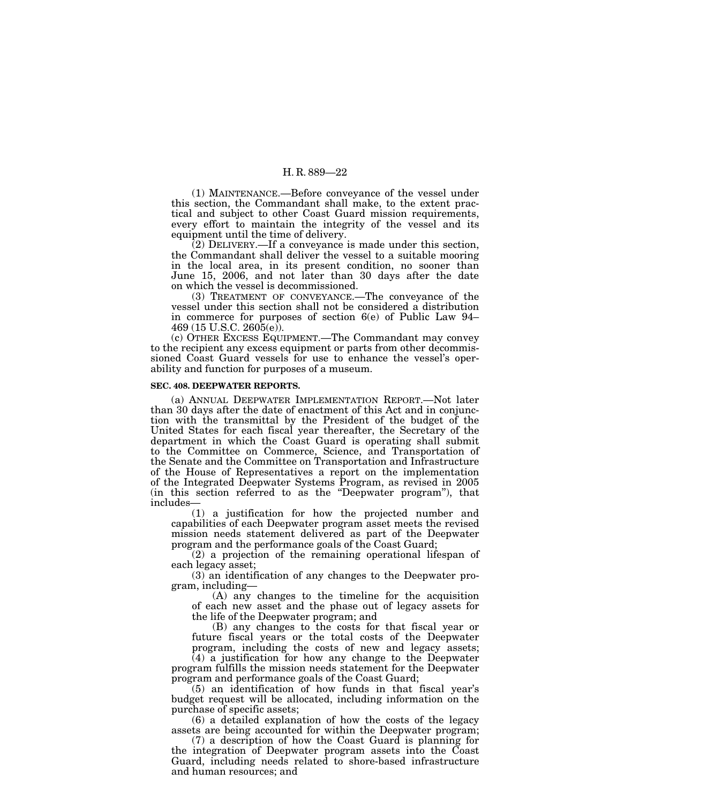(1) MAINTENANCE.—Before conveyance of the vessel under this section, the Commandant shall make, to the extent practical and subject to other Coast Guard mission requirements, every effort to maintain the integrity of the vessel and its equipment until the time of delivery.

(2) DELIVERY.—If a conveyance is made under this section, the Commandant shall deliver the vessel to a suitable mooring in the local area, in its present condition, no sooner than June 15, 2006, and not later than 30 days after the date on which the vessel is decommissioned.

(3) TREATMENT OF CONVEYANCE.—The conveyance of the vessel under this section shall not be considered a distribution in commerce for purposes of section 6(e) of Public Law 94– 469 (15 U.S.C. 2605(e)).

(c) OTHER EXCESS EQUIPMENT.—The Commandant may convey to the recipient any excess equipment or parts from other decommissioned Coast Guard vessels for use to enhance the vessel's operability and function for purposes of a museum.

#### **SEC. 408. DEEPWATER REPORTS.**

(a) ANNUAL DEEPWATER IMPLEMENTATION REPORT.—Not later than 30 days after the date of enactment of this Act and in conjunction with the transmittal by the President of the budget of the United States for each fiscal year thereafter, the Secretary of the department in which the Coast Guard is operating shall submit to the Committee on Commerce, Science, and Transportation of the Senate and the Committee on Transportation and Infrastructure of the House of Representatives a report on the implementation of the Integrated Deepwater Systems Program, as revised in 2005 (in this section referred to as the ''Deepwater program''), that includes—

(1) a justification for how the projected number and capabilities of each Deepwater program asset meets the revised mission needs statement delivered as part of the Deepwater program and the performance goals of the Coast Guard;

(2) a projection of the remaining operational lifespan of each legacy asset;

(3) an identification of any changes to the Deepwater program, including—

(A) any changes to the timeline for the acquisition of each new asset and the phase out of legacy assets for the life of the Deepwater program; and

(B) any changes to the costs for that fiscal year or future fiscal years or the total costs of the Deepwater program, including the costs of new and legacy assets;

(4) a justification for how any change to the Deepwater program fulfills the mission needs statement for the Deepwater program and performance goals of the Coast Guard;

(5) an identification of how funds in that fiscal year's budget request will be allocated, including information on the purchase of specific assets;

(6) a detailed explanation of how the costs of the legacy assets are being accounted for within the Deepwater program;

(7) a description of how the Coast Guard is planning for the integration of Deepwater program assets into the Coast Guard, including needs related to shore-based infrastructure and human resources; and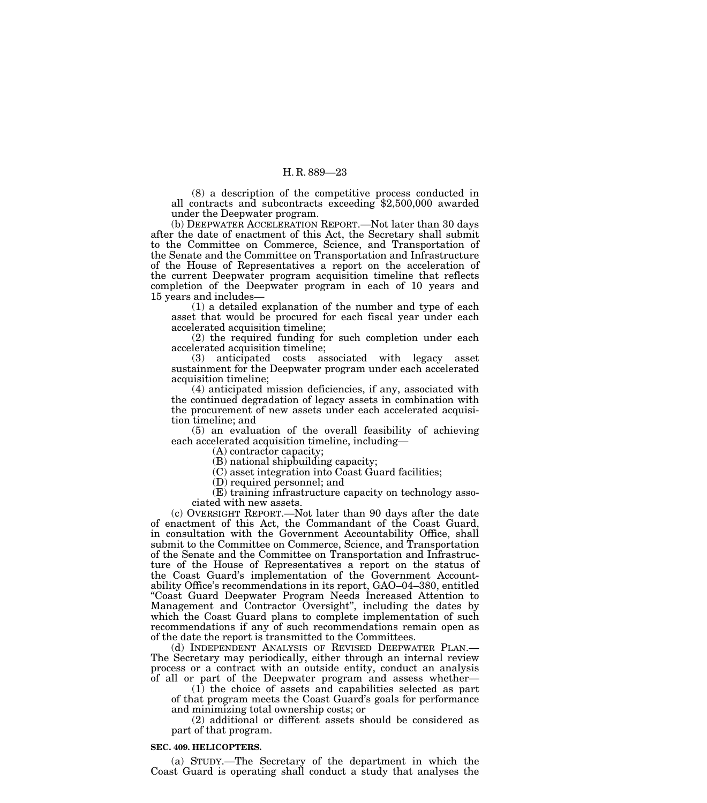(8) a description of the competitive process conducted in all contracts and subcontracts exceeding \$2,500,000 awarded under the Deepwater program.

(b) DEEPWATER ACCELERATION REPORT.—Not later than 30 days after the date of enactment of this Act, the Secretary shall submit to the Committee on Commerce, Science, and Transportation of the Senate and the Committee on Transportation and Infrastructure of the House of Representatives a report on the acceleration of the current Deepwater program acquisition timeline that reflects completion of the Deepwater program in each of 10 years and 15 years and includes—

(1) a detailed explanation of the number and type of each asset that would be procured for each fiscal year under each accelerated acquisition timeline;

(2) the required funding for such completion under each accelerated acquisition timeline;

(3) anticipated costs associated with legacy asset sustainment for the Deepwater program under each accelerated acquisition timeline;

(4) anticipated mission deficiencies, if any, associated with the continued degradation of legacy assets in combination with the procurement of new assets under each accelerated acquisition timeline; and

(5) an evaluation of the overall feasibility of achieving each accelerated acquisition timeline, including—

(A) contractor capacity;

(B) national shipbuilding capacity;

(C) asset integration into Coast Guard facilities;

(D) required personnel; and

(E) training infrastructure capacity on technology associated with new assets.

(c) OVERSIGHT REPORT.—Not later than 90 days after the date of enactment of this Act, the Commandant of the Coast Guard, in consultation with the Government Accountability Office, shall submit to the Committee on Commerce, Science, and Transportation of the Senate and the Committee on Transportation and Infrastructure of the House of Representatives a report on the status of the Coast Guard's implementation of the Government Accountability Office's recommendations in its report, GAO–04–380, entitled ''Coast Guard Deepwater Program Needs Increased Attention to Management and Contractor Oversight'', including the dates by which the Coast Guard plans to complete implementation of such recommendations if any of such recommendations remain open as of the date the report is transmitted to the Committees.<br>(d) INDEPENDENT ANALYSIS OF REVISED DEEPWATER PLAN.—

The Secretary may periodically, either through an internal review process or a contract with an outside entity, conduct an analysis of all or part of the Deepwater program and assess whether—

(1) the choice of assets and capabilities selected as part of that program meets the Coast Guard's goals for performance and minimizing total ownership costs; or

(2) additional or different assets should be considered as part of that program.

#### **SEC. 409. HELICOPTERS.**

(a) STUDY.—The Secretary of the department in which the Coast Guard is operating shall conduct a study that analyses the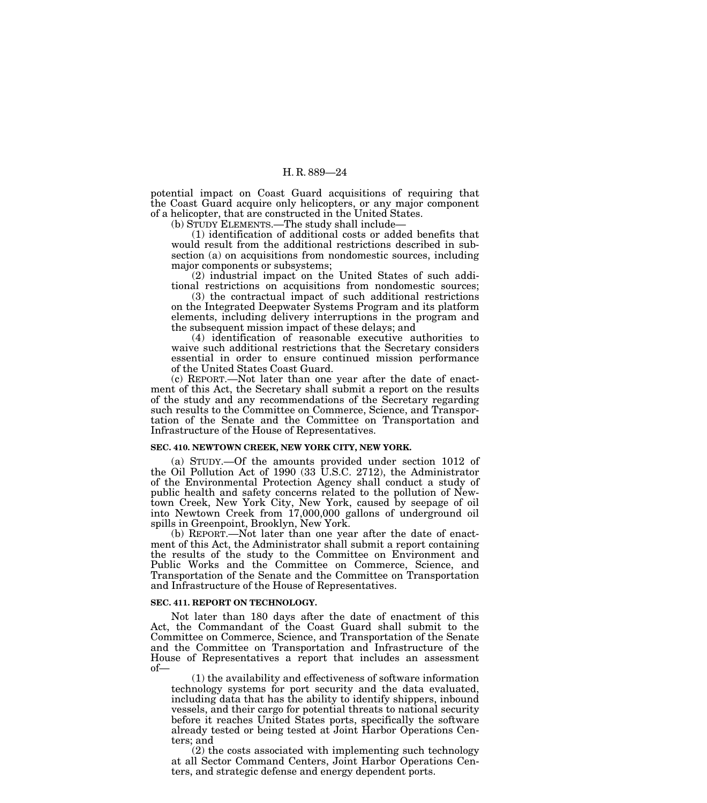potential impact on Coast Guard acquisitions of requiring that the Coast Guard acquire only helicopters, or any major component of a helicopter, that are constructed in the United States.

(b) STUDY ELEMENTS.—The study shall include—

(1) identification of additional costs or added benefits that would result from the additional restrictions described in subsection (a) on acquisitions from nondomestic sources, including major components or subsystems;

(2) industrial impact on the United States of such additional restrictions on acquisitions from nondomestic sources;

(3) the contractual impact of such additional restrictions on the Integrated Deepwater Systems Program and its platform elements, including delivery interruptions in the program and the subsequent mission impact of these delays; and

(4) identification of reasonable executive authorities to waive such additional restrictions that the Secretary considers essential in order to ensure continued mission performance of the United States Coast Guard.

(c) REPORT.—Not later than one year after the date of enactment of this Act, the Secretary shall submit a report on the results of the study and any recommendations of the Secretary regarding such results to the Committee on Commerce, Science, and Transportation of the Senate and the Committee on Transportation and Infrastructure of the House of Representatives.

#### **SEC. 410. NEWTOWN CREEK, NEW YORK CITY, NEW YORK.**

(a) STUDY.—Of the amounts provided under section 1012 of the Oil Pollution Act of 1990 (33 U.S.C. 2712), the Administrator of the Environmental Protection Agency shall conduct a study of public health and safety concerns related to the pollution of Newtown Creek, New York City, New York, caused by seepage of oil into Newtown Creek from 17,000,000 gallons of underground oil spills in Greenpoint, Brooklyn, New York.

(b) REPORT.—Not later than one year after the date of enactment of this Act, the Administrator shall submit a report containing the results of the study to the Committee on Environment and Public Works and the Committee on Commerce, Science, and Transportation of the Senate and the Committee on Transportation and Infrastructure of the House of Representatives.

#### **SEC. 411. REPORT ON TECHNOLOGY.**

Not later than 180 days after the date of enactment of this Act, the Commandant of the Coast Guard shall submit to the Committee on Commerce, Science, and Transportation of the Senate and the Committee on Transportation and Infrastructure of the House of Representatives a report that includes an assessment of—

(1) the availability and effectiveness of software information technology systems for port security and the data evaluated, including data that has the ability to identify shippers, inbound vessels, and their cargo for potential threats to national security before it reaches United States ports, specifically the software already tested or being tested at Joint Harbor Operations Centers; and

(2) the costs associated with implementing such technology at all Sector Command Centers, Joint Harbor Operations Centers, and strategic defense and energy dependent ports.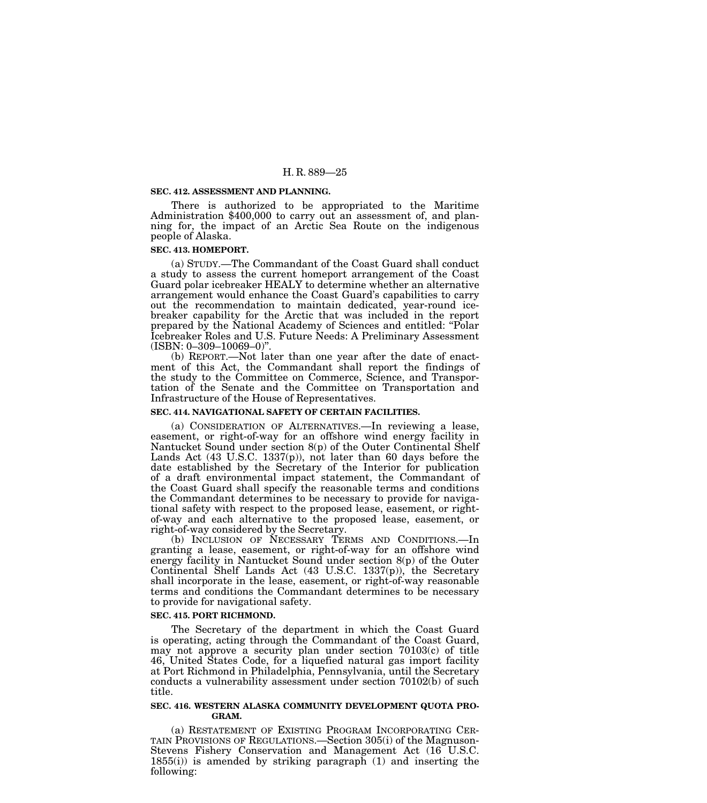#### **SEC. 412. ASSESSMENT AND PLANNING.**

There is authorized to be appropriated to the Maritime Administration \$400,000 to carry out an assessment of, and planning for, the impact of an Arctic Sea Route on the indigenous people of Alaska.

#### **SEC. 413. HOMEPORT.**

(a) STUDY.—The Commandant of the Coast Guard shall conduct a study to assess the current homeport arrangement of the Coast Guard polar icebreaker HEALY to determine whether an alternative arrangement would enhance the Coast Guard's capabilities to carry out the recommendation to maintain dedicated, year-round icebreaker capability for the Arctic that was included in the report prepared by the National Academy of Sciences and entitled: ''Polar Icebreaker Roles and U.S. Future Needs: A Preliminary Assessment (ISBN: 0–309–10069–0)''.

(b) REPORT.—Not later than one year after the date of enactment of this Act, the Commandant shall report the findings of the study to the Committee on Commerce, Science, and Transportation of the Senate and the Committee on Transportation and Infrastructure of the House of Representatives.

#### **SEC. 414. NAVIGATIONAL SAFETY OF CERTAIN FACILITIES.**

(a) CONSIDERATION OF ALTERNATIVES.—In reviewing a lease, easement, or right-of-way for an offshore wind energy facility in Nantucket Sound under section 8(p) of the Outer Continental Shelf Lands Act (43 U.S.C. 1337(p)), not later than 60 days before the date established by the Secretary of the Interior for publication of a draft environmental impact statement, the Commandant of the Coast Guard shall specify the reasonable terms and conditions the Commandant determines to be necessary to provide for navigational safety with respect to the proposed lease, easement, or rightof-way and each alternative to the proposed lease, easement, or right-of-way considered by the Secretary.

(b) INCLUSION OF NECESSARY TERMS AND CONDITIONS.—In granting a lease, easement, or right-of-way for an offshore wind energy facility in Nantucket Sound under section 8(p) of the Outer Continental Shelf Lands Act (43 U.S.C. 1337(p)), the Secretary shall incorporate in the lease, easement, or right-of-way reasonable terms and conditions the Commandant determines to be necessary to provide for navigational safety.

# **SEC. 415. PORT RICHMOND.**

The Secretary of the department in which the Coast Guard is operating, acting through the Commandant of the Coast Guard, may not approve a security plan under section 70103(c) of title 46, United States Code, for a liquefied natural gas import facility at Port Richmond in Philadelphia, Pennsylvania, until the Secretary conducts a vulnerability assessment under section 70102(b) of such title.

#### **SEC. 416. WESTERN ALASKA COMMUNITY DEVELOPMENT QUOTA PRO-GRAM.**

(a) RESTATEMENT OF EXISTING PROGRAM INCORPORATING CER- TAIN PROVISIONS OF REGULATIONS.—Section 305(i) of the Magnuson-Stevens Fishery Conservation and Management Act (16 U.S.C. 1855(i)) is amended by striking paragraph (1) and inserting the following: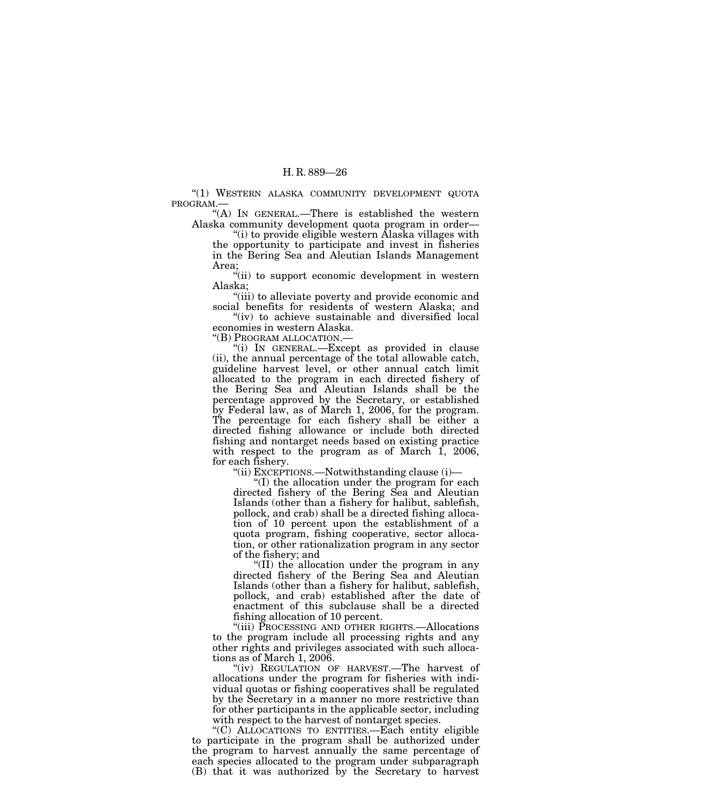"(1) WESTERN ALASKA COMMUNITY DEVELOPMENT QUOTA PROGRAM.—

''(A) IN GENERAL.—There is established the western Alaska community development quota program in order—

''(i) to provide eligible western Alaska villages with the opportunity to participate and invest in fisheries in the Bering Sea and Aleutian Islands Management Area;

"(ii) to support economic development in western Alaska;

''(iii) to alleviate poverty and provide economic and social benefits for residents of western Alaska; and

"(iv) to achieve sustainable and diversified local economies in western Alaska.<br>"(B) PROGRAM ALLOCATION.—

"(i) IN GENERAL.—Except as provided in clause (ii), the annual percentage of the total allowable catch, guideline harvest level, or other annual catch limit allocated to the program in each directed fishery of the Bering Sea and Aleutian Islands shall be the percentage approved by the Secretary, or established by Federal law, as of March 1, 2006, for the program. The percentage for each fishery shall be either a directed fishing allowance or include both directed fishing and nontarget needs based on existing practice with respect to the program as of March 1, 2006, for each fishery.

''(ii) EXCEPTIONS.—Notwithstanding clause (i)—

''(I) the allocation under the program for each directed fishery of the Bering Sea and Aleutian Islands (other than a fishery for halibut, sablefish, pollock, and crab) shall be a directed fishing allocation of 10 percent upon the establishment of a quota program, fishing cooperative, sector allocation, or other rationalization program in any sector of the fishery; and

''(II) the allocation under the program in any directed fishery of the Bering Sea and Aleutian Islands (other than a fishery for halibut, sablefish, pollock, and crab) established after the date of enactment of this subclause shall be a directed fishing allocation of 10 percent.

''(iii) PROCESSING AND OTHER RIGHTS.—Allocations to the program include all processing rights and any other rights and privileges associated with such allocations as of March 1, 2006.

"(iv) REGULATION OF HARVEST.—The harvest of allocations under the program for fisheries with individual quotas or fishing cooperatives shall be regulated by the Secretary in a manner no more restrictive than for other participants in the applicable sector, including with respect to the harvest of nontarget species.

''(C) ALLOCATIONS TO ENTITIES.—Each entity eligible to participate in the program shall be authorized under the program to harvest annually the same percentage of each species allocated to the program under subparagraph (B) that it was authorized by the Secretary to harvest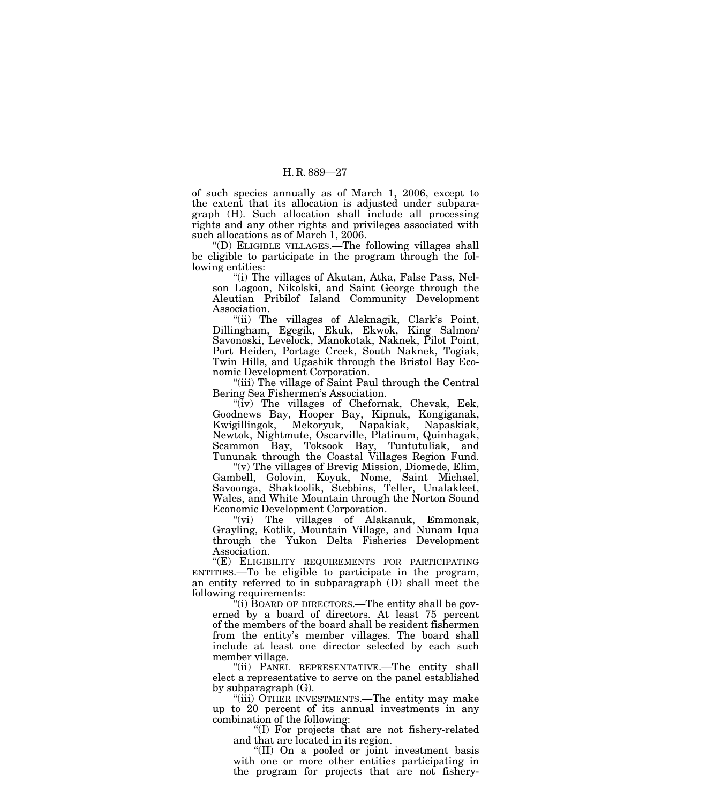of such species annually as of March 1, 2006, except to the extent that its allocation is adjusted under subparagraph (H). Such allocation shall include all processing rights and any other rights and privileges associated with such allocations as of March 1, 2006.

''(D) ELIGIBLE VILLAGES.—The following villages shall be eligible to participate in the program through the following entities:

''(i) The villages of Akutan, Atka, False Pass, Nelson Lagoon, Nikolski, and Saint George through the Aleutian Pribilof Island Community Development Association.

"(ii) The villages of Aleknagik, Clark's Point, Dillingham, Egegik, Ekuk, Ekwok, King Salmon/ Savonoski, Levelock, Manokotak, Naknek, Pilot Point, Port Heiden, Portage Creek, South Naknek, Togiak, Twin Hills, and Ugashik through the Bristol Bay Economic Development Corporation.

"(iii) The village of Saint Paul through the Central Bering Sea Fishermen's Association.

"(iv) The villages of Chefornak, Chevak, Eek, Goodnews Bay, Hooper Bay, Kipnuk, Kongiganak, Kwigillingok, Mekoryuk, Napakiak, Napaskiak, Newtok, Nightmute, Oscarville, Platinum, Quinhagak, Scammon Bay, Toksook Bay, Tuntutuliak, and Tununak through the Coastal Villages Region Fund.

''(v) The villages of Brevig Mission, Diomede, Elim, Gambell, Golovin, Koyuk, Nome, Saint Michael, Savoonga, Shaktoolik, Stebbins, Teller, Unalakleet, Wales, and White Mountain through the Norton Sound Economic Development Corporation.

''(vi) The villages of Alakanuk, Emmonak, Grayling, Kotlik, Mountain Village, and Nunam Iqua through the Yukon Delta Fisheries Development Association.

"(E) ELIGIBILITY REQUIREMENTS FOR PARTICIPATING ENTITIES.—To be eligible to participate in the program, an entity referred to in subparagraph (D) shall meet the following requirements:

''(i) BOARD OF DIRECTORS.—The entity shall be governed by a board of directors. At least 75 percent of the members of the board shall be resident fishermen from the entity's member villages. The board shall include at least one director selected by each such member village.

"(ii) PANEL REPRESENTATIVE.—The entity shall elect a representative to serve on the panel established by subparagraph (G).

"(iii) OTHER INVESTMENTS.—The entity may make up to 20 percent of its annual investments in any combination of the following:

''(I) For projects that are not fishery-related and that are located in its region.

''(II) On a pooled or joint investment basis with one or more other entities participating in the program for projects that are not fishery-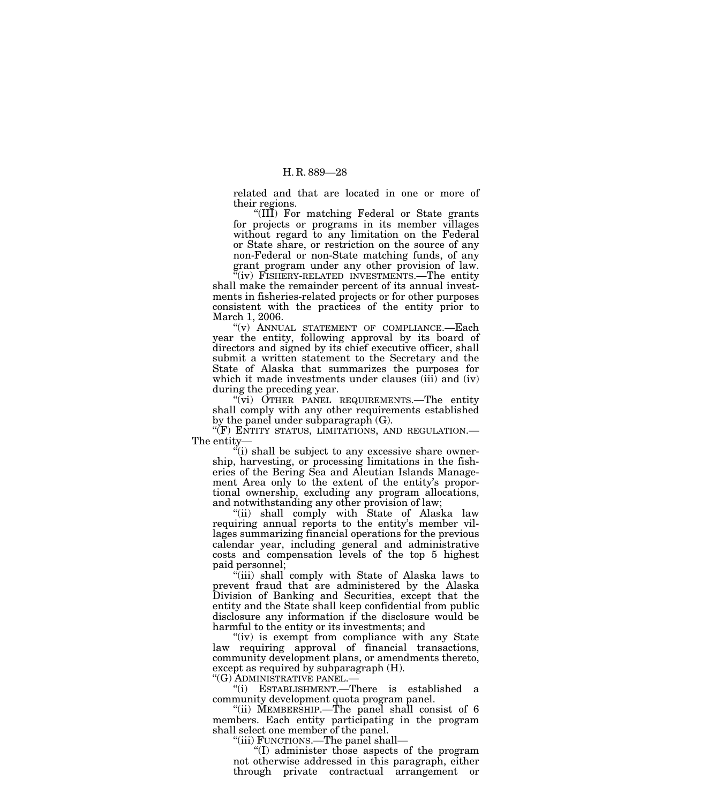related and that are located in one or more of their regions.

"(III) For matching Federal or State grants for projects or programs in its member villages without regard to any limitation on the Federal or State share, or restriction on the source of any non-Federal or non-State matching funds, of any grant program under any other provision of law.

"(iv) FISHERY-RELATED INVESTMENTS.—The entity shall make the remainder percent of its annual investments in fisheries-related projects or for other purposes consistent with the practices of the entity prior to March 1, 2006.

''(v) ANNUAL STATEMENT OF COMPLIANCE.—Each year the entity, following approval by its board of directors and signed by its chief executive officer, shall submit a written statement to the Secretary and the State of Alaska that summarizes the purposes for which it made investments under clauses (iii) and (iv) during the preceding year.

''(vi) OTHER PANEL REQUIREMENTS.—The entity shall comply with any other requirements established by the panel under subparagraph (G).

''(F) ENTITY STATUS, LIMITATIONS, AND REGULATION.— The entity—

 $\mathcal{L}(i)$  shall be subject to any excessive share ownership, harvesting, or processing limitations in the fisheries of the Bering Sea and Aleutian Islands Management Area only to the extent of the entity's proportional ownership, excluding any program allocations, and notwithstanding any other provision of law;

''(ii) shall comply with State of Alaska law requiring annual reports to the entity's member villages summarizing financial operations for the previous calendar year, including general and administrative costs and compensation levels of the top 5 highest paid personnel;

''(iii) shall comply with State of Alaska laws to prevent fraud that are administered by the Alaska Division of Banking and Securities, except that the entity and the State shall keep confidential from public disclosure any information if the disclosure would be harmful to the entity or its investments; and

"(iv) is exempt from compliance with any State law requiring approval of financial transactions, community development plans, or amendments thereto, except as required by subparagraph (H).

''(G) ADMINISTRATIVE PANEL.—

''(i) ESTABLISHMENT.—There is established a community development quota program panel.

''(ii) MEMBERSHIP.—The panel shall consist of 6 members. Each entity participating in the program shall select one member of the panel.

''(iii) FUNCTIONS.—The panel shall—

''(I) administer those aspects of the program not otherwise addressed in this paragraph, either through private contractual arrangement or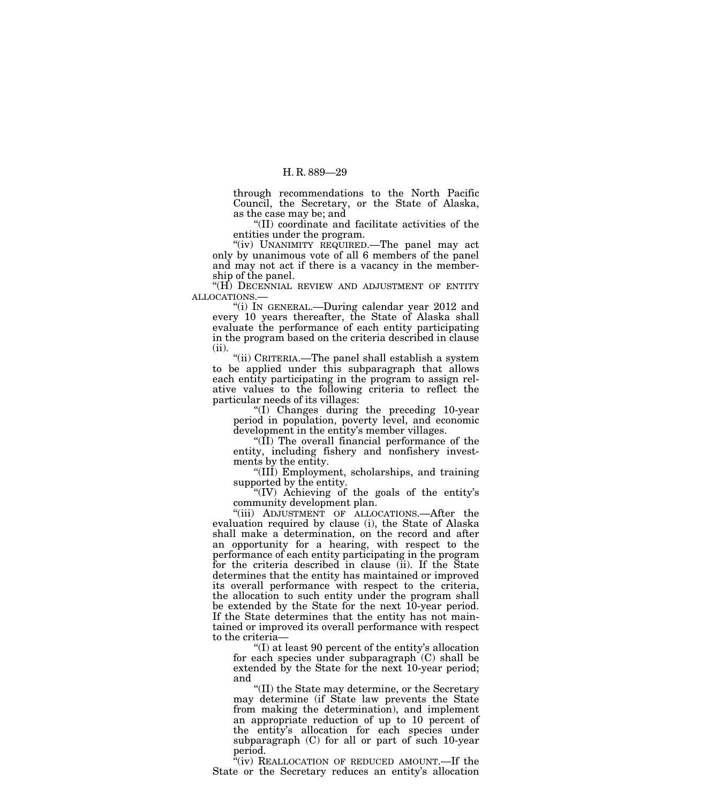through recommendations to the North Pacific Council, the Secretary, or the State of Alaska, as the case may be; and

''(II) coordinate and facilitate activities of the entities under the program.

"(iv) UNANIMITY REQUIRED.—The panel may act only by unanimous vote of all 6 members of the panel and may not act if there is a vacancy in the membership of the panel.

" $(H)$  DECENNIAL REVIEW AND ADJUSTMENT OF ENTITY ALLOCATIONS.—

"(i) IN GENERAL.—During calendar year 2012 and every 10 years thereafter, the State of Alaska shall evaluate the performance of each entity participating in the program based on the criteria described in clause (ii).

''(ii) CRITERIA.—The panel shall establish a system to be applied under this subparagraph that allows each entity participating in the program to assign relative values to the following criteria to reflect the particular needs of its villages:

''(I) Changes during the preceding 10-year period in population, poverty level, and economic development in the entity's member villages.

''(II) The overall financial performance of the entity, including fishery and nonfishery investments by the entity.

''(III) Employment, scholarships, and training supported by the entity.

''(IV) Achieving of the goals of the entity's community development plan.

''(iii) ADJUSTMENT OF ALLOCATIONS.—After the evaluation required by clause (i), the State of Alaska shall make a determination, on the record and after an opportunity for a hearing, with respect to the performance of each entity participating in the program for the criteria described in clause (ii). If the State determines that the entity has maintained or improved its overall performance with respect to the criteria, the allocation to such entity under the program shall be extended by the State for the next 10-year period. If the State determines that the entity has not maintained or improved its overall performance with respect to the criteria—

''(I) at least 90 percent of the entity's allocation for each species under subparagraph (C) shall be extended by the State for the next 10-year period; and

''(II) the State may determine, or the Secretary may determine (if State law prevents the State from making the determination), and implement an appropriate reduction of up to 10 percent of the entity's allocation for each species under subparagraph (C) for all or part of such 10-year period.

 $\frac{a}{x}$ (iv) REALLOCATION OF REDUCED AMOUNT.—If the State or the Secretary reduces an entity's allocation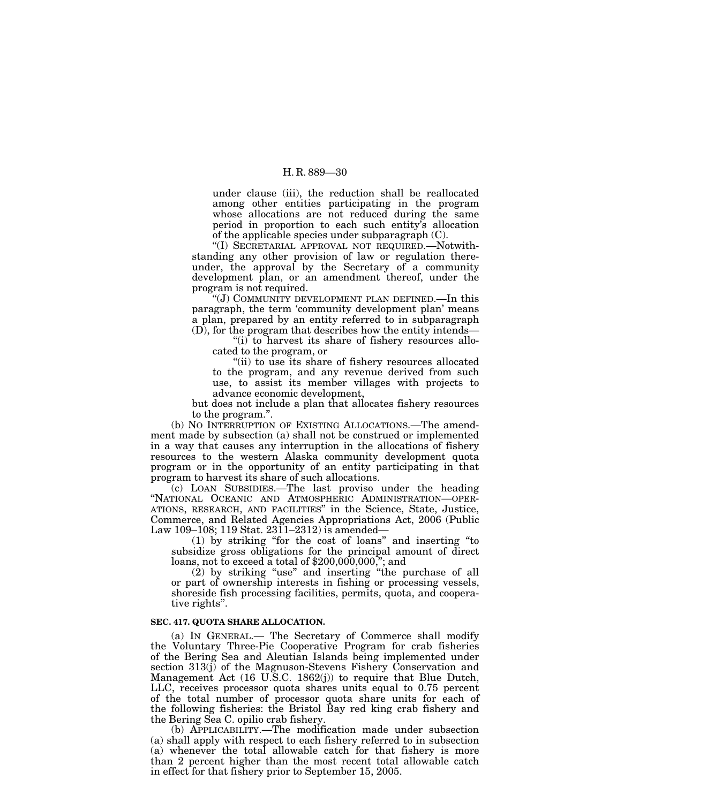under clause (iii), the reduction shall be reallocated among other entities participating in the program whose allocations are not reduced during the same period in proportion to each such entity's allocation of the applicable species under subparagraph (C).

''(I) SECRETARIAL APPROVAL NOT REQUIRED.—Notwithstanding any other provision of law or regulation thereunder, the approval by the Secretary of a community development plan, or an amendment thereof, under the program is not required.

''(J) COMMUNITY DEVELOPMENT PLAN DEFINED.—In this paragraph, the term 'community development plan' means a plan, prepared by an entity referred to in subparagraph (D), for the program that describes how the entity intends—

" $(i)$  to harvest its share of fishery resources allocated to the program, or

"(ii) to use its share of fishery resources allocated to the program, and any revenue derived from such use, to assist its member villages with projects to advance economic development,

but does not include a plan that allocates fishery resources to the program.''.

(b) NO INTERRUPTION OF EXISTING ALLOCATIONS.—The amendment made by subsection (a) shall not be construed or implemented in a way that causes any interruption in the allocations of fishery resources to the western Alaska community development quota program or in the opportunity of an entity participating in that program to harvest its share of such allocations.

(c) LOAN SUBSIDIES.—The last proviso under the heading ''NATIONAL OCEANIC AND ATMOSPHERIC ADMINISTRATION—OPER-ATIONS, RESEARCH, AND FACILITIES'' in the Science, State, Justice, Commerce, and Related Agencies Appropriations Act, 2006 (Public Law 109–108; 119 Stat. 2311–2312) is amended—

(1) by striking ''for the cost of loans'' and inserting ''to subsidize gross obligations for the principal amount of direct loans, not to exceed a total of \$200,000,000,''; and

(2) by striking ''use'' and inserting ''the purchase of all or part of ownership interests in fishing or processing vessels, shoreside fish processing facilities, permits, quota, and cooperative rights''.

#### **SEC. 417. QUOTA SHARE ALLOCATION.**

(a) IN GENERAL.— The Secretary of Commerce shall modify the Voluntary Three-Pie Cooperative Program for crab fisheries of the Bering Sea and Aleutian Islands being implemented under section 313(j) of the Magnuson-Stevens Fishery Conservation and Management Act (16 U.S.C. 1862(j)) to require that Blue Dutch, LLC, receives processor quota shares units equal to 0.75 percent of the total number of processor quota share units for each of the following fisheries: the Bristol Bay red king crab fishery and the Bering Sea C. opilio crab fishery.

(b) APPLICABILITY.—The modification made under subsection (a) shall apply with respect to each fishery referred to in subsection (a) whenever the total allowable catch for that fishery is more than 2 percent higher than the most recent total allowable catch in effect for that fishery prior to September 15, 2005.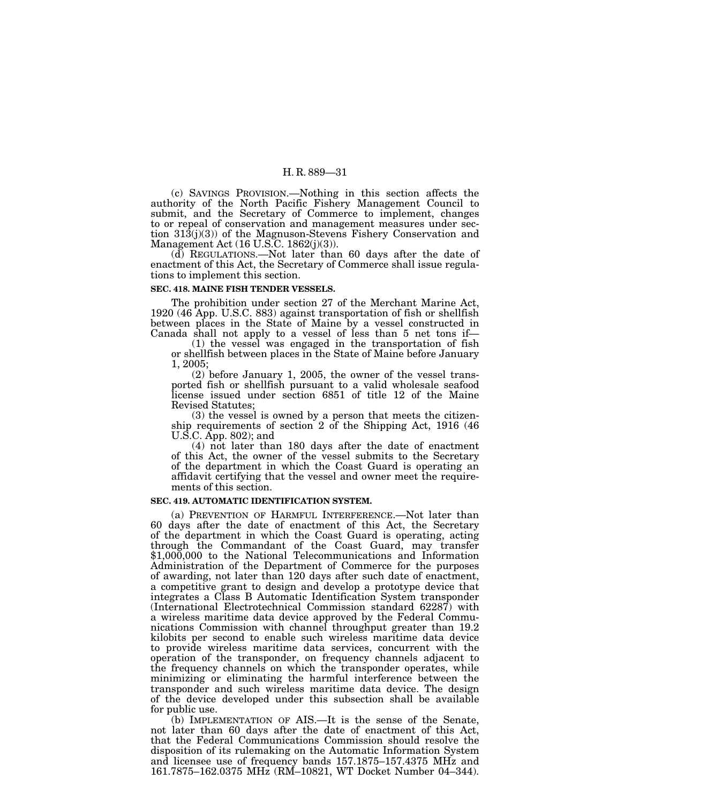(c) SAVINGS PROVISION.—Nothing in this section affects the authority of the North Pacific Fishery Management Council to submit, and the Secretary of Commerce to implement, changes to or repeal of conservation and management measures under section 313(j)(3)) of the Magnuson-Stevens Fishery Conservation and Management Act (16 U.S.C. 1862(j)(3)).

(d) REGULATIONS.—Not later than 60 days after the date of enactment of this Act, the Secretary of Commerce shall issue regulations to implement this section.

#### **SEC. 418. MAINE FISH TENDER VESSELS.**

The prohibition under section 27 of the Merchant Marine Act, 1920 (46 App. U.S.C. 883) against transportation of fish or shellfish between places in the State of Maine by a vessel constructed in Canada shall not apply to a vessel of less than 5 net tons if—

(1) the vessel was engaged in the transportation of fish or shellfish between places in the State of Maine before January 1, 2005;

(2) before January 1, 2005, the owner of the vessel transported fish or shellfish pursuant to a valid wholesale seafood license issued under section 6851 of title 12 of the Maine Revised Statutes;

(3) the vessel is owned by a person that meets the citizenship requirements of section 2 of the Shipping Act, 1916 (46 U.S.C. App. 802); and

(4) not later than 180 days after the date of enactment of this Act, the owner of the vessel submits to the Secretary of the department in which the Coast Guard is operating an affidavit certifying that the vessel and owner meet the requirements of this section.

#### **SEC. 419. AUTOMATIC IDENTIFICATION SYSTEM.**

(a) PREVENTION OF HARMFUL INTERFERENCE.—Not later than 60 days after the date of enactment of this Act, the Secretary of the department in which the Coast Guard is operating, acting through the Commandant of the Coast Guard, may transfer \$1,000,000 to the National Telecommunications and Information Administration of the Department of Commerce for the purposes of awarding, not later than 120 days after such date of enactment, a competitive grant to design and develop a prototype device that integrates a Class B Automatic Identification System transponder (International Electrotechnical Commission standard 62287) with a wireless maritime data device approved by the Federal Communications Commission with channel throughput greater than 19.2 kilobits per second to enable such wireless maritime data device to provide wireless maritime data services, concurrent with the operation of the transponder, on frequency channels adjacent to the frequency channels on which the transponder operates, while minimizing or eliminating the harmful interference between the transponder and such wireless maritime data device. The design of the device developed under this subsection shall be available for public use.

(b) IMPLEMENTATION OF AIS.—It is the sense of the Senate, not later than 60 days after the date of enactment of this Act, that the Federal Communications Commission should resolve the disposition of its rulemaking on the Automatic Information System and licensee use of frequency bands 157.1875–157.4375 MHz and 161.7875–162.0375 MHz (RM–10821, WT Docket Number 04–344).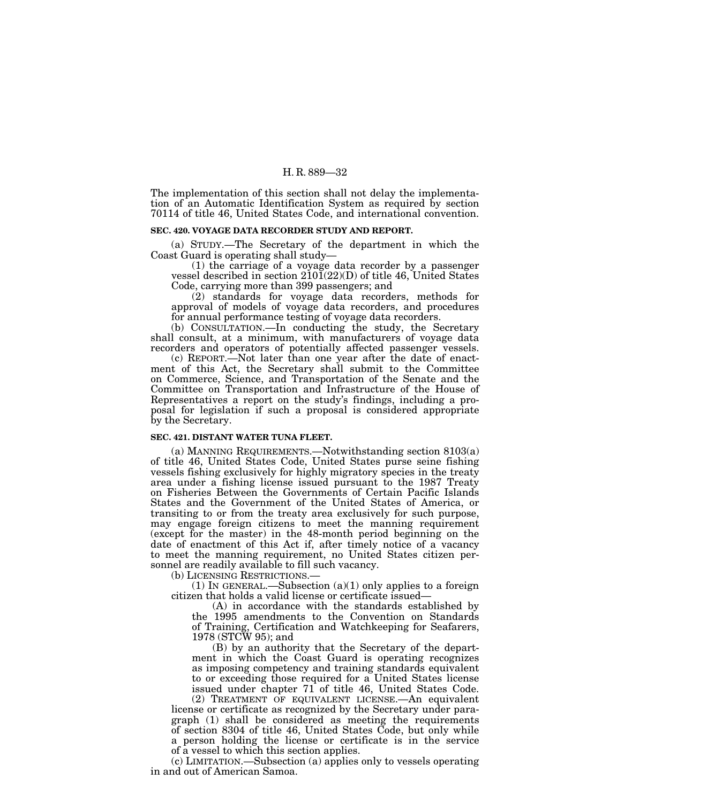The implementation of this section shall not delay the implementation of an Automatic Identification System as required by section 70114 of title 46, United States Code, and international convention.

# **SEC. 420. VOYAGE DATA RECORDER STUDY AND REPORT.**

(a) STUDY.—The Secretary of the department in which the Coast Guard is operating shall study—

(1) the carriage of a voyage data recorder by a passenger vessel described in section  $210\bar{1}(22)(D)$  of title 46, United States Code, carrying more than 399 passengers; and

(2) standards for voyage data recorders, methods for approval of models of voyage data recorders, and procedures for annual performance testing of voyage data recorders.

(b) CONSULTATION.—In conducting the study, the Secretary shall consult, at a minimum, with manufacturers of voyage data recorders and operators of potentially affected passenger vessels.

(c) REPORT.—Not later than one year after the date of enactment of this Act, the Secretary shall submit to the Committee on Commerce, Science, and Transportation of the Senate and the Committee on Transportation and Infrastructure of the House of Representatives a report on the study's findings, including a proposal for legislation if such a proposal is considered appropriate by the Secretary.

#### **SEC. 421. DISTANT WATER TUNA FLEET.**

(a) MANNING REQUIREMENTS.—Notwithstanding section 8103(a) of title 46, United States Code, United States purse seine fishing vessels fishing exclusively for highly migratory species in the treaty area under a fishing license issued pursuant to the 1987 Treaty on Fisheries Between the Governments of Certain Pacific Islands States and the Government of the United States of America, or transiting to or from the treaty area exclusively for such purpose, may engage foreign citizens to meet the manning requirement (except for the master) in the 48-month period beginning on the date of enactment of this Act if, after timely notice of a vacancy to meet the manning requirement, no United States citizen personnel are readily available to fill such vacancy.<br>(b) LICENSING RESTRICTIONS.—

(1) IN GENERAL.—Subsection (a)(1) only applies to a foreign citizen that holds a valid license or certificate issued—

(A) in accordance with the standards established by the 1995 amendments to the Convention on Standards of Training, Certification and Watchkeeping for Seafarers, 1978 (STCW 95); and

(B) by an authority that the Secretary of the department in which the Coast Guard is operating recognizes as imposing competency and training standards equivalent to or exceeding those required for a United States license issued under chapter 71 of title 46, United States Code.

(2) TREATMENT OF EQUIVALENT LICENSE.—An equivalent license or certificate as recognized by the Secretary under paragraph (1) shall be considered as meeting the requirements of section 8304 of title 46, United States Code, but only while a person holding the license or certificate is in the service of a vessel to which this section applies.

(c) LIMITATION.—Subsection (a) applies only to vessels operating in and out of American Samoa.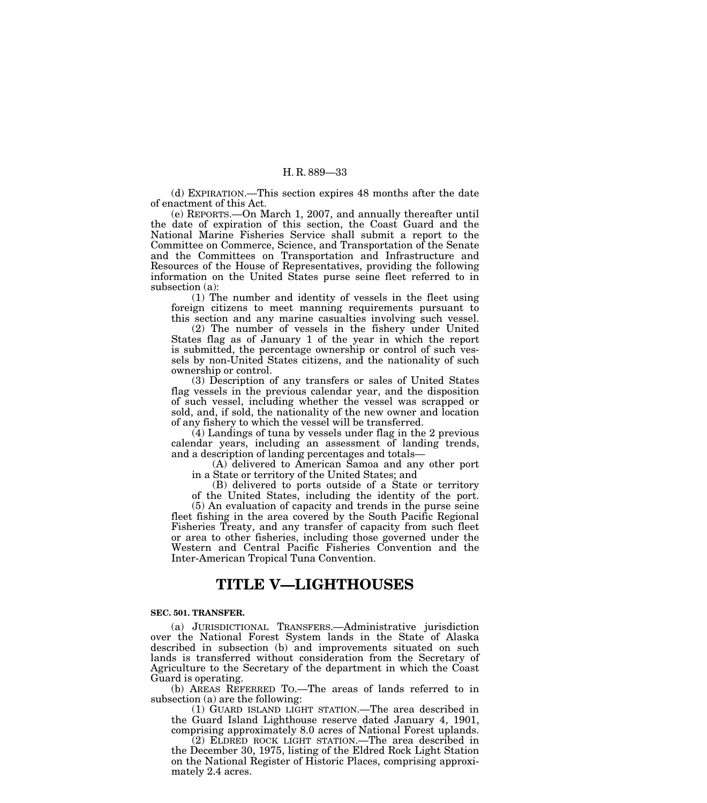(d) EXPIRATION.—This section expires 48 months after the date of enactment of this Act.

(e) REPORTS.—On March 1, 2007, and annually thereafter until the date of expiration of this section, the Coast Guard and the National Marine Fisheries Service shall submit a report to the Committee on Commerce, Science, and Transportation of the Senate and the Committees on Transportation and Infrastructure and Resources of the House of Representatives, providing the following information on the United States purse seine fleet referred to in subsection (a):

(1) The number and identity of vessels in the fleet using foreign citizens to meet manning requirements pursuant to this section and any marine casualties involving such vessel.

(2) The number of vessels in the fishery under United States flag as of January 1 of the year in which the report is submitted, the percentage ownership or control of such vessels by non-United States citizens, and the nationality of such ownership or control.

(3) Description of any transfers or sales of United States flag vessels in the previous calendar year, and the disposition of such vessel, including whether the vessel was scrapped or sold, and, if sold, the nationality of the new owner and location of any fishery to which the vessel will be transferred.

(4) Landings of tuna by vessels under flag in the 2 previous calendar years, including an assessment of landing trends, and a description of landing percentages and totals—

(A) delivered to American Samoa and any other port in a State or territory of the United States; and

(B) delivered to ports outside of a State or territory of the United States, including the identity of the port.

(5) An evaluation of capacity and trends in the purse seine fleet fishing in the area covered by the South Pacific Regional Fisheries Treaty, and any transfer of capacity from such fleet or area to other fisheries, including those governed under the Western and Central Pacific Fisheries Convention and the Inter-American Tropical Tuna Convention.

# **TITLE V—LIGHTHOUSES**

#### **SEC. 501. TRANSFER.**

(a) JURISDICTIONAL TRANSFERS.—Administrative jurisdiction over the National Forest System lands in the State of Alaska described in subsection (b) and improvements situated on such lands is transferred without consideration from the Secretary of Agriculture to the Secretary of the department in which the Coast Guard is operating.

(b) AREAS REFERRED TO.—The areas of lands referred to in subsection (a) are the following:

(1) GUARD ISLAND LIGHT STATION.—The area described in the Guard Island Lighthouse reserve dated January 4, 1901, comprising approximately 8.0 acres of National Forest uplands.

(2) ELDRED ROCK LIGHT STATION.—The area described in the December 30, 1975, listing of the Eldred Rock Light Station on the National Register of Historic Places, comprising approximately 2.4 acres.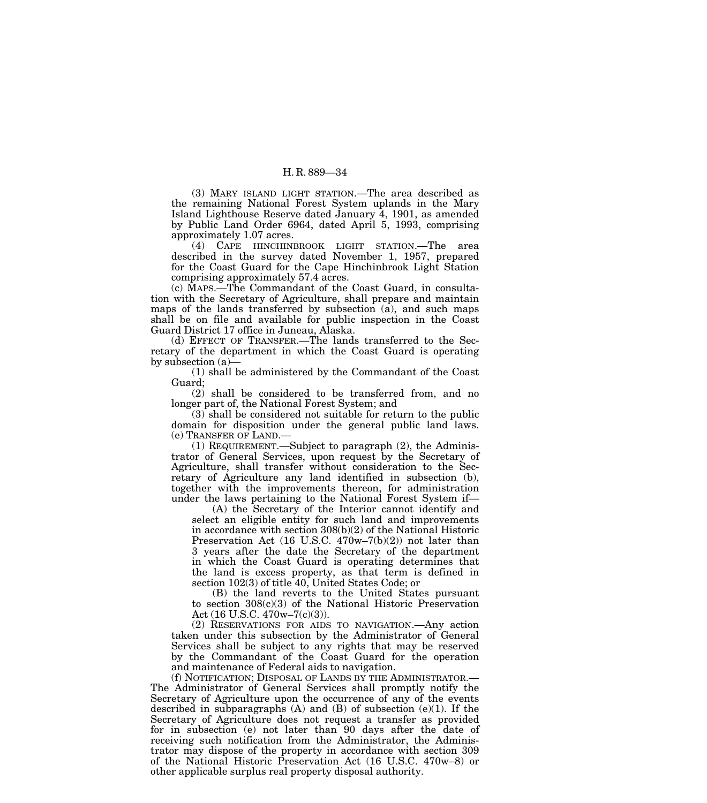(3) MARY ISLAND LIGHT STATION.—The area described as the remaining National Forest System uplands in the Mary Island Lighthouse Reserve dated January 4, 1901, as amended by Public Land Order 6964, dated April 5, 1993, comprising approximately 1.07 acres.

(4) CAPE HINCHINBROOK LIGHT STATION.—The area described in the survey dated November 1, 1957, prepared for the Coast Guard for the Cape Hinchinbrook Light Station comprising approximately 57.4 acres.

(c) MAPS.—The Commandant of the Coast Guard, in consultation with the Secretary of Agriculture, shall prepare and maintain maps of the lands transferred by subsection (a), and such maps shall be on file and available for public inspection in the Coast Guard District 17 office in Juneau, Alaska.

(d) EFFECT OF TRANSFER.—The lands transferred to the Secretary of the department in which the Coast Guard is operating by subsection (a)—

(1) shall be administered by the Commandant of the Coast Guard;

(2) shall be considered to be transferred from, and no longer part of, the National Forest System; and

(3) shall be considered not suitable for return to the public domain for disposition under the general public land laws. (e) TRANSFER OF LAND.—

(1) REQUIREMENT.—Subject to paragraph (2), the Administrator of General Services, upon request by the Secretary of Agriculture, shall transfer without consideration to the Secretary of Agriculture any land identified in subsection (b), together with the improvements thereon, for administration under the laws pertaining to the National Forest System if—

(A) the Secretary of the Interior cannot identify and select an eligible entity for such land and improvements in accordance with section 308(b)(2) of the National Historic Preservation Act (16 U.S.C. 470w–7(b)(2)) not later than 3 years after the date the Secretary of the department in which the Coast Guard is operating determines that the land is excess property, as that term is defined in section 102(3) of title 40, United States Code; or

(B) the land reverts to the United States pursuant to section 308(c)(3) of the National Historic Preservation Act (16 U.S.C. 470w–7(c)(3)).

(2) RESERVATIONS FOR AIDS TO NAVIGATION.—Any action taken under this subsection by the Administrator of General Services shall be subject to any rights that may be reserved by the Commandant of the Coast Guard for the operation and maintenance of Federal aids to navigation.

(f) NOTIFICATION; DISPOSAL OF LANDS BY THE ADMINISTRATOR.— The Administrator of General Services shall promptly notify the Secretary of Agriculture upon the occurrence of any of the events described in subparagraphs  $(A)$  and  $(B)$  of subsection  $(e)(1)$ . If the Secretary of Agriculture does not request a transfer as provided for in subsection (e) not later than 90 days after the date of receiving such notification from the Administrator, the Administrator may dispose of the property in accordance with section 309 of the National Historic Preservation Act (16 U.S.C. 470w–8) or other applicable surplus real property disposal authority.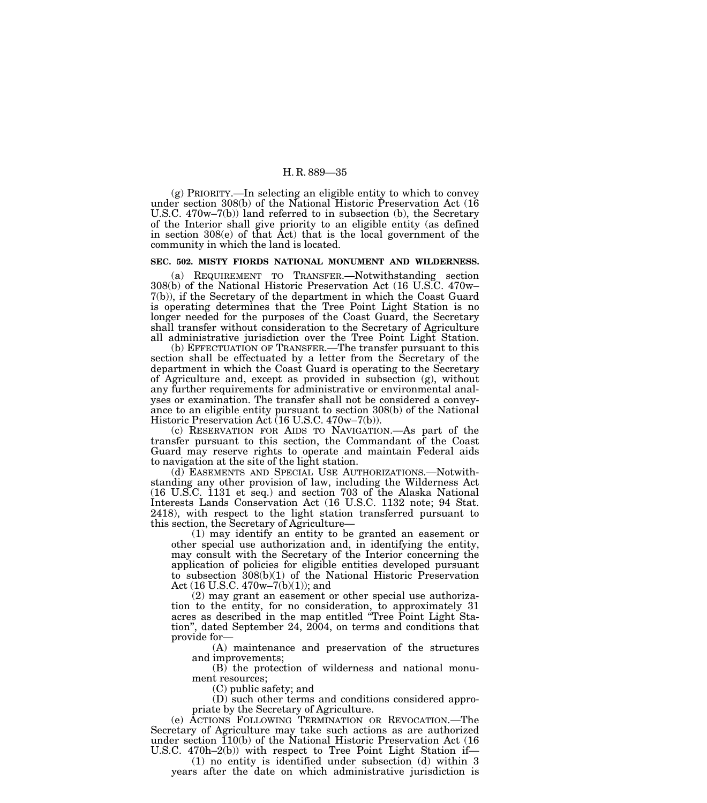(g) PRIORITY.—In selecting an eligible entity to which to convey under section 308(b) of the National Historic Preservation Act (16 U.S.C. 470w–7(b)) land referred to in subsection (b), the Secretary of the Interior shall give priority to an eligible entity (as defined in section 308(e) of that Act) that is the local government of the community in which the land is located.

#### **SEC. 502. MISTY FIORDS NATIONAL MONUMENT AND WILDERNESS.**

(a) REQUIREMENT TO TRANSFER.—Notwithstanding section 308(b) of the National Historic Preservation Act (16 U.S.C. 470w– 7(b)), if the Secretary of the department in which the Coast Guard is operating determines that the Tree Point Light Station is no longer needed for the purposes of the Coast Guard, the Secretary shall transfer without consideration to the Secretary of Agriculture all administrative jurisdiction over the Tree Point Light Station.

(b) EFFECTUATION OF TRANSFER.—The transfer pursuant to this section shall be effectuated by a letter from the Secretary of the department in which the Coast Guard is operating to the Secretary of Agriculture and, except as provided in subsection (g), without any further requirements for administrative or environmental analyses or examination. The transfer shall not be considered a conveyance to an eligible entity pursuant to section 308(b) of the National Historic Preservation Act (16 U.S.C. 470w–7(b)).

(c) RESERVATION FOR AIDS TO NAVIGATION.—As part of the transfer pursuant to this section, the Commandant of the Coast Guard may reserve rights to operate and maintain Federal aids to navigation at the site of the light station.

(d) EASEMENTS AND SPECIAL USE AUTHORIZATIONS.—Notwithstanding any other provision of law, including the Wilderness Act (16 U.S.C. 1131 et seq.) and section 703 of the Alaska National Interests Lands Conservation Act (16 U.S.C. 1132 note; 94 Stat. 2418), with respect to the light station transferred pursuant to this section, the Secretary of Agriculture—

(1) may identify an entity to be granted an easement or other special use authorization and, in identifying the entity, may consult with the Secretary of the Interior concerning the application of policies for eligible entities developed pursuant to subsection 308(b)(1) of the National Historic Preservation Act (16 U.S.C. 470w–7(b)(1)); and

(2) may grant an easement or other special use authorization to the entity, for no consideration, to approximately 31 acres as described in the map entitled ''Tree Point Light Station'', dated September 24, 2004, on terms and conditions that provide for—

(A) maintenance and preservation of the structures and improvements;

(B) the protection of wilderness and national monument resources;

(C) public safety; and

(D) such other terms and conditions considered appropriate by the Secretary of Agriculture.

(e) ACTIONS FOLLOWING TERMINATION OR REVOCATION.—The Secretary of Agriculture may take such actions as are authorized under section 110(b) of the National Historic Preservation Act (16 U.S.C. 470h–2(b)) with respect to Tree Point Light Station if—

(1) no entity is identified under subsection (d) within 3 years after the date on which administrative jurisdiction is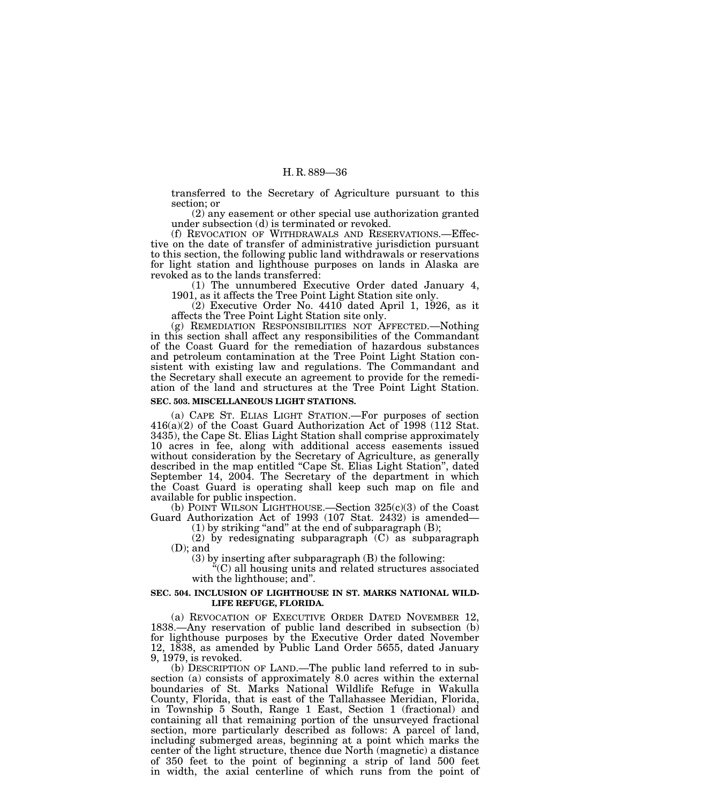transferred to the Secretary of Agriculture pursuant to this section; or

(2) any easement or other special use authorization granted under subsection (d) is terminated or revoked.

(f) REVOCATION OF WITHDRAWALS AND RESERVATIONS.—Effective on the date of transfer of administrative jurisdiction pursuant to this section, the following public land withdrawals or reservations for light station and lighthouse purposes on lands in Alaska are revoked as to the lands transferred:

(1) The unnumbered Executive Order dated January 4, 1901, as it affects the Tree Point Light Station site only.

 $(2)$  Executive Order No. 4410 dated April 1, 1926, as it affects the Tree Point Light Station site only.

(g) REMEDIATION RESPONSIBILITIES NOT AFFECTED.—Nothing in this section shall affect any responsibilities of the Commandant of the Coast Guard for the remediation of hazardous substances and petroleum contamination at the Tree Point Light Station consistent with existing law and regulations. The Commandant and the Secretary shall execute an agreement to provide for the remediation of the land and structures at the Tree Point Light Station.

# **SEC. 503. MISCELLANEOUS LIGHT STATIONS.**

(a) CAPE ST. ELIAS LIGHT STATION.—For purposes of section 416(a)(2) of the Coast Guard Authorization Act of 1998 (112 Stat. 3435), the Cape St. Elias Light Station shall comprise approximately 10 acres in fee, along with additional access easements issued without consideration by the Secretary of Agriculture, as generally described in the map entitled "Cape St. Elias Light Station", dated September 14, 2004. The Secretary of the department in which the Coast Guard is operating shall keep such map on file and available for public inspection.

(b) POINT WILSON LIGHTHOUSE.—Section 325(c)(3) of the Coast Guard Authorization Act of 1993 (107 Stat. 2432) is amended—  $(1)$  by striking "and" at the end of subparagraph  $(B)$ ;

(2) by redesignating subparagraph  $(C)$  as subparagraph (D); and

(3) by inserting after subparagraph (B) the following:

''(C) all housing units and related structures associated with the lighthouse; and''.

#### **SEC. 504. INCLUSION OF LIGHTHOUSE IN ST. MARKS NATIONAL WILD-LIFE REFUGE, FLORIDA.**

(a) REVOCATION OF EXECUTIVE ORDER DATED NOVEMBER 12, 1838.—Any reservation of public land described in subsection (b) for lighthouse purposes by the Executive Order dated November 12, 1838, as amended by Public Land Order 5655, dated January 9, 1979, is revoked.

(b) DESCRIPTION OF LAND.—The public land referred to in subsection (a) consists of approximately 8.0 acres within the external boundaries of St. Marks National Wildlife Refuge in Wakulla County, Florida, that is east of the Tallahassee Meridian, Florida, in Township 5 South, Range 1 East, Section 1 (fractional) and containing all that remaining portion of the unsurveyed fractional section, more particularly described as follows: A parcel of land, including submerged areas, beginning at a point which marks the center of the light structure, thence due North (magnetic) a distance of 350 feet to the point of beginning a strip of land 500 feet in width, the axial centerline of which runs from the point of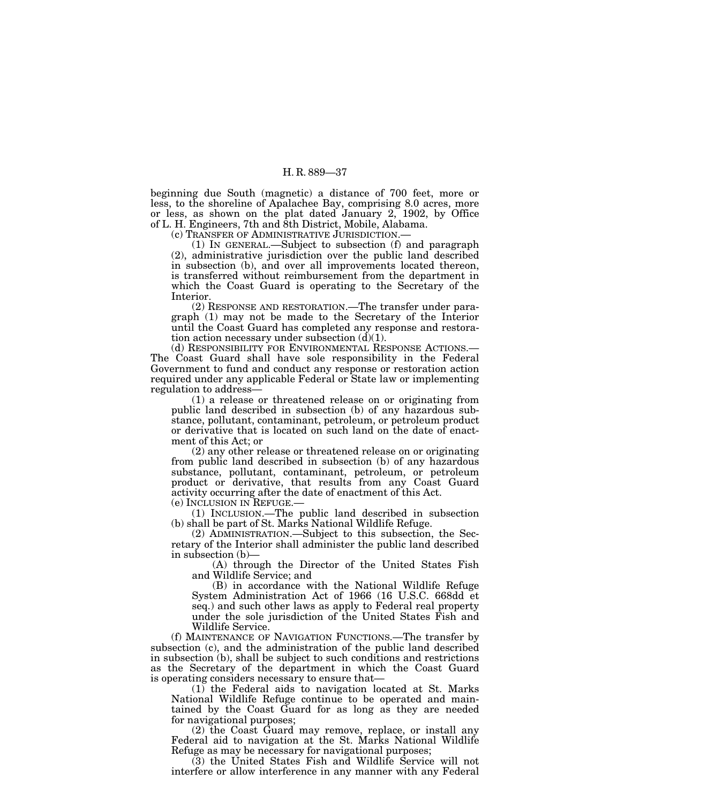beginning due South (magnetic) a distance of 700 feet, more or less, to the shoreline of Apalachee Bay, comprising 8.0 acres, more or less, as shown on the plat dated January 2, 1902, by Office of L. H. Engineers, 7th and 8th District, Mobile, Alabama.

(c) TRANSFER OF ADMINISTRATIVE JURISDICTION.—

(1) IN GENERAL.—Subject to subsection (f) and paragraph (2), administrative jurisdiction over the public land described in subsection (b), and over all improvements located thereon, is transferred without reimbursement from the department in which the Coast Guard is operating to the Secretary of the Interior.

(2) RESPONSE AND RESTORATION.—The transfer under paragraph (1) may not be made to the Secretary of the Interior until the Coast Guard has completed any response and restoration action necessary under subsection  $(d)(1)$ .<br>(d) RESPONSIBILITY FOR ENVIRONMENTAL RESPONSE ACTIONS.—

The Coast Guard shall have sole responsibility in the Federal Government to fund and conduct any response or restoration action required under any applicable Federal or State law or implementing regulation to address—

(1) a release or threatened release on or originating from public land described in subsection (b) of any hazardous substance, pollutant, contaminant, petroleum, or petroleum product or derivative that is located on such land on the date of enactment of this Act; or

(2) any other release or threatened release on or originating from public land described in subsection (b) of any hazardous substance, pollutant, contaminant, petroleum, or petroleum product or derivative, that results from any Coast Guard activity occurring after the date of enactment of this Act.<br>(e) INCLUSION IN REFUGE.—

 $(1)$  INCLUSION.—The public land described in subsection shall be part of St. Marks National Wildlife Refuge.

(2) ADMINISTRATION.—Subject to this subsection, the Secretary of the Interior shall administer the public land described in subsection (b)—

(A) through the Director of the United States Fish and Wildlife Service; and

(B) in accordance with the National Wildlife Refuge System Administration Act of 1966 (16 U.S.C. 668dd et seq.) and such other laws as apply to Federal real property under the sole jurisdiction of the United States Fish and Wildlife Service.

(f) MAINTENANCE OF NAVIGATION FUNCTIONS.—The transfer by subsection (c), and the administration of the public land described in subsection (b), shall be subject to such conditions and restrictions as the Secretary of the department in which the Coast Guard is operating considers necessary to ensure that—

(1) the Federal aids to navigation located at St. Marks National Wildlife Refuge continue to be operated and maintained by the Coast Guard for as long as they are needed for navigational purposes;

(2) the Coast Guard may remove, replace, or install any Federal aid to navigation at the St. Marks National Wildlife Refuge as may be necessary for navigational purposes;

(3) the United States Fish and Wildlife Service will not interfere or allow interference in any manner with any Federal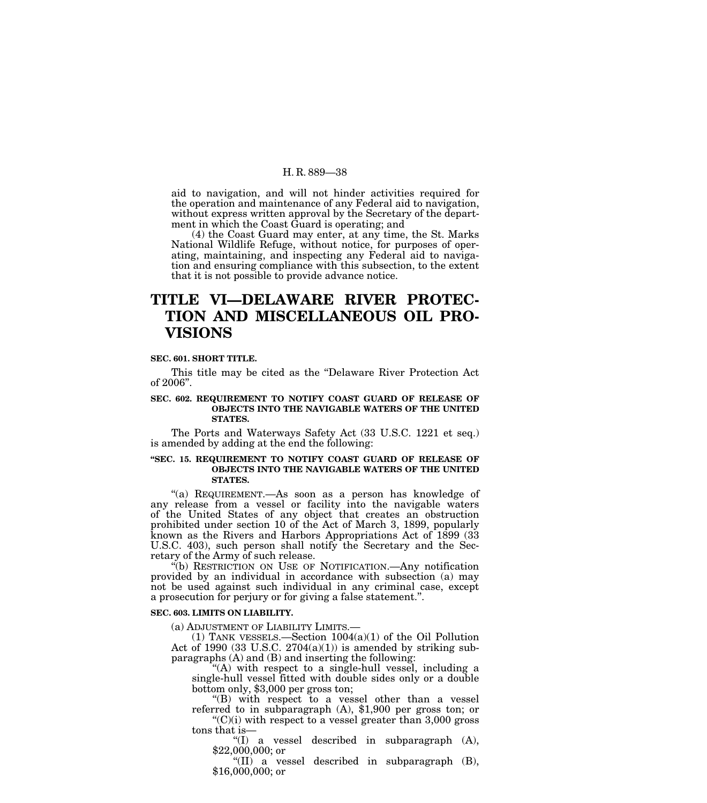aid to navigation, and will not hinder activities required for the operation and maintenance of any Federal aid to navigation, without express written approval by the Secretary of the department in which the Coast Guard is operating; and

(4) the Coast Guard may enter, at any time, the St. Marks National Wildlife Refuge, without notice, for purposes of operating, maintaining, and inspecting any Federal aid to navigation and ensuring compliance with this subsection, to the extent that it is not possible to provide advance notice.

# **TITLE VI—DELAWARE RIVER PROTEC-TION AND MISCELLANEOUS OIL PRO-VISIONS**

#### **SEC. 601. SHORT TITLE.**

This title may be cited as the ''Delaware River Protection Act of 2006''.

# **SEC. 602. REQUIREMENT TO NOTIFY COAST GUARD OF RELEASE OF OBJECTS INTO THE NAVIGABLE WATERS OF THE UNITED STATES.**

The Ports and Waterways Safety Act (33 U.S.C. 1221 et seq.) is amended by adding at the end the following:

# **''SEC. 15. REQUIREMENT TO NOTIFY COAST GUARD OF RELEASE OF OBJECTS INTO THE NAVIGABLE WATERS OF THE UNITED STATES.**

"(a) REQUIREMENT.—As soon as a person has knowledge of any release from a vessel or facility into the navigable waters of the United States of any object that creates an obstruction prohibited under section 10 of the Act of March 3, 1899, popularly known as the Rivers and Harbors Appropriations Act of 1899 (33 U.S.C. 403), such person shall notify the Secretary and the Secretary of the Army of such release.

''(b) RESTRICTION ON USE OF NOTIFICATION.—Any notification provided by an individual in accordance with subsection (a) may not be used against such individual in any criminal case, except a prosecution for perjury or for giving a false statement.''.

# **SEC. 603. LIMITS ON LIABILITY.**

(a) ADJUSTMENT OF LIABILITY LIMITS.—<br>
(1) TANK VESSELS.—Section  $1004(a)(1)$  of the Oil Pollution Act of 1990 (33 U.S.C.  $2704(a)(1)$ ) is amended by striking subparagraphs (A) and (B) and inserting the following:

''(A) with respect to a single-hull vessel, including a single-hull vessel fitted with double sides only or a double bottom only, \$3,000 per gross ton;

''(B) with respect to a vessel other than a vessel referred to in subparagraph (A), \$1,900 per gross ton; or  $C'(C)(i)$  with respect to a vessel greater than 3,000 gross tons that is—

''(I) a vessel described in subparagraph (A), \$22,000,000; or

" $(II)$  a vessel described in subparagraph  $(B)$ , \$16,000,000; or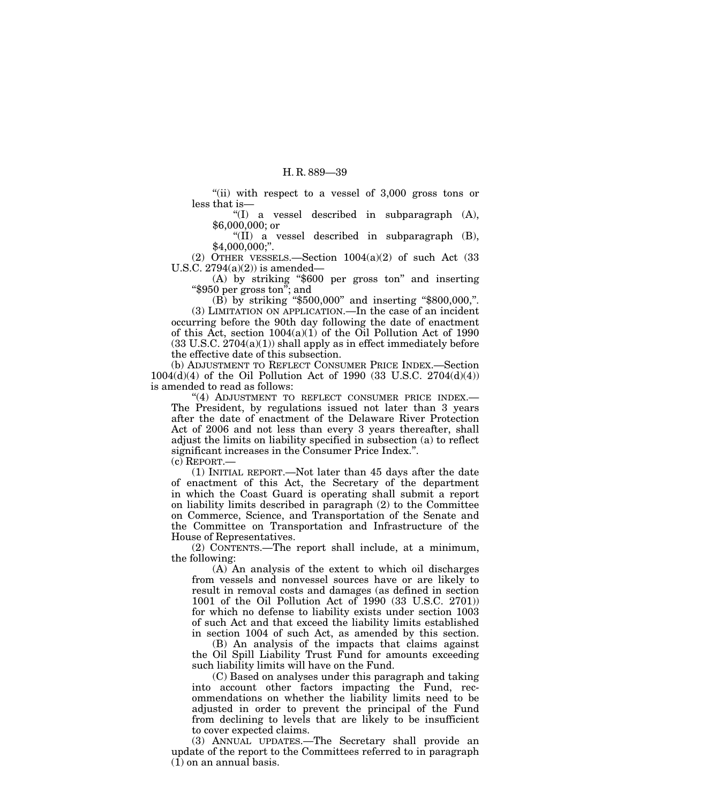"(ii) with respect to a vessel of  $3,000$  gross tons or less that is—

''(I) a vessel described in subparagraph (A), \$6,000,000; or

''(II) a vessel described in subparagraph (B), \$4,000,000;''.

(2) OTHER VESSELS.—Section  $1004(a)(2)$  of such Act (33) U.S.C.  $2794(a)(2)$  is amended—

(A) by striking ''\$600 per gross ton'' and inserting ''\$950 per gross ton''; and

(B) by striking ''\$500,000'' and inserting ''\$800,000,''. (3) LIMITATION ON APPLICATION.—In the case of an incident occurring before the 90th day following the date of enactment of this Act, section 1004(a)(1) of the Oil Pollution Act of 1990  $(33 \text{ U.S.C. } 2704(a)(1))$  shall apply as in effect immediately before the effective date of this subsection.

(b) ADJUSTMENT TO REFLECT CONSUMER PRICE INDEX.—Section 1004(d)(4) of the Oil Pollution Act of 1990 (33 U.S.C. 2704(d)(4)) is amended to read as follows:

"(4) ADJUSTMENT TO REFLECT CONSUMER PRICE INDEX.-The President, by regulations issued not later than 3 years after the date of enactment of the Delaware River Protection Act of 2006 and not less than every 3 years thereafter, shall adjust the limits on liability specified in subsection (a) to reflect significant increases in the Consumer Price Index.''.

(c) REPORT.—

(1) INITIAL REPORT.—Not later than 45 days after the date of enactment of this Act, the Secretary of the department in which the Coast Guard is operating shall submit a report on liability limits described in paragraph (2) to the Committee on Commerce, Science, and Transportation of the Senate and the Committee on Transportation and Infrastructure of the House of Representatives.

(2) CONTENTS.—The report shall include, at a minimum, the following:

(A) An analysis of the extent to which oil discharges from vessels and nonvessel sources have or are likely to result in removal costs and damages (as defined in section 1001 of the Oil Pollution Act of 1990 (33 U.S.C. 2701)) for which no defense to liability exists under section 1003 of such Act and that exceed the liability limits established in section 1004 of such Act, as amended by this section.

(B) An analysis of the impacts that claims against the Oil Spill Liability Trust Fund for amounts exceeding such liability limits will have on the Fund.

(C) Based on analyses under this paragraph and taking into account other factors impacting the Fund, recommendations on whether the liability limits need to be adjusted in order to prevent the principal of the Fund from declining to levels that are likely to be insufficient to cover expected claims.

(3) ANNUAL UPDATES.—The Secretary shall provide an update of the report to the Committees referred to in paragraph (1) on an annual basis.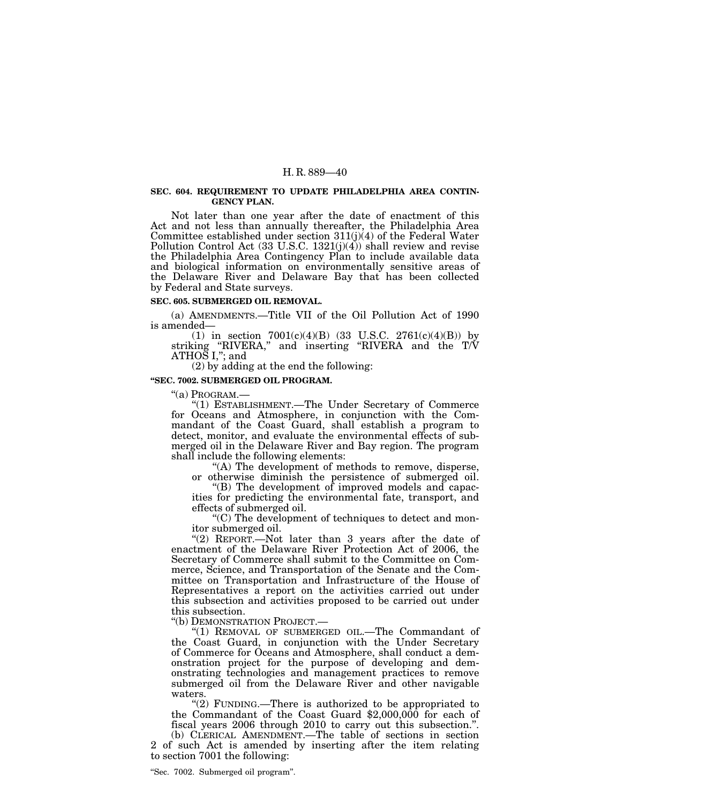#### **SEC. 604. REQUIREMENT TO UPDATE PHILADELPHIA AREA CONTIN-GENCY PLAN.**

Not later than one year after the date of enactment of this Act and not less than annually thereafter, the Philadelphia Area Committee established under section 311(j)(4) of the Federal Water Pollution Control Act  $(33 \text{ U.S.C. } 1321(j)(4))$  shall review and revise the Philadelphia Area Contingency Plan to include available data and biological information on environmentally sensitive areas of the Delaware River and Delaware Bay that has been collected by Federal and State surveys.

#### **SEC. 605. SUBMERGED OIL REMOVAL.**

(a) AMENDMENTS.—Title VII of the Oil Pollution Act of 1990 is amended—

(1) in section  $7001(c)(4)(B)$  (33 U.S.C. 2761(c)(4)(B)) by striking "RIVERA," and inserting "RIVERA and the T/V  $ATHOS I$ ,": and

(2) by adding at the end the following:

#### **''SEC. 7002. SUBMERGED OIL PROGRAM.**

''(a) PROGRAM.—

''(1) ESTABLISHMENT.—The Under Secretary of Commerce for Oceans and Atmosphere, in conjunction with the Commandant of the Coast Guard, shall establish a program to detect, monitor, and evaluate the environmental effects of submerged oil in the Delaware River and Bay region. The program shall include the following elements:

''(A) The development of methods to remove, disperse, or otherwise diminish the persistence of submerged oil.

''(B) The development of improved models and capacities for predicting the environmental fate, transport, and effects of submerged oil.

''(C) The development of techniques to detect and monitor submerged oil.

"(2) REPORT.—Not later than 3 years after the date of enactment of the Delaware River Protection Act of 2006, the Secretary of Commerce shall submit to the Committee on Commerce, Science, and Transportation of the Senate and the Committee on Transportation and Infrastructure of the House of Representatives a report on the activities carried out under this subsection and activities proposed to be carried out under this subsection.

''(b) DEMONSTRATION PROJECT.—

''(1) REMOVAL OF SUBMERGED OIL.—The Commandant of the Coast Guard, in conjunction with the Under Secretary of Commerce for Oceans and Atmosphere, shall conduct a demonstration project for the purpose of developing and demonstrating technologies and management practices to remove submerged oil from the Delaware River and other navigable waters.<br>"(2) FUNDING.—There is authorized to be appropriated to

the Commandant of the Coast Guard  $$2,000,000$  for each of fiscal years 2006 through 2010 to carry out this subsection.''.

(b) CLERICAL AMENDMENT.—The table of sections in section 2 of such Act is amended by inserting after the item relating to section 7001 the following: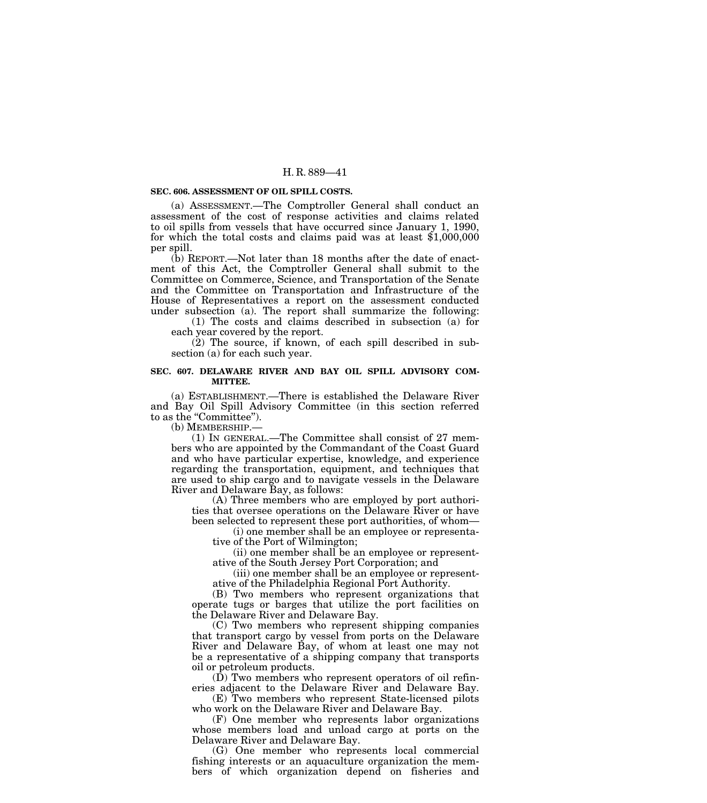### **SEC. 606. ASSESSMENT OF OIL SPILL COSTS.**

(a) ASSESSMENT.—The Comptroller General shall conduct an assessment of the cost of response activities and claims related to oil spills from vessels that have occurred since January 1, 1990, for which the total costs and claims paid was at least \$1,000,000 per spill.

(b) REPORT.—Not later than 18 months after the date of enactment of this Act, the Comptroller General shall submit to the Committee on Commerce, Science, and Transportation of the Senate and the Committee on Transportation and Infrastructure of the House of Representatives a report on the assessment conducted under subsection (a). The report shall summarize the following:

(1) The costs and claims described in subsection (a) for each year covered by the report.

(2) The source, if known, of each spill described in subsection (a) for each such year.

#### **SEC. 607. DELAWARE RIVER AND BAY OIL SPILL ADVISORY COM-MITTEE.**

(a) ESTABLISHMENT.—There is established the Delaware River and Bay Oil Spill Advisory Committee (in this section referred to as the "Committee").

(b) MEMBERSHIP.—

(1) IN GENERAL.—The Committee shall consist of 27 members who are appointed by the Commandant of the Coast Guard and who have particular expertise, knowledge, and experience regarding the transportation, equipment, and techniques that are used to ship cargo and to navigate vessels in the Delaware River and Delaware Bay, as follows:

(A) Three members who are employed by port authorities that oversee operations on the Delaware River or have been selected to represent these port authorities, of whom—

(i) one member shall be an employee or representative of the Port of Wilmington;

(ii) one member shall be an employee or representative of the South Jersey Port Corporation; and

(iii) one member shall be an employee or representative of the Philadelphia Regional Port Authority.

(B) Two members who represent organizations that operate tugs or barges that utilize the port facilities on the Delaware River and Delaware Bay.

(C) Two members who represent shipping companies that transport cargo by vessel from ports on the Delaware River and Delaware Bay, of whom at least one may not be a representative of a shipping company that transports oil or petroleum products.

(D) Two members who represent operators of oil refineries adjacent to the Delaware River and Delaware Bay.

(E) Two members who represent State-licensed pilots who work on the Delaware River and Delaware Bay.

(F) One member who represents labor organizations whose members load and unload cargo at ports on the Delaware River and Delaware Bay.

(G) One member who represents local commercial fishing interests or an aquaculture organization the members of which organization depend on fisheries and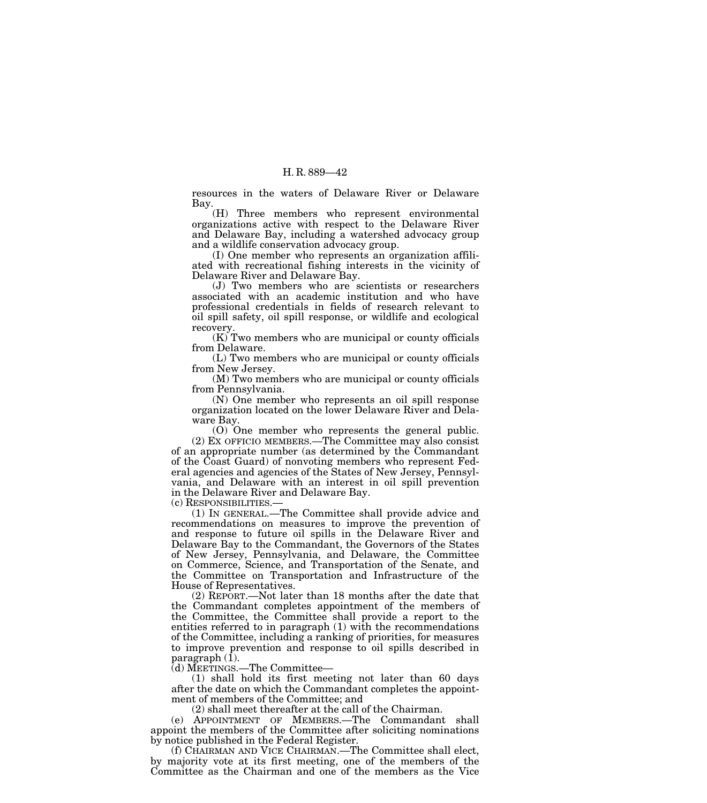resources in the waters of Delaware River or Delaware Bay.

(H) Three members who represent environmental organizations active with respect to the Delaware River and Delaware Bay, including a watershed advocacy group and a wildlife conservation advocacy group.

(I) One member who represents an organization affiliated with recreational fishing interests in the vicinity of Delaware River and Delaware Bay.

(J) Two members who are scientists or researchers associated with an academic institution and who have professional credentials in fields of research relevant to oil spill safety, oil spill response, or wildlife and ecological recovery.

(K) Two members who are municipal or county officials from Delaware.

(L) Two members who are municipal or county officials from New Jersey.

(M) Two members who are municipal or county officials from Pennsylvania.

(N) One member who represents an oil spill response organization located on the lower Delaware River and Delaware Bay.

(O) One member who represents the general public. (2) EX OFFICIO MEMBERS.—The Committee may also consist of an appropriate number (as determined by the Commandant of the Coast Guard) of nonvoting members who represent Federal agencies and agencies of the States of New Jersey, Pennsylvania, and Delaware with an interest in oil spill prevention in the Delaware River and Delaware Bay.<br>(c) RESPONSIBILITIES.—

 $(1)$  In GENERAL.—The Committee shall provide advice and recommendations on measures to improve the prevention of and response to future oil spills in the Delaware River and Delaware Bay to the Commandant, the Governors of the States of New Jersey, Pennsylvania, and Delaware, the Committee on Commerce, Science, and Transportation of the Senate, and the Committee on Transportation and Infrastructure of the House of Representatives.

(2) REPORT.—Not later than 18 months after the date that the Commandant completes appointment of the members of the Committee, the Committee shall provide a report to the entities referred to in paragraph (1) with the recommendations of the Committee, including a ranking of priorities, for measures to improve prevention and response to oil spills described in paragraph (1).

(d) MEETINGS.—The Committee—

(1) shall hold its first meeting not later than 60 days after the date on which the Commandant completes the appointment of members of the Committee; and

(2) shall meet thereafter at the call of the Chairman.

(e) APPOINTMENT OF MEMBERS.—The Commandant shall appoint the members of the Committee after soliciting nominations by notice published in the Federal Register.

(f) CHAIRMAN AND VICE CHAIRMAN.—The Committee shall elect, by majority vote at its first meeting, one of the members of the Committee as the Chairman and one of the members as the Vice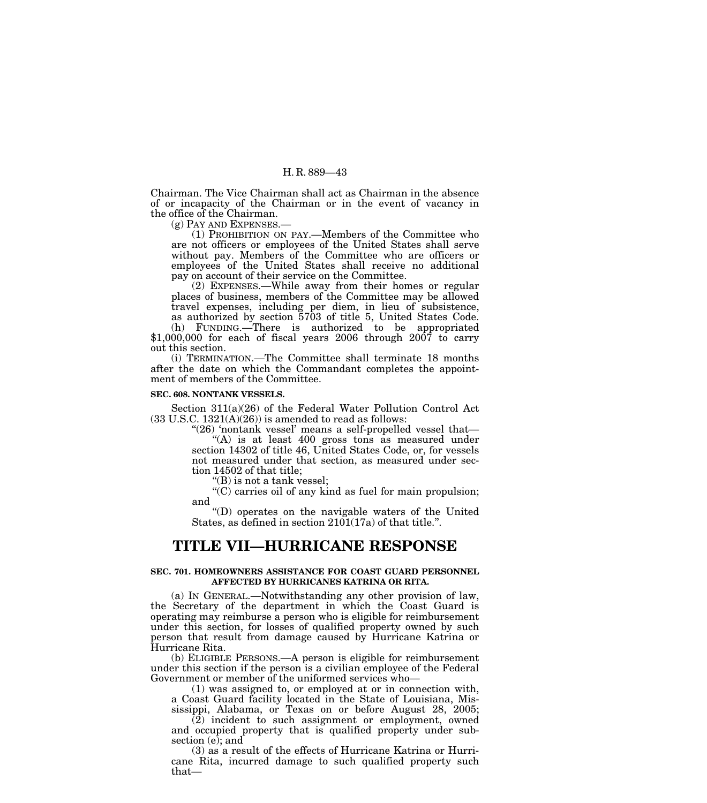Chairman. The Vice Chairman shall act as Chairman in the absence of or incapacity of the Chairman or in the event of vacancy in the office of the Chairman.

(g) PAY AND EXPENSES.—

(1) PROHIBITION ON PAY.—Members of the Committee who are not officers or employees of the United States shall serve without pay. Members of the Committee who are officers or employees of the United States shall receive no additional pay on account of their service on the Committee.

(2) EXPENSES.—While away from their homes or regular places of business, members of the Committee may be allowed travel expenses, including per diem, in lieu of subsistence, as authorized by section 5703 of title 5, United States Code. (h) FUNDING.—There is authorized to be appropriated  $$1,000,000$  for each of fiscal years 2006 through 2007 to carry

out this section. (i) TERMINATION.—The Committee shall terminate 18 months after the date on which the Commandant completes the appointment of members of the Committee.

#### **SEC. 608. NONTANK VESSELS.**

Section 311(a)(26) of the Federal Water Pollution Control Act  $(33 \text{ U.S.C. } 1321(\text{A})(26))$  is amended to read as follows:

"(26) 'nontank vessel' means a self-propelled vessel that-

" $(A)$  is at least 400 gross tons as measured under section 14302 of title 46, United States Code, or, for vessels not measured under that section, as measured under section 14502 of that title;

''(B) is not a tank vessel;

''(C) carries oil of any kind as fuel for main propulsion; and

''(D) operates on the navigable waters of the United States, as defined in section 2101(17a) of that title.''.

# **TITLE VII—HURRICANE RESPONSE**

#### **SEC. 701. HOMEOWNERS ASSISTANCE FOR COAST GUARD PERSONNEL AFFECTED BY HURRICANES KATRINA OR RITA.**

(a) IN GENERAL.—Notwithstanding any other provision of law, the Secretary of the department in which the Coast Guard is operating may reimburse a person who is eligible for reimbursement under this section, for losses of qualified property owned by such person that result from damage caused by Hurricane Katrina or Hurricane Rita.

(b) ELIGIBLE PERSONS.—A person is eligible for reimbursement under this section if the person is a civilian employee of the Federal Government or member of the uniformed services who—

(1) was assigned to, or employed at or in connection with, a Coast Guard facility located in the State of Louisiana, Mississippi, Alabama, or Texas on or before August 28, 2005;

 $\overline{2}$ ) incident to such assignment or employment, owned and occupied property that is qualified property under subsection (e); and

(3) as a result of the effects of Hurricane Katrina or Hurricane Rita, incurred damage to such qualified property such that—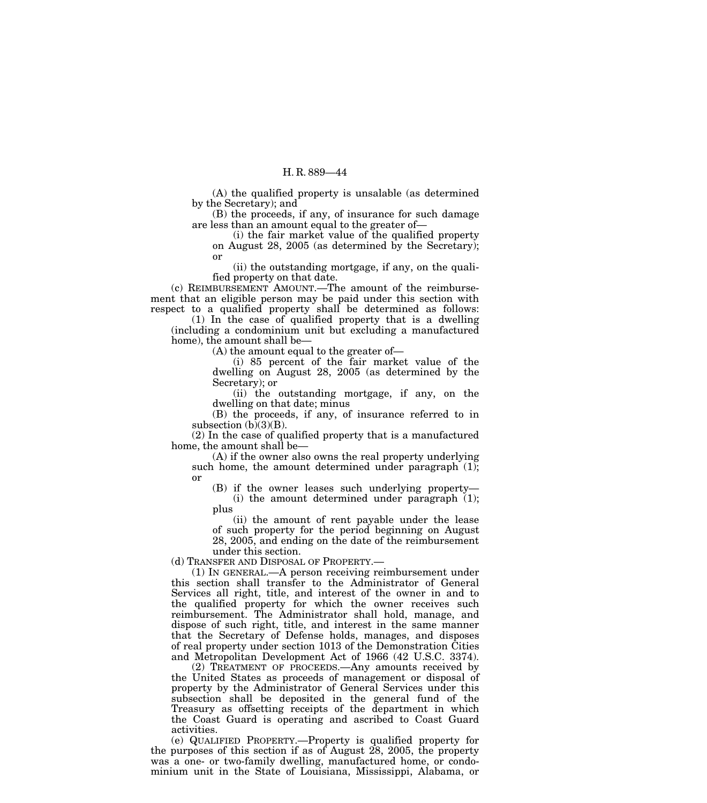(A) the qualified property is unsalable (as determined by the Secretary); and

(B) the proceeds, if any, of insurance for such damage are less than an amount equal to the greater of—

(i) the fair market value of the qualified property on August 28, 2005 (as determined by the Secretary); or

(ii) the outstanding mortgage, if any, on the qualified property on that date.

(c) REIMBURSEMENT AMOUNT.—The amount of the reimbursement that an eligible person may be paid under this section with respect to a qualified property shall be determined as follows:

(1) In the case of qualified property that is a dwelling (including a condominium unit but excluding a manufactured home), the amount shall be—

(A) the amount equal to the greater of—

(i) 85 percent of the fair market value of the dwelling on August 28, 2005 (as determined by the Secretary); or

(ii) the outstanding mortgage, if any, on the dwelling on that date; minus

(B) the proceeds, if any, of insurance referred to in subsection  $(b)(3)(B)$ .

(2) In the case of qualified property that is a manufactured home, the amount shall be—

(A) if the owner also owns the real property underlying such home, the amount determined under paragraph (1); or

(B) if the owner leases such underlying property—

(i) the amount determined under paragraph (1); plus

(ii) the amount of rent payable under the lease of such property for the period beginning on August 28, 2005, and ending on the date of the reimbursement under this section.

(d) TRANSFER AND DISPOSAL OF PROPERTY.—

(1) IN GENERAL.—A person receiving reimbursement under this section shall transfer to the Administrator of General Services all right, title, and interest of the owner in and to the qualified property for which the owner receives such reimbursement. The Administrator shall hold, manage, and dispose of such right, title, and interest in the same manner that the Secretary of Defense holds, manages, and disposes of real property under section 1013 of the Demonstration Cities and Metropolitan Development Act of 1966 (42 U.S.C. 3374).

(2) TREATMENT OF PROCEEDS.—Any amounts received by the United States as proceeds of management or disposal of property by the Administrator of General Services under this subsection shall be deposited in the general fund of the Treasury as offsetting receipts of the department in which the Coast Guard is operating and ascribed to Coast Guard activities.

(e) QUALIFIED PROPERTY.—Property is qualified property for the purposes of this section if as of August  $28$ ,  $2005$ , the property was a one- or two-family dwelling, manufactured home, or condominium unit in the State of Louisiana, Mississippi, Alabama, or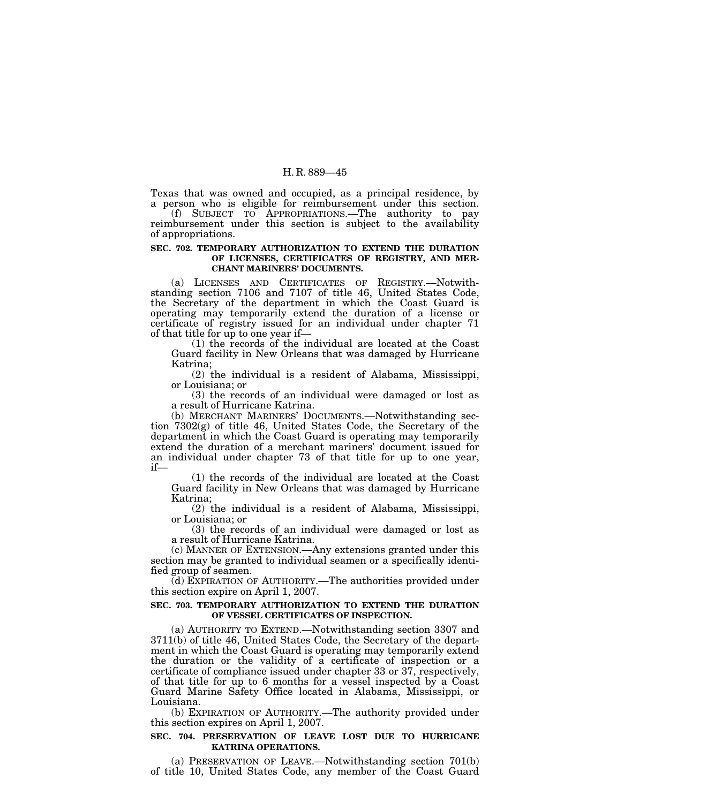Texas that was owned and occupied, as a principal residence, by a person who is eligible for reimbursement under this section.

(f) SUBJECT TO APPROPRIATIONS.—The authority to pay reimbursement under this section is subject to the availability of appropriations.

### **SEC. 702. TEMPORARY AUTHORIZATION TO EXTEND THE DURATION OF LICENSES, CERTIFICATES OF REGISTRY, AND MER-CHANT MARINERS' DOCUMENTS.**

(a) LICENSES AND CERTIFICATES OF REGISTRY.—Notwithstanding section 7106 and 7107 of title 46, United States Code, the Secretary of the department in which the Coast Guard is operating may temporarily extend the duration of a license or certificate of registry issued for an individual under chapter 71 of that title for up to one year if—

(1) the records of the individual are located at the Coast Guard facility in New Orleans that was damaged by Hurricane Katrina;

(2) the individual is a resident of Alabama, Mississippi, or Louisiana; or

(3) the records of an individual were damaged or lost as a result of Hurricane Katrina.

(b) MERCHANT MARINERS' DOCUMENTS.—Notwithstanding section 7302(g) of title 46, United States Code, the Secretary of the department in which the Coast Guard is operating may temporarily extend the duration of a merchant mariners' document issued for an individual under chapter 73 of that title for up to one year, if—

(1) the records of the individual are located at the Coast Guard facility in New Orleans that was damaged by Hurricane Katrina;

(2) the individual is a resident of Alabama, Mississippi, or Louisiana; or

(3) the records of an individual were damaged or lost as a result of Hurricane Katrina.

(c) MANNER OF EXTENSION.—Any extensions granted under this section may be granted to individual seamen or a specifically identified group of seamen.

(d) EXPIRATION OF AUTHORITY.—The authorities provided under this section expire on April 1, 2007.

#### **SEC. 703. TEMPORARY AUTHORIZATION TO EXTEND THE DURATION OF VESSEL CERTIFICATES OF INSPECTION.**

(a) AUTHORITY TO EXTEND.—Notwithstanding section 3307 and 3711(b) of title 46, United States Code, the Secretary of the department in which the Coast Guard is operating may temporarily extend the duration or the validity of a certificate of inspection or a certificate of compliance issued under chapter 33 or 37, respectively, of that title for up to 6 months for a vessel inspected by a Coast Guard Marine Safety Office located in Alabama, Mississippi, or Louisiana.

(b) EXPIRATION OF AUTHORITY.—The authority provided under this section expires on April 1, 2007.

### **SEC. 704. PRESERVATION OF LEAVE LOST DUE TO HURRICANE KATRINA OPERATIONS.**

(a) PRESERVATION OF LEAVE.—Notwithstanding section 701(b) of title 10, United States Code, any member of the Coast Guard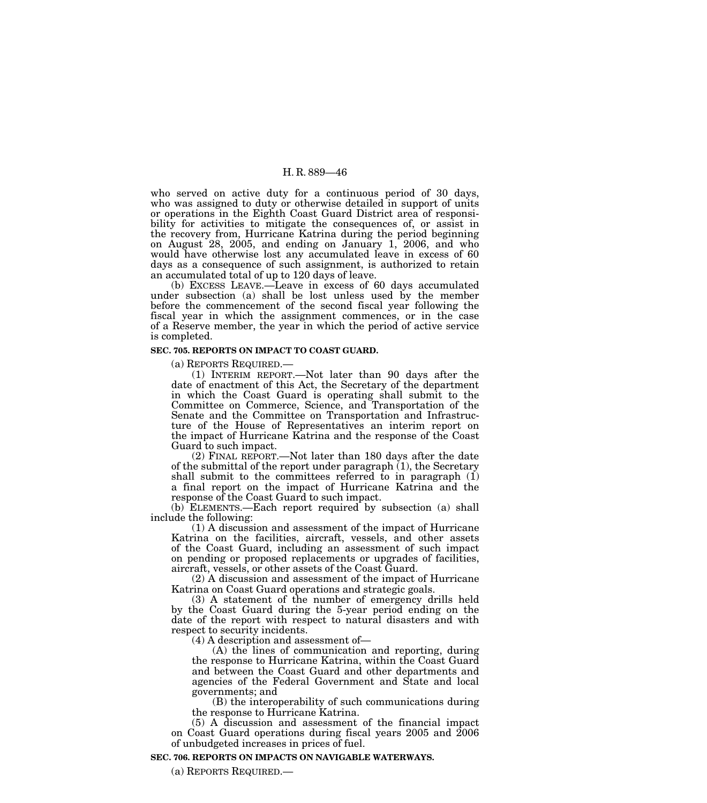who served on active duty for a continuous period of 30 days, who was assigned to duty or otherwise detailed in support of units or operations in the Eighth Coast Guard District area of responsibility for activities to mitigate the consequences of, or assist in the recovery from, Hurricane Katrina during the period beginning on August 28, 2005, and ending on January 1, 2006, and who would have otherwise lost any accumulated leave in excess of 60 days as a consequence of such assignment, is authorized to retain an accumulated total of up to 120 days of leave.

(b) EXCESS LEAVE.—Leave in excess of 60 days accumulated under subsection (a) shall be lost unless used by the member before the commencement of the second fiscal year following the fiscal year in which the assignment commences, or in the case of a Reserve member, the year in which the period of active service is completed.

#### **SEC. 705. REPORTS ON IMPACT TO COAST GUARD.**

(a) REPORTS REQUIRED.— (1) INTERIM REPORT.—Not later than 90 days after the date of enactment of this Act, the Secretary of the department in which the Coast Guard is operating shall submit to the Committee on Commerce, Science, and Transportation of the Senate and the Committee on Transportation and Infrastructure of the House of Representatives an interim report on the impact of Hurricane Katrina and the response of the Coast Guard to such impact.

(2) FINAL REPORT.—Not later than 180 days after the date of the submittal of the report under paragraph (1), the Secretary shall submit to the committees referred to in paragraph  $(1)$ a final report on the impact of Hurricane Katrina and the response of the Coast Guard to such impact.

(b) ELEMENTS.—Each report required by subsection (a) shall include the following:

(1) A discussion and assessment of the impact of Hurricane Katrina on the facilities, aircraft, vessels, and other assets of the Coast Guard, including an assessment of such impact on pending or proposed replacements or upgrades of facilities, aircraft, vessels, or other assets of the Coast Guard.

(2) A discussion and assessment of the impact of Hurricane Katrina on Coast Guard operations and strategic goals.

(3) A statement of the number of emergency drills held by the Coast Guard during the 5-year period ending on the date of the report with respect to natural disasters and with respect to security incidents.

(4) A description and assessment of—

(A) the lines of communication and reporting, during the response to Hurricane Katrina, within the Coast Guard and between the Coast Guard and other departments and agencies of the Federal Government and State and local governments; and

(B) the interoperability of such communications during the response to Hurricane Katrina.

(5) A discussion and assessment of the financial impact on Coast Guard operations during fiscal years 2005 and 2006 of unbudgeted increases in prices of fuel.

#### **SEC. 706. REPORTS ON IMPACTS ON NAVIGABLE WATERWAYS.**

(a) REPORTS REQUIRED.—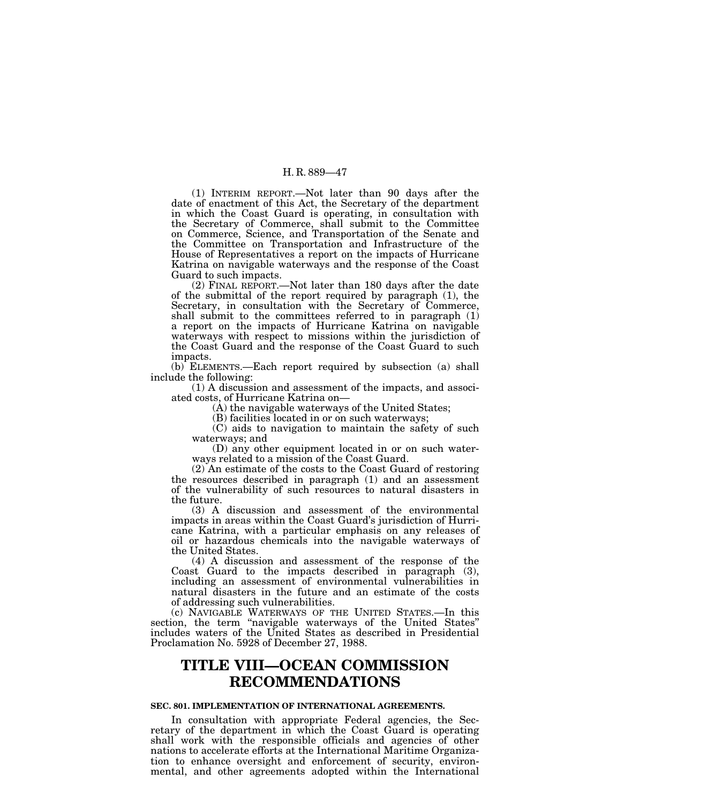(1) INTERIM REPORT.—Not later than 90 days after the date of enactment of this Act, the Secretary of the department in which the Coast Guard is operating, in consultation with the Secretary of Commerce, shall submit to the Committee on Commerce, Science, and Transportation of the Senate and the Committee on Transportation and Infrastructure of the House of Representatives a report on the impacts of Hurricane Katrina on navigable waterways and the response of the Coast Guard to such impacts.

(2) FINAL REPORT.—Not later than 180 days after the date of the submittal of the report required by paragraph (1), the Secretary, in consultation with the Secretary of Commerce, shall submit to the committees referred to in paragraph (1) a report on the impacts of Hurricane Katrina on navigable waterways with respect to missions within the jurisdiction of the Coast Guard and the response of the Coast Guard to such impacts.

(b) ELEMENTS.—Each report required by subsection (a) shall include the following:

(1) A discussion and assessment of the impacts, and associated costs, of Hurricane Katrina on—

(A) the navigable waterways of the United States;

(B) facilities located in or on such waterways;

(C) aids to navigation to maintain the safety of such waterways; and

(D) any other equipment located in or on such waterways related to a mission of the Coast Guard.

(2) An estimate of the costs to the Coast Guard of restoring the resources described in paragraph (1) and an assessment of the vulnerability of such resources to natural disasters in the future.

(3) A discussion and assessment of the environmental impacts in areas within the Coast Guard's jurisdiction of Hurricane Katrina, with a particular emphasis on any releases of oil or hazardous chemicals into the navigable waterways of the United States.

(4) A discussion and assessment of the response of the Coast Guard to the impacts described in paragraph (3), including an assessment of environmental vulnerabilities in natural disasters in the future and an estimate of the costs of addressing such vulnerabilities.

(c) NAVIGABLE WATERWAYS OF THE UNITED STATES.—In this section, the term "navigable waterways of the United States" includes waters of the United States as described in Presidential Proclamation No. 5928 of December 27, 1988.

# **TITLE VIII—OCEAN COMMISSION RECOMMENDATIONS**

# **SEC. 801. IMPLEMENTATION OF INTERNATIONAL AGREEMENTS.**

In consultation with appropriate Federal agencies, the Secretary of the department in which the Coast Guard is operating shall work with the responsible officials and agencies of other nations to accelerate efforts at the International Maritime Organization to enhance oversight and enforcement of security, environmental, and other agreements adopted within the International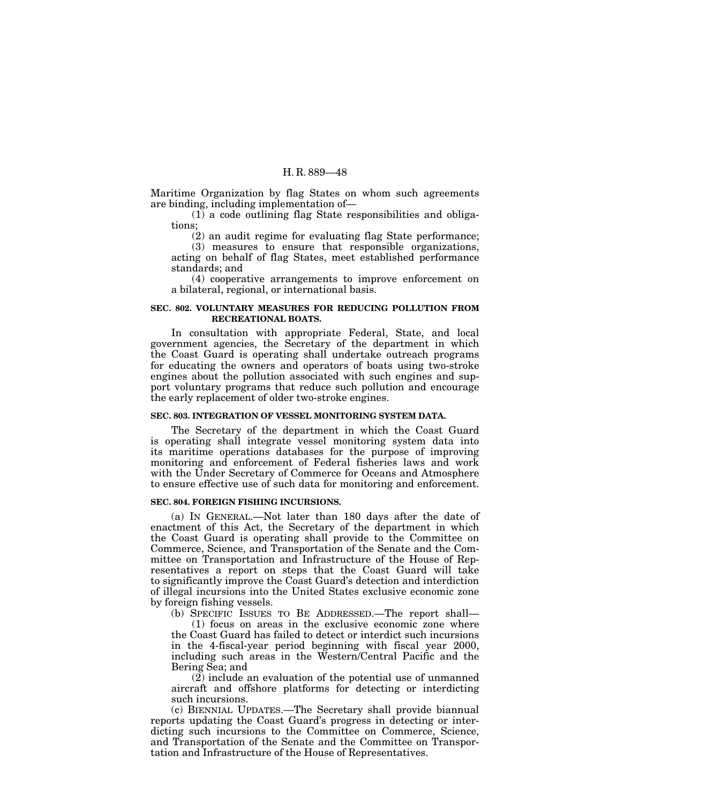Maritime Organization by flag States on whom such agreements are binding, including implementation of—

(1) a code outlining flag State responsibilities and obligations;

(2) an audit regime for evaluating flag State performance;

(3) measures to ensure that responsible organizations, acting on behalf of flag States, meet established performance standards; and

(4) cooperative arrangements to improve enforcement on a bilateral, regional, or international basis.

# **SEC. 802. VOLUNTARY MEASURES FOR REDUCING POLLUTION FROM RECREATIONAL BOATS.**

In consultation with appropriate Federal, State, and local government agencies, the Secretary of the department in which the Coast Guard is operating shall undertake outreach programs for educating the owners and operators of boats using two-stroke engines about the pollution associated with such engines and support voluntary programs that reduce such pollution and encourage the early replacement of older two-stroke engines.

# **SEC. 803. INTEGRATION OF VESSEL MONITORING SYSTEM DATA.**

The Secretary of the department in which the Coast Guard is operating shall integrate vessel monitoring system data into its maritime operations databases for the purpose of improving monitoring and enforcement of Federal fisheries laws and work with the Under Secretary of Commerce for Oceans and Atmosphere to ensure effective use of such data for monitoring and enforcement.

### **SEC. 804. FOREIGN FISHING INCURSIONS.**

(a) IN GENERAL.—Not later than 180 days after the date of enactment of this Act, the Secretary of the department in which the Coast Guard is operating shall provide to the Committee on Commerce, Science, and Transportation of the Senate and the Committee on Transportation and Infrastructure of the House of Representatives a report on steps that the Coast Guard will take to significantly improve the Coast Guard's detection and interdiction of illegal incursions into the United States exclusive economic zone by foreign fishing vessels.

(b) SPECIFIC ISSUES TO BE ADDRESSED.—The report shall— (1) focus on areas in the exclusive economic zone where the Coast Guard has failed to detect or interdict such incursions in the 4-fiscal-year period beginning with fiscal year 2000, including such areas in the Western/Central Pacific and the Bering Sea; and

(2) include an evaluation of the potential use of unmanned aircraft and offshore platforms for detecting or interdicting such incursions.

(c) BIENNIAL UPDATES.—The Secretary shall provide biannual reports updating the Coast Guard's progress in detecting or interdicting such incursions to the Committee on Commerce, Science, and Transportation of the Senate and the Committee on Transportation and Infrastructure of the House of Representatives.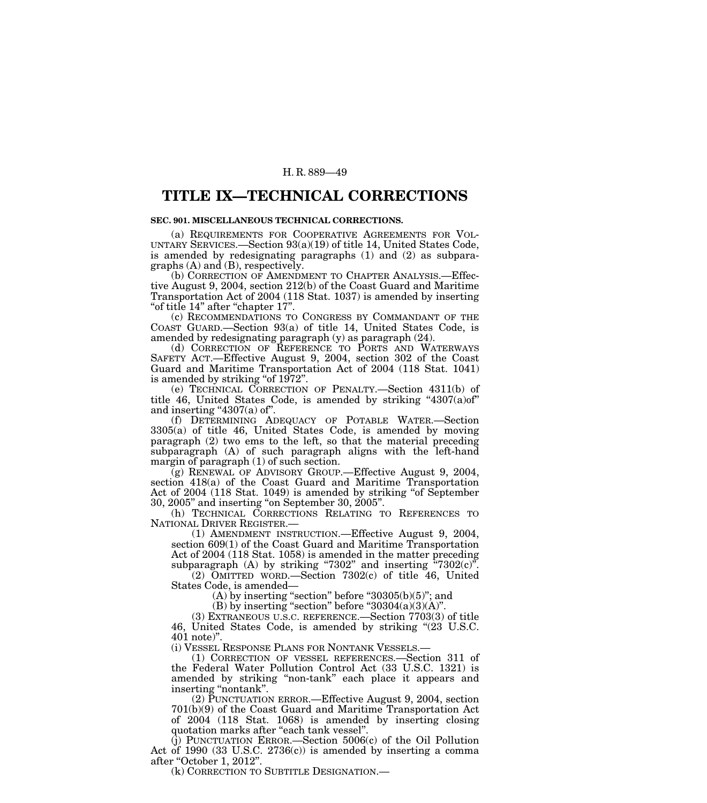# **TITLE IX—TECHNICAL CORRECTIONS**

# **SEC. 901. MISCELLANEOUS TECHNICAL CORRECTIONS.**

(a) REQUIREMENTS FOR COOPERATIVE AGREEMENTS FOR VOL-UNTARY SERVICES.—Section 93(a)(19) of title 14, United States Code, is amended by redesignating paragraphs (1) and (2) as subparagraphs (A) and (B), respectively.

(b) CORRECTION OF AMENDMENT TO CHAPTER ANALYSIS.—Effective August 9, 2004, section 212(b) of the Coast Guard and Maritime Transportation Act of 2004 (118 Stat. 1037) is amended by inserting ''of title 14'' after ''chapter 17''.

(c) RECOMMENDATIONS TO CONGRESS BY COMMANDANT OF THE COAST GUARD.—Section 93(a) of title 14, United States Code, is amended by redesignating paragraph (y) as paragraph (24).

(d) CORRECTION OF REFERENCE TO PORTS AND WATERWAYS SAFETY ACT.—Effective August 9, 2004, section 302 of the Coast Guard and Maritime Transportation Act of 2004 (118 Stat. 1041) is amended by striking "of 1972".

(e) TECHNICAL CORRECTION OF PENALTY.—Section 4311(b) of title 46, United States Code, is amended by striking " $4307(a)$  of" and inserting  $4307(a)$  of".

(f) DETERMINING ADEQUACY OF POTABLE WATER.—Section 3305(a) of title 46, United States Code, is amended by moving paragraph (2) two ems to the left, so that the material preceding subparagraph (A) of such paragraph aligns with the left-hand margin of paragraph (1) of such section.

(g) RENEWAL OF ADVISORY GROUP.—Effective August 9, 2004, section 418(a) of the Coast Guard and Maritime Transportation Act of 2004 (118 Stat. 1049) is amended by striking "of September 30, 2005'' and inserting ''on September 30, 2005''.

(h) TECHNICAL CORRECTIONS RELATING TO REFERENCES TO NATIONAL DRIVER REGISTER.— (1) AMENDMENT INSTRUCTION.—Effective August 9, 2004,

section 609(1) of the Coast Guard and Maritime Transportation Act of 2004 (118 Stat. 1058) is amended in the matter preceding subparagraph  $(A)$  by striking "7302" and inserting "7302 $(c)$ ".

(2) OMITTED WORD.—Section 7302(c) of title 46, United States Code, is amended—

 $(A)$  by inserting "section" before "30305 $(b)(5)$ "; and

(B) by inserting "section" before " $30304(a)(3)(A)$ ".

(3) EXTRANEOUS U.S.C. REFERENCE.—Section 7703(3) of title 46, United States Code, is amended by striking ''(23 U.S.C. 401 note)".<br>(i) VESSEL RESPONSE PLANS FOR NONTANK VESSELS.—

(1) CORRECTION OF VESSEL REFERENCES.—Section 311 of the Federal Water Pollution Control Act (33 U.S.C. 1321) is amended by striking ''non-tank'' each place it appears and inserting "nontank".

(2) PUNCTUATION ERROR.—Effective August 9, 2004, section 701(b)(9) of the Coast Guard and Maritime Transportation Act of 2004 (118 Stat. 1068) is amended by inserting closing quotation marks after "each tank vessel".

(j) PUNCTUATION ERROR.—Section 5006(c) of the Oil Pollution Act of 1990 (33 U.S.C. 2736(c)) is amended by inserting a comma after "October 1, 2012".

(k) CORRECTION TO SUBTITLE DESIGNATION.—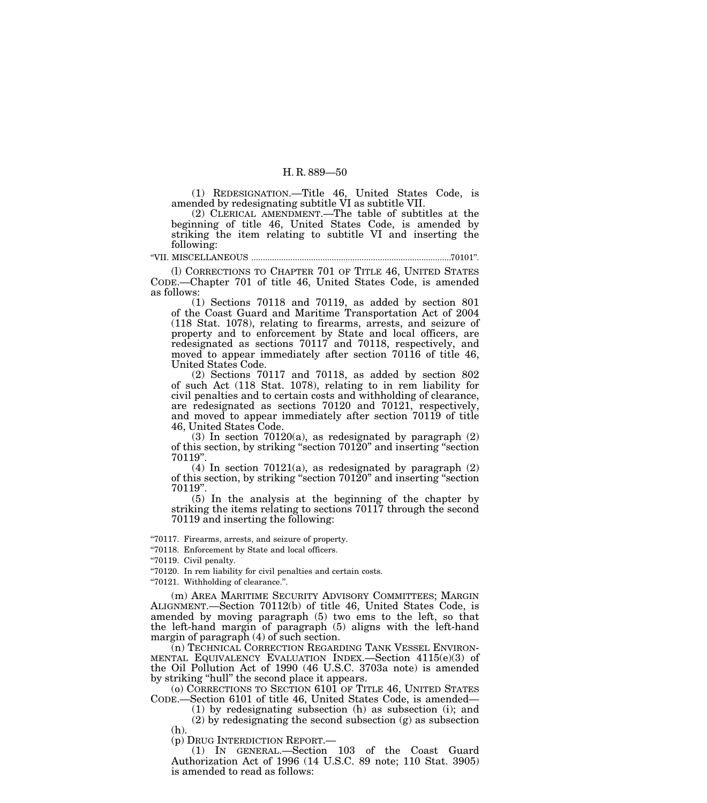(1) REDESIGNATION.—Title 46, United States Code, is amended by redesignating subtitle VI as subtitle VII.

(2) CLERICAL AMENDMENT.—The table of subtitles at the beginning of title 46, United States Code, is amended by striking the item relating to subtitle VI and inserting the following:

''VII. MISCELLANEOUS .......................................................................................70101''.

(l) CORRECTIONS TO CHAPTER 701 OF TITLE 46, UNITED STATES CODE.—Chapter 701 of title 46, United States Code, is amended as follows:

(1) Sections 70118 and 70119, as added by section 801 of the Coast Guard and Maritime Transportation Act of 2004 (118 Stat. 1078), relating to firearms, arrests, and seizure of property and to enforcement by State and local officers, are redesignated as sections 70117 and 70118, respectively, and moved to appear immediately after section 70116 of title 46, United States Code.

(2) Sections 70117 and 70118, as added by section 802 of such Act (118 Stat. 1078), relating to in rem liability for civil penalties and to certain costs and withholding of clearance, are redesignated as sections 70120 and 70121, respectively, and moved to appear immediately after section 70119 of title 46, United States Code.

(3) In section 70120(a), as redesignated by paragraph (2) of this section, by striking ''section 70120'' and inserting ''section 70119''.

(4) In section 70121(a), as redesignated by paragraph (2) of this section, by striking "section 70120" and inserting "section 70119''.

(5) In the analysis at the beginning of the chapter by striking the items relating to sections 70117 through the second 70119 and inserting the following:

''70117. Firearms, arrests, and seizure of property.

''70118. Enforcement by State and local officers.

''70119. Civil penalty.

''70120. In rem liability for civil penalties and certain costs.

''70121. Withholding of clearance.''.

(m) AREA MARITIME SECURITY ADVISORY COMMITTEES; MARGIN ALIGNMENT.—Section 70112(b) of title 46, United States Code, is amended by moving paragraph (5) two ems to the left, so that the left-hand margin of paragraph (5) aligns with the left-hand margin of paragraph (4) of such section.

(n) TECHNICAL CORRECTION REGARDING TANK VESSEL ENVIRON- MENTAL EQUIVALENCY EVALUATION INDEX.—Section 4115(e)(3) of the Oil Pollution Act of 1990 (46 U.S.C. 3703a note) is amended by striking ''hull'' the second place it appears.

(o) CORRECTIONS TO SECTION 6101 OF TITLE 46, UNITED STATES CODE.—Section 6101 of title 46, United States Code, is amended—

(1) by redesignating subsection (h) as subsection (i); and

(2) by redesignating the second subsection (g) as subsection

(h).<br>(p) Drug Interdiction Report.—

 $(1)$  IN GENERAL.—Section 103 of the Coast Guard Authorization Act of 1996 (14 U.S.C. 89 note; 110 Stat. 3905) is amended to read as follows: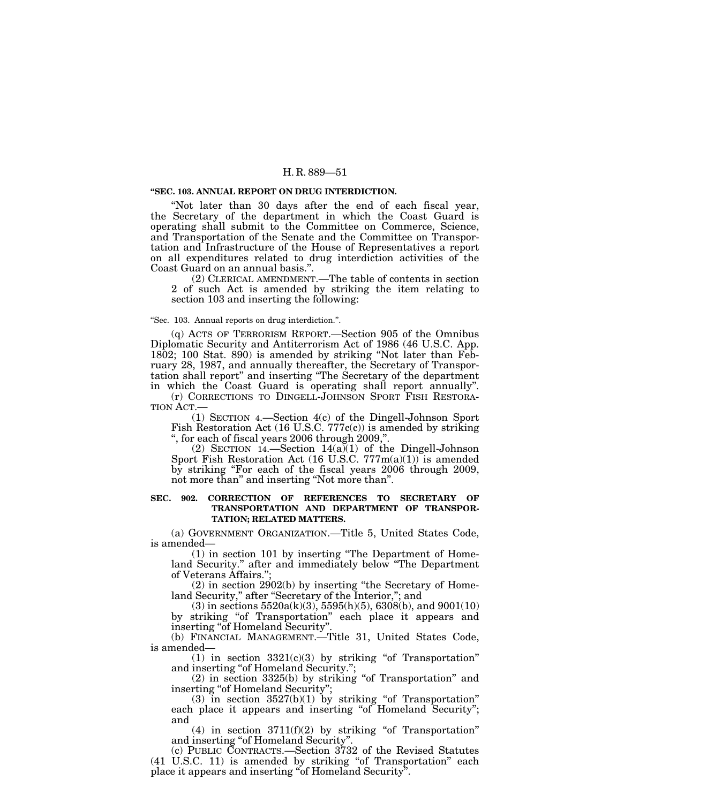#### **''SEC. 103. ANNUAL REPORT ON DRUG INTERDICTION.**

''Not later than 30 days after the end of each fiscal year, the Secretary of the department in which the Coast Guard is operating shall submit to the Committee on Commerce, Science, and Transportation of the Senate and the Committee on Transportation and Infrastructure of the House of Representatives a report on all expenditures related to drug interdiction activities of the Coast Guard on an annual basis.''.

(2) CLERICAL AMENDMENT.—The table of contents in section 2 of such Act is amended by striking the item relating to section 103 and inserting the following:

#### ''Sec. 103. Annual reports on drug interdiction.''.

(q) ACTS OF TERRORISM REPORT.—Section 905 of the Omnibus Diplomatic Security and Antiterrorism Act of 1986 (46 U.S.C. App. 1802; 100 Stat. 890) is amended by striking ''Not later than February 28, 1987, and annually thereafter, the Secretary of Transportation shall report'' and inserting ''The Secretary of the department in which the Coast Guard is operating shall report annually''.

(r) CORRECTIONS TO DINGELL-JOHNSON SPORT FISH RESTORA-TION ACT.—

(1) SECTION 4.—Section 4(c) of the Dingell-Johnson Sport Fish Restoration Act (16 U.S.C. 777c(c)) is amended by striking '', for each of fiscal years 2006 through 2009,''.

(2) SECTION 14.—Section  $14(a)(1)$  of the Dingell-Johnson Sport Fish Restoration Act (16 U.S.C.  $777m(a)(1)$ ) is amended by striking "For each of the fiscal years 2006 through 2009, not more than'' and inserting ''Not more than''.

#### **SEC. 902. CORRECTION OF REFERENCES TO SECRETARY OF TRANSPORTATION AND DEPARTMENT OF TRANSPOR-TATION; RELATED MATTERS.**

(a) GOVERNMENT ORGANIZATION.—Title 5, United States Code, is amended—

(1) in section 101 by inserting ''The Department of Homeland Security.'' after and immediately below ''The Department of Veterans Affairs.'';

(2) in section 2902(b) by inserting ''the Secretary of Homeland Security," after "Secretary of the Interior,"; and

 $(3)$  in sections 5520a(k)(3), 5595(h)(5), 6308(b), and 9001(10) by striking ''of Transportation'' each place it appears and inserting ''of Homeland Security''.

(b) FINANCIAL MANAGEMENT.—Title 31, United States Code, is amended—

 $(1)$  in section 3321 $(c)(3)$  by striking "of Transportation" and inserting "of Homeland Security.";

(2) in section 3325(b) by striking ''of Transportation'' and inserting "of Homeland Security";

(3) in section  $3527(b)(1)$  by striking "of Transportation" each place it appears and inserting "of Homeland Security"; and

(4) in section  $3711(f)(2)$  by striking "of Transportation" and inserting ''of Homeland Security''.

(c) PUBLIC CONTRACTS.—Section 3732 of the Revised Statutes (41 U.S.C. 11) is amended by striking "of Transportation" each place it appears and inserting ''of Homeland Security''.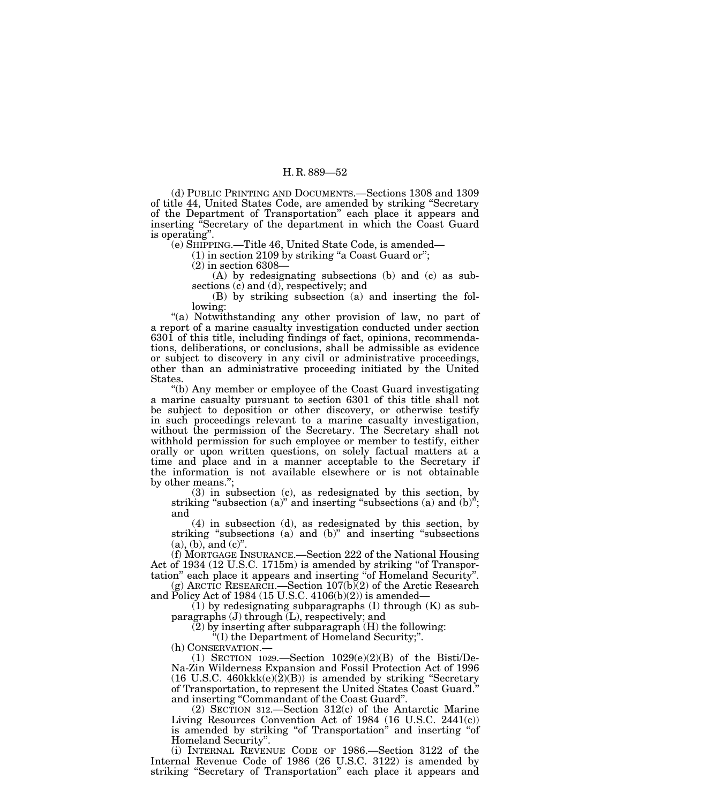(d) PUBLIC PRINTING AND DOCUMENTS.—Sections 1308 and 1309 of title 44, United States Code, are amended by striking ''Secretary of the Department of Transportation'' each place it appears and inserting ''Secretary of the department in which the Coast Guard is operating''.

(e) SHIPPING.—Title 46, United State Code, is amended—

 $(1)$  in section 2109 by striking "a Coast Guard or";

(2) in section 6308—

(A) by redesignating subsections (b) and (c) as subsections (c) and (d), respectively; and

(B) by striking subsection (a) and inserting the following:

''(a) Notwithstanding any other provision of law, no part of a report of a marine casualty investigation conducted under section 6301 of this title, including findings of fact, opinions, recommendations, deliberations, or conclusions, shall be admissible as evidence or subject to discovery in any civil or administrative proceedings, other than an administrative proceeding initiated by the United States.

''(b) Any member or employee of the Coast Guard investigating a marine casualty pursuant to section 6301 of this title shall not be subject to deposition or other discovery, or otherwise testify in such proceedings relevant to a marine casualty investigation, without the permission of the Secretary. The Secretary shall not withhold permission for such employee or member to testify, either orally or upon written questions, on solely factual matters at a time and place and in a manner acceptable to the Secretary if the information is not available elsewhere or is not obtainable by other means.'';

(3) in subsection (c), as redesignated by this section, by striking "subsection (a)" and inserting "subsections (a) and  $(b)$ "; and

(4) in subsection (d), as redesignated by this section, by striking "subsections (a) and (b)" and inserting "subsections  $(a)$ ,  $(b)$ , and  $(c)$ ".

(f) MORTGAGE INSURANCE.—Section 222 of the National Housing Act of 1934 (12 U.S.C. 1715m) is amended by striking ''of Transportation'' each place it appears and inserting ''of Homeland Security''.

(g) ARCTIC RESEARCH.—Section  $107(b)(2)$  of the Arctic Research and Policy Act of 1984 (15 U.S.C.  $4106(b)(2)$ ) is amended—

 $(1)$  by redesignating subparagraphs  $(I)$  through  $(K)$  as subparagraphs (J) through (L), respectively; and

(2) by inserting after subparagraph (H) the following:

''(I) the Department of Homeland Security;''.

(h) CONSERVATION.—<br>(1) SECTION 1029.—Section 1029(e)(2)(B) of the Bisti/De-Na-Zin Wilderness Expansion and Fossil Protection Act of 1996 (16 U.S.C. 460 $kk(e)(\bar{2})(B)$ ) is amended by striking "Secretary of Transportation, to represent the United States Coast Guard.'' and inserting ''Commandant of the Coast Guard''.

(2) SECTION 312.—Section 312(c) of the Antarctic Marine Living Resources Convention Act of 1984 (16 U.S.C. 2441(c)) is amended by striking ''of Transportation'' and inserting ''of Homeland Security''.

(i) INTERNAL REVENUE CODE OF 1986.—Section 3122 of the Internal Revenue Code of 1986 (26 U.S.C. 3122) is amended by striking "Secretary of Transportation" each place it appears and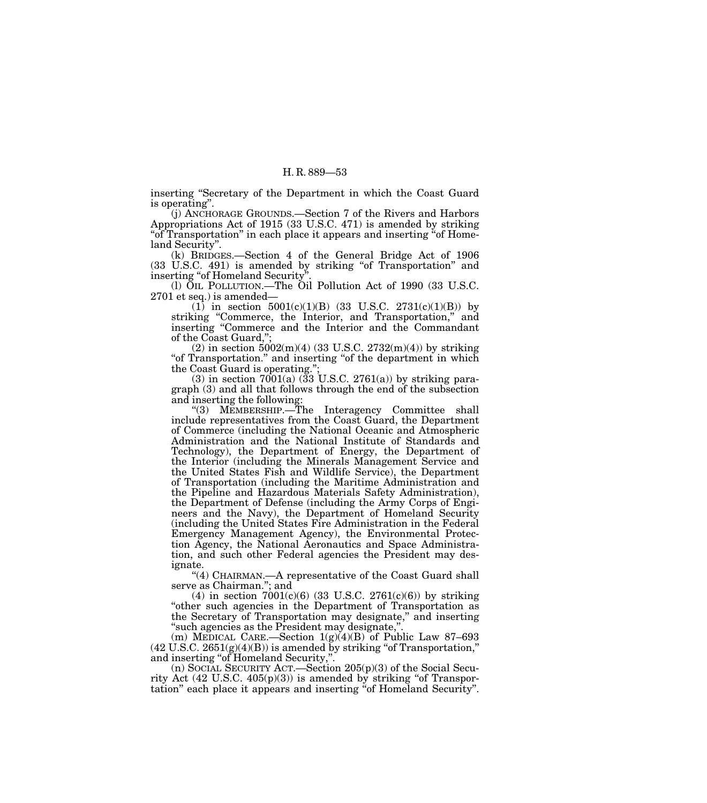inserting ''Secretary of the Department in which the Coast Guard is operating''.

(j) ANCHORAGE GROUNDS.—Section 7 of the Rivers and Harbors Appropriations Act of 1915 (33 U.S.C. 471) is amended by striking ''of Transportation'' in each place it appears and inserting ''of Homeland Security''.

(k) BRIDGES.—Section 4 of the General Bridge Act of 1906 (33 U.S.C. 491) is amended by striking "of Transportation" and inserting "of Homeland Security"

(l) OIL POLLUTION.—The Oil Pollution Act of 1990 (33 U.S.C. 2701 et seq.) is amended—

 $(1)$  in section  $5001(c)(1)(B)$   $(33 \text{ U.S.C. } 2731(c)(1)(B))$  by striking "Commerce, the Interior, and Transportation," and inserting ''Commerce and the Interior and the Commandant of the Coast Guard,'';

(2) in section  $5002(m)(4)$  (33 U.S.C.  $2732(m)(4)$ ) by striking "of Transportation." and inserting "of the department in which the Coast Guard is operating.'';

 $(3)$  in section  $7001(a)$   $(33 \text{ U.S.C. } 2761(a))$  by striking paragraph (3) and all that follows through the end of the subsection and inserting the following:

''(3) MEMBERSHIP.—The Interagency Committee shall include representatives from the Coast Guard, the Department of Commerce (including the National Oceanic and Atmospheric Administration and the National Institute of Standards and Technology), the Department of Energy, the Department of the Interior (including the Minerals Management Service and the United States Fish and Wildlife Service), the Department of Transportation (including the Maritime Administration and the Pipeline and Hazardous Materials Safety Administration), the Department of Defense (including the Army Corps of Engineers and the Navy), the Department of Homeland Security (including the United States Fire Administration in the Federal Emergency Management Agency), the Environmental Protection Agency, the National Aeronautics and Space Administration, and such other Federal agencies the President may designate.

''(4) CHAIRMAN.—A representative of the Coast Guard shall serve as Chairman.''; and

(4) in section  $7001(c)(6)$  (33 U.S.C. 2761(c)(6)) by striking ''other such agencies in the Department of Transportation as the Secretary of Transportation may designate,'' and inserting "such agencies as the President may designate,"

(m) MEDICAL CARE.—Section  $1(g)(4)(B)$  of Public Law 87–693  $(42 \text{ U.S.C. } 2651(g)(4)(B))$  is amended by striking "of Transportation," and inserting ''of Homeland Security,''.

(n) SOCIAL SECURITY ACT.—Section 205(p)(3) of the Social Security Act  $(42 \text{ U.S.C. } 405(p)(3))$  is amended by striking "of Transportation" each place it appears and inserting "of Homeland Security".